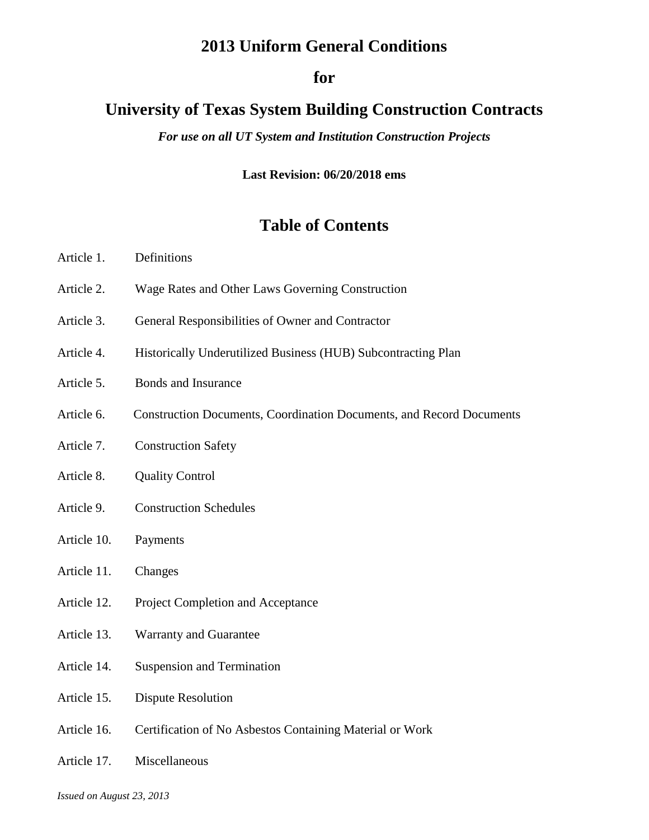# **2013 Uniform General Conditions**

# **for**

# **University of Texas System Building Construction Contracts**

*For use on all UT System and Institution Construction Projects*

**Last Revision: 06/20/2018 ems**

# **Table of Contents**

- Article 1. Definitions
- Article 2. Wage Rates and Other Laws Governing Construction
- Article 3. General Responsibilities of Owner and Contractor
- Article 4. Historically Underutilized Business (HUB) Subcontracting Plan
- Article 5. Bonds and Insurance
- Article 6. Construction Documents, Coordination Documents, and Record Documents
- Article 7. Construction Safety
- Article 8. Quality Control
- Article 9. Construction Schedules
- Article 10. Payments
- Article 11. Changes
- Article 12. Project Completion and Acceptance
- Article 13. Warranty and Guarantee
- Article 14. Suspension and Termination
- Article 15. Dispute Resolution
- Article 16. Certification of No Asbestos Containing Material or Work
- Article 17. Miscellaneous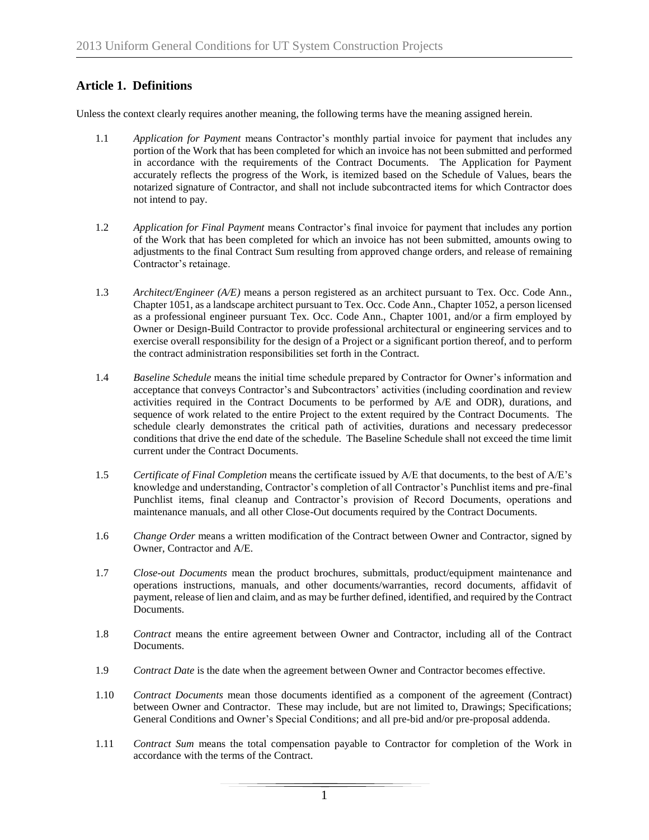# **Article 1. Definitions**

Unless the context clearly requires another meaning, the following terms have the meaning assigned herein.

- 1.1 *Application for Payment* means Contractor's monthly partial invoice for payment that includes any portion of the Work that has been completed for which an invoice has not been submitted and performed in accordance with the requirements of the Contract Documents. The Application for Payment accurately reflects the progress of the Work, is itemized based on the Schedule of Values, bears the notarized signature of Contractor, and shall not include subcontracted items for which Contractor does not intend to pay.
- 1.2 *Application for Final Payment* means Contractor's final invoice for payment that includes any portion of the Work that has been completed for which an invoice has not been submitted, amounts owing to adjustments to the final Contract Sum resulting from approved change orders, and release of remaining Contractor's retainage.
- 1.3 *Architect/Engineer (A/E)* means a person registered as an architect pursuant to Tex. Occ. Code Ann., Chapter 1051, as a landscape architect pursuant to Tex. Occ. Code Ann., Chapter 1052, a person licensed as a professional engineer pursuant Tex. Occ. Code Ann., Chapter 1001, and/or a firm employed by Owner or Design-Build Contractor to provide professional architectural or engineering services and to exercise overall responsibility for the design of a Project or a significant portion thereof, and to perform the contract administration responsibilities set forth in the Contract.
- 1.4 *Baseline Schedule* means the initial time schedule prepared by Contractor for Owner's information and acceptance that conveys Contractor's and Subcontractors' activities (including coordination and review activities required in the Contract Documents to be performed by A/E and ODR), durations, and sequence of work related to the entire Project to the extent required by the Contract Documents. The schedule clearly demonstrates the critical path of activities, durations and necessary predecessor conditions that drive the end date of the schedule. The Baseline Schedule shall not exceed the time limit current under the Contract Documents.
- 1.5 *Certificate of Final Completion* means the certificate issued by A/E that documents, to the best of A/E's knowledge and understanding, Contractor's completion of all Contractor's Punchlist items and pre-final Punchlist items, final cleanup and Contractor's provision of Record Documents, operations and maintenance manuals, and all other Close-Out documents required by the Contract Documents.
- 1.6 *Change Order* means a written modification of the Contract between Owner and Contractor, signed by Owner, Contractor and A/E.
- 1.7 *Close-out Documents* mean the product brochures, submittals, product/equipment maintenance and operations instructions, manuals, and other documents/warranties, record documents, affidavit of payment, release of lien and claim, and as may be further defined, identified, and required by the Contract Documents.
- 1.8 *Contract* means the entire agreement between Owner and Contractor, including all of the Contract Documents.
- 1.9 *Contract Date* is the date when the agreement between Owner and Contractor becomes effective.
- 1.10 *Contract Documents* mean those documents identified as a component of the agreement (Contract) between Owner and Contractor. These may include, but are not limited to, Drawings; Specifications; General Conditions and Owner's Special Conditions; and all pre-bid and/or pre-proposal addenda.
- 1.11 *Contract Sum* means the total compensation payable to Contractor for completion of the Work in accordance with the terms of the Contract.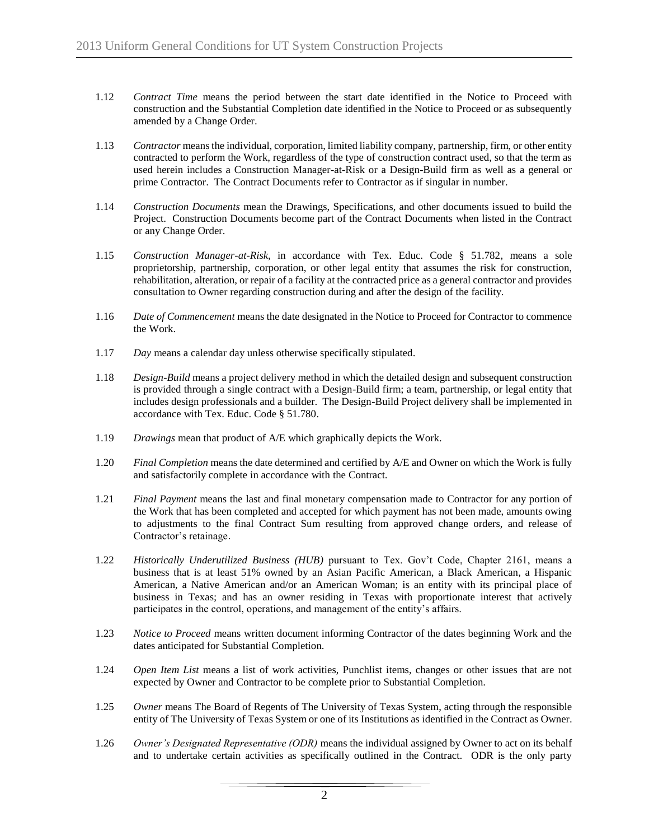- 1.12 *Contract Time* means the period between the start date identified in the Notice to Proceed with construction and the Substantial Completion date identified in the Notice to Proceed or as subsequently amended by a Change Order.
- 1.13 *Contractor* means the individual, corporation, limited liability company, partnership, firm, or other entity contracted to perform the Work, regardless of the type of construction contract used, so that the term as used herein includes a Construction Manager-at-Risk or a Design-Build firm as well as a general or prime Contractor. The Contract Documents refer to Contractor as if singular in number.
- 1.14 *Construction Documents* mean the Drawings, Specifications, and other documents issued to build the Project. Construction Documents become part of the Contract Documents when listed in the Contract or any Change Order.
- 1.15 *Construction Manager-at-Risk*, in accordance with Tex. Educ. Code § 51.782, means a sole proprietorship, partnership, corporation, or other legal entity that assumes the risk for construction, rehabilitation, alteration, or repair of a facility at the contracted price as a general contractor and provides consultation to Owner regarding construction during and after the design of the facility.
- 1.16 *Date of Commencement* means the date designated in the Notice to Proceed for Contractor to commence the Work.
- 1.17 *Day* means a calendar day unless otherwise specifically stipulated.
- 1.18 *Design-Build* means a project delivery method in which the detailed design and subsequent construction is provided through a single contract with a Design-Build firm; a team, partnership, or legal entity that includes design professionals and a builder. The Design-Build Project delivery shall be implemented in accordance with Tex. Educ. Code § 51.780.
- 1.19 *Drawings* mean that product of A/E which graphically depicts the Work.
- 1.20 *Final Completion* means the date determined and certified by A/E and Owner on which the Work is fully and satisfactorily complete in accordance with the Contract.
- 1.21 *Final Payment* means the last and final monetary compensation made to Contractor for any portion of the Work that has been completed and accepted for which payment has not been made, amounts owing to adjustments to the final Contract Sum resulting from approved change orders, and release of Contractor's retainage.
- 1.22 *Historically Underutilized Business (HUB)* pursuant to Tex. Gov't Code, Chapter 2161, means a business that is at least 51% owned by an Asian Pacific American, a Black American, a Hispanic American, a Native American and/or an American Woman; is an entity with its principal place of business in Texas; and has an owner residing in Texas with proportionate interest that actively participates in the control, operations, and management of the entity's affairs.
- 1.23 *Notice to Proceed* means written document informing Contractor of the dates beginning Work and the dates anticipated for Substantial Completion.
- 1.24 *Open Item List* means a list of work activities, Punchlist items, changes or other issues that are not expected by Owner and Contractor to be complete prior to Substantial Completion.
- 1.25 *Owner* means The Board of Regents of The University of Texas System, acting through the responsible entity of The University of Texas System or one of its Institutions as identified in the Contract as Owner.
- 1.26 *Owner's Designated Representative (ODR)* means the individual assigned by Owner to act on its behalf and to undertake certain activities as specifically outlined in the Contract. ODR is the only party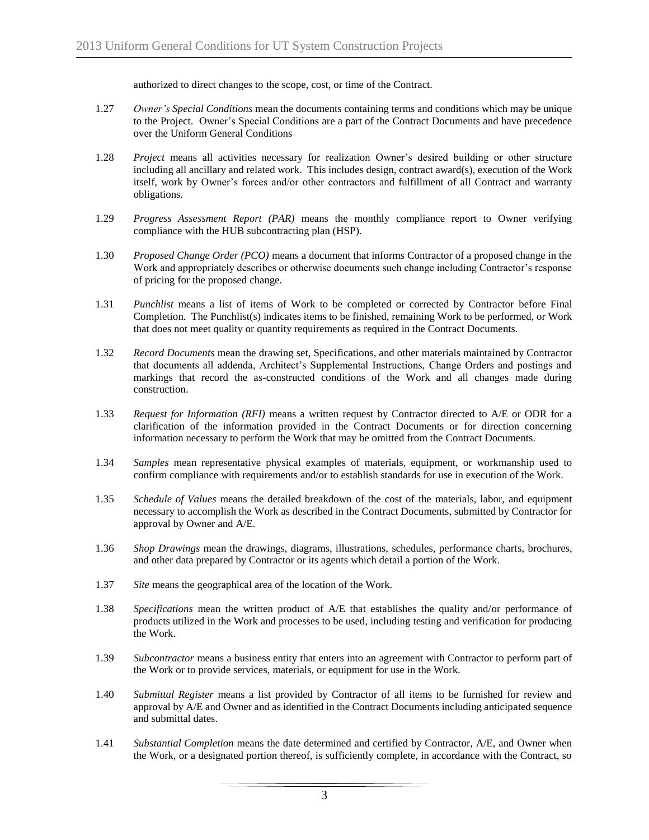authorized to direct changes to the scope, cost, or time of the Contract.

- 1.27 *Owner's Special Conditions* mean the documents containing terms and conditions which may be unique to the Project. Owner's Special Conditions are a part of the Contract Documents and have precedence over the Uniform General Conditions
- 1.28 *Project* means all activities necessary for realization Owner's desired building or other structure including all ancillary and related work. This includes design, contract award(s), execution of the Work itself, work by Owner's forces and/or other contractors and fulfillment of all Contract and warranty obligations.
- 1.29 *Progress Assessment Report (PAR)* means the monthly compliance report to Owner verifying compliance with the HUB subcontracting plan (HSP).
- 1.30 *Proposed Change Order (PCO)* means a document that informs Contractor of a proposed change in the Work and appropriately describes or otherwise documents such change including Contractor's response of pricing for the proposed change.
- 1.31 *Punchlist* means a list of items of Work to be completed or corrected by Contractor before Final Completion. The Punchlist(s) indicates items to be finished, remaining Work to be performed, or Work that does not meet quality or quantity requirements as required in the Contract Documents.
- 1.32 *Record Documents* mean the drawing set, Specifications, and other materials maintained by Contractor that documents all addenda, Architect's Supplemental Instructions, Change Orders and postings and markings that record the as-constructed conditions of the Work and all changes made during construction.
- 1.33 *Request for Information (RFI)* means a written request by Contractor directed to A/E or ODR for a clarification of the information provided in the Contract Documents or for direction concerning information necessary to perform the Work that may be omitted from the Contract Documents.
- 1.34 *Samples* mean representative physical examples of materials, equipment, or workmanship used to confirm compliance with requirements and/or to establish standards for use in execution of the Work.
- 1.35 *Schedule of Values* means the detailed breakdown of the cost of the materials, labor, and equipment necessary to accomplish the Work as described in the Contract Documents, submitted by Contractor for approval by Owner and A/E.
- 1.36 *Shop Drawings* mean the drawings, diagrams, illustrations, schedules, performance charts, brochures, and other data prepared by Contractor or its agents which detail a portion of the Work.
- 1.37 *Site* means the geographical area of the location of the Work.
- 1.38 *Specifications* mean the written product of A/E that establishes the quality and/or performance of products utilized in the Work and processes to be used, including testing and verification for producing the Work.
- 1.39 *Subcontractor* means a business entity that enters into an agreement with Contractor to perform part of the Work or to provide services, materials, or equipment for use in the Work.
- 1.40 *Submittal Register* means a list provided by Contractor of all items to be furnished for review and approval by A/E and Owner and as identified in the Contract Documents including anticipated sequence and submittal dates.
- 1.41 *Substantial Completion* means the date determined and certified by Contractor, A/E, and Owner when the Work, or a designated portion thereof, is sufficiently complete, in accordance with the Contract, so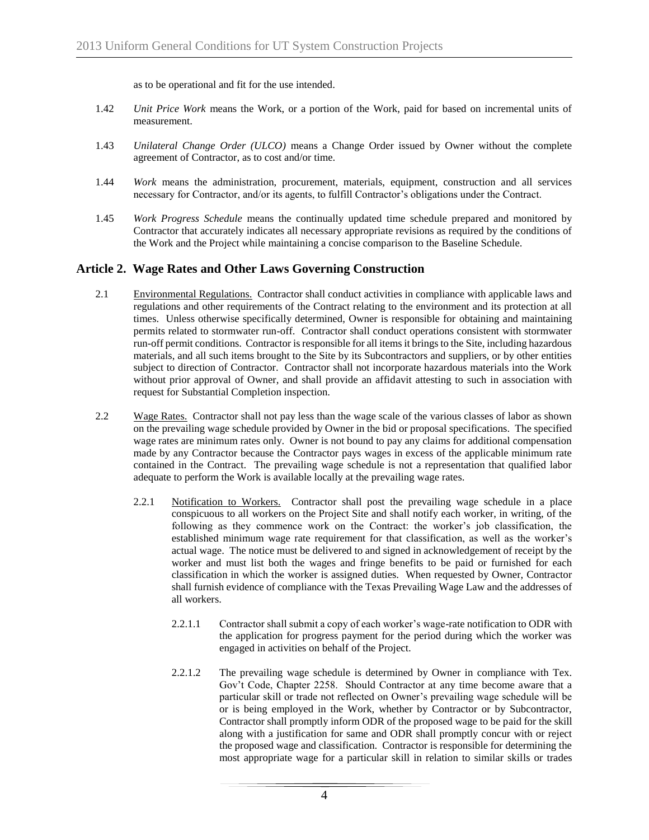as to be operational and fit for the use intended.

- 1.42 *Unit Price Work* means the Work, or a portion of the Work, paid for based on incremental units of measurement.
- 1.43 *Unilateral Change Order (ULCO)* means a Change Order issued by Owner without the complete agreement of Contractor, as to cost and/or time.
- 1.44 *Work* means the administration, procurement, materials, equipment, construction and all services necessary for Contractor, and/or its agents, to fulfill Contractor's obligations under the Contract.
- 1.45 *Work Progress Schedule* means the continually updated time schedule prepared and monitored by Contractor that accurately indicates all necessary appropriate revisions as required by the conditions of the Work and the Project while maintaining a concise comparison to the Baseline Schedule.

## **Article 2. Wage Rates and Other Laws Governing Construction**

- 2.1 Environmental Regulations. Contractor shall conduct activities in compliance with applicable laws and regulations and other requirements of the Contract relating to the environment and its protection at all times. Unless otherwise specifically determined, Owner is responsible for obtaining and maintaining permits related to stormwater run-off. Contractor shall conduct operations consistent with stormwater run-off permit conditions. Contractor is responsible for all items it brings to the Site, including hazardous materials, and all such items brought to the Site by its Subcontractors and suppliers, or by other entities subject to direction of Contractor. Contractor shall not incorporate hazardous materials into the Work without prior approval of Owner, and shall provide an affidavit attesting to such in association with request for Substantial Completion inspection.
- 2.2 Wage Rates. Contractor shall not pay less than the wage scale of the various classes of labor as shown on the prevailing wage schedule provided by Owner in the bid or proposal specifications. The specified wage rates are minimum rates only. Owner is not bound to pay any claims for additional compensation made by any Contractor because the Contractor pays wages in excess of the applicable minimum rate contained in the Contract. The prevailing wage schedule is not a representation that qualified labor adequate to perform the Work is available locally at the prevailing wage rates.
	- 2.2.1 Notification to Workers. Contractor shall post the prevailing wage schedule in a place conspicuous to all workers on the Project Site and shall notify each worker, in writing, of the following as they commence work on the Contract: the worker's job classification, the established minimum wage rate requirement for that classification, as well as the worker's actual wage. The notice must be delivered to and signed in acknowledgement of receipt by the worker and must list both the wages and fringe benefits to be paid or furnished for each classification in which the worker is assigned duties. When requested by Owner, Contractor shall furnish evidence of compliance with the Texas Prevailing Wage Law and the addresses of all workers.
		- 2.2.1.1 Contractor shall submit a copy of each worker's wage-rate notification to ODR with the application for progress payment for the period during which the worker was engaged in activities on behalf of the Project.
		- 2.2.1.2 The prevailing wage schedule is determined by Owner in compliance with Tex. Gov't Code, Chapter 2258. Should Contractor at any time become aware that a particular skill or trade not reflected on Owner's prevailing wage schedule will be or is being employed in the Work, whether by Contractor or by Subcontractor, Contractor shall promptly inform ODR of the proposed wage to be paid for the skill along with a justification for same and ODR shall promptly concur with or reject the proposed wage and classification. Contractor is responsible for determining the most appropriate wage for a particular skill in relation to similar skills or trades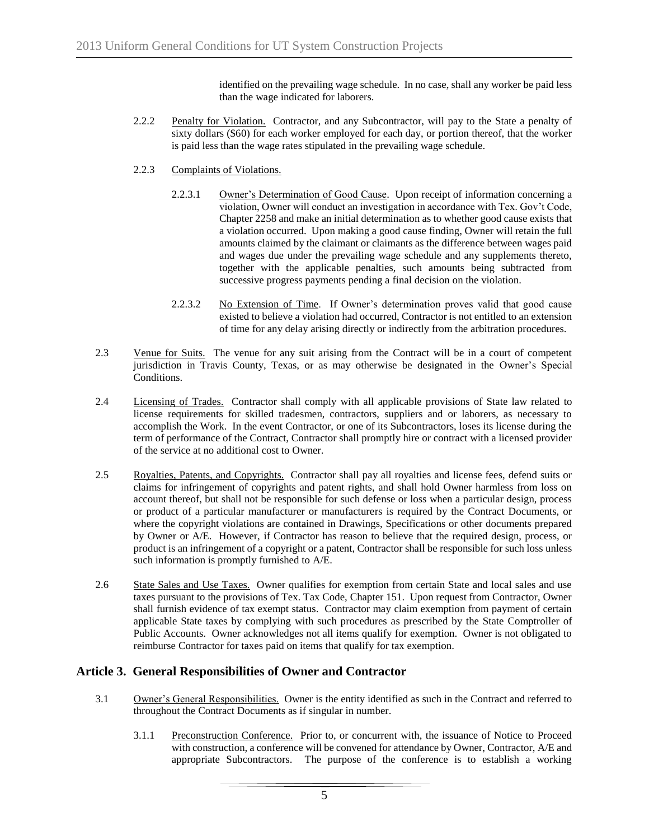identified on the prevailing wage schedule. In no case, shall any worker be paid less than the wage indicated for laborers.

- 2.2.2 Penalty for Violation. Contractor, and any Subcontractor, will pay to the State a penalty of sixty dollars (\$60) for each worker employed for each day, or portion thereof, that the worker is paid less than the wage rates stipulated in the prevailing wage schedule.
- 2.2.3 Complaints of Violations.
	- 2.2.3.1 Owner's Determination of Good Cause. Upon receipt of information concerning a violation, Owner will conduct an investigation in accordance with Tex. Gov't Code, Chapter 2258 and make an initial determination as to whether good cause exists that a violation occurred. Upon making a good cause finding, Owner will retain the full amounts claimed by the claimant or claimants as the difference between wages paid and wages due under the prevailing wage schedule and any supplements thereto, together with the applicable penalties, such amounts being subtracted from successive progress payments pending a final decision on the violation.
	- 2.2.3.2 No Extension of Time. If Owner's determination proves valid that good cause existed to believe a violation had occurred, Contractor is not entitled to an extension of time for any delay arising directly or indirectly from the arbitration procedures.
- 2.3 Venue for Suits. The venue for any suit arising from the Contract will be in a court of competent jurisdiction in Travis County, Texas, or as may otherwise be designated in the Owner's Special Conditions.
- 2.4 Licensing of Trades. Contractor shall comply with all applicable provisions of State law related to license requirements for skilled tradesmen, contractors, suppliers and or laborers, as necessary to accomplish the Work. In the event Contractor, or one of its Subcontractors, loses its license during the term of performance of the Contract, Contractor shall promptly hire or contract with a licensed provider of the service at no additional cost to Owner.
- 2.5 Royalties, Patents, and Copyrights. Contractor shall pay all royalties and license fees, defend suits or claims for infringement of copyrights and patent rights, and shall hold Owner harmless from loss on account thereof, but shall not be responsible for such defense or loss when a particular design, process or product of a particular manufacturer or manufacturers is required by the Contract Documents, or where the copyright violations are contained in Drawings, Specifications or other documents prepared by Owner or A/E. However, if Contractor has reason to believe that the required design, process, or product is an infringement of a copyright or a patent, Contractor shall be responsible for such loss unless such information is promptly furnished to A/E.
- 2.6 State Sales and Use Taxes. Owner qualifies for exemption from certain State and local sales and use taxes pursuant to the provisions of Tex. Tax Code, Chapter 151. Upon request from Contractor, Owner shall furnish evidence of tax exempt status. Contractor may claim exemption from payment of certain applicable State taxes by complying with such procedures as prescribed by the State Comptroller of Public Accounts. Owner acknowledges not all items qualify for exemption. Owner is not obligated to reimburse Contractor for taxes paid on items that qualify for tax exemption.

# **Article 3. General Responsibilities of Owner and Contractor**

- 3.1 Owner's General Responsibilities. Owner is the entity identified as such in the Contract and referred to throughout the Contract Documents as if singular in number.
	- 3.1.1 Preconstruction Conference. Prior to, or concurrent with, the issuance of Notice to Proceed with construction, a conference will be convened for attendance by Owner, Contractor, A/E and appropriate Subcontractors. The purpose of the conference is to establish a working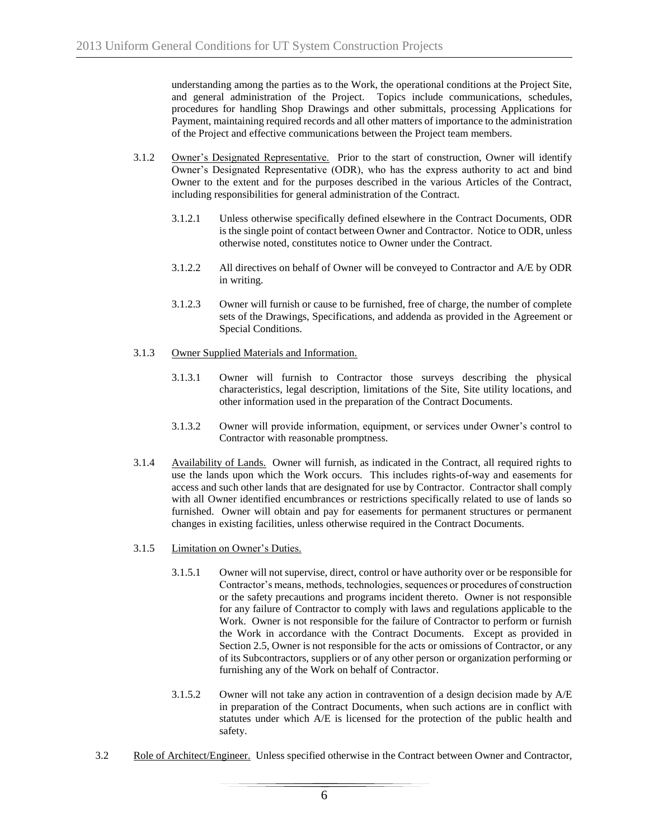understanding among the parties as to the Work, the operational conditions at the Project Site, and general administration of the Project. Topics include communications, schedules, procedures for handling Shop Drawings and other submittals, processing Applications for Payment, maintaining required records and all other matters of importance to the administration of the Project and effective communications between the Project team members.

- 3.1.2 Owner's Designated Representative. Prior to the start of construction, Owner will identify Owner's Designated Representative (ODR), who has the express authority to act and bind Owner to the extent and for the purposes described in the various Articles of the Contract, including responsibilities for general administration of the Contract.
	- 3.1.2.1 Unless otherwise specifically defined elsewhere in the Contract Documents, ODR is the single point of contact between Owner and Contractor. Notice to ODR, unless otherwise noted, constitutes notice to Owner under the Contract.
	- 3.1.2.2 All directives on behalf of Owner will be conveyed to Contractor and A/E by ODR in writing.
	- 3.1.2.3 Owner will furnish or cause to be furnished, free of charge, the number of complete sets of the Drawings, Specifications, and addenda as provided in the Agreement or Special Conditions.
- 3.1.3 Owner Supplied Materials and Information.
	- 3.1.3.1 Owner will furnish to Contractor those surveys describing the physical characteristics, legal description, limitations of the Site, Site utility locations, and other information used in the preparation of the Contract Documents.
	- 3.1.3.2 Owner will provide information, equipment, or services under Owner's control to Contractor with reasonable promptness.
- 3.1.4 Availability of Lands. Owner will furnish, as indicated in the Contract, all required rights to use the lands upon which the Work occurs. This includes rights-of-way and easements for access and such other lands that are designated for use by Contractor. Contractor shall comply with all Owner identified encumbrances or restrictions specifically related to use of lands so furnished. Owner will obtain and pay for easements for permanent structures or permanent changes in existing facilities, unless otherwise required in the Contract Documents.
- 3.1.5 Limitation on Owner's Duties.
	- 3.1.5.1 Owner will not supervise, direct, control or have authority over or be responsible for Contractor's means, methods, technologies, sequences or procedures of construction or the safety precautions and programs incident thereto. Owner is not responsible for any failure of Contractor to comply with laws and regulations applicable to the Work. Owner is not responsible for the failure of Contractor to perform or furnish the Work in accordance with the Contract Documents. Except as provided in Section 2.5, Owner is not responsible for the acts or omissions of Contractor, or any of its Subcontractors, suppliers or of any other person or organization performing or furnishing any of the Work on behalf of Contractor.
	- 3.1.5.2 Owner will not take any action in contravention of a design decision made by A/E in preparation of the Contract Documents, when such actions are in conflict with statutes under which A/E is licensed for the protection of the public health and safety.
- 3.2 Role of Architect/Engineer. Unless specified otherwise in the Contract between Owner and Contractor,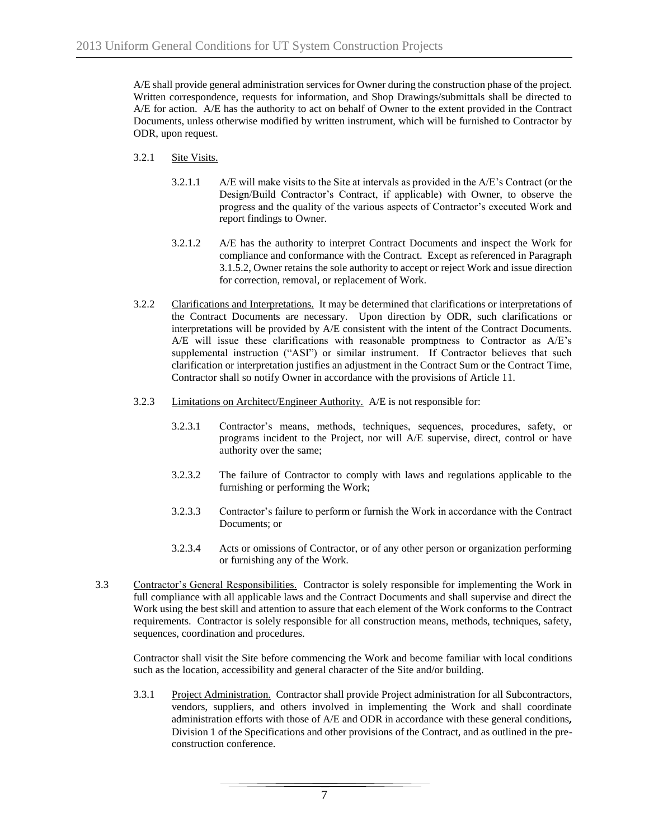A/E shall provide general administration services for Owner during the construction phase of the project. Written correspondence, requests for information, and Shop Drawings/submittals shall be directed to A/E for action. A/E has the authority to act on behalf of Owner to the extent provided in the Contract Documents, unless otherwise modified by written instrument, which will be furnished to Contractor by ODR, upon request.

- 3.2.1 Site Visits.
	- 3.2.1.1 A/E will make visits to the Site at intervals as provided in the A/E's Contract (or the Design/Build Contractor's Contract, if applicable) with Owner, to observe the progress and the quality of the various aspects of Contractor's executed Work and report findings to Owner.
	- 3.2.1.2 A/E has the authority to interpret Contract Documents and inspect the Work for compliance and conformance with the Contract. Except as referenced in Paragraph 3.1.5.2, Owner retains the sole authority to accept or reject Work and issue direction for correction, removal, or replacement of Work.
- 3.2.2 Clarifications and Interpretations. It may be determined that clarifications or interpretations of the Contract Documents are necessary. Upon direction by ODR, such clarifications or interpretations will be provided by A/E consistent with the intent of the Contract Documents. A/E will issue these clarifications with reasonable promptness to Contractor as A/E's supplemental instruction ("ASI") or similar instrument. If Contractor believes that such clarification or interpretation justifies an adjustment in the Contract Sum or the Contract Time, Contractor shall so notify Owner in accordance with the provisions of Article 11.
- 3.2.3 Limitations on Architect/Engineer Authority. A/E is not responsible for:
	- 3.2.3.1 Contractor's means, methods, techniques, sequences, procedures, safety, or programs incident to the Project, nor will A/E supervise, direct, control or have authority over the same;
	- 3.2.3.2 The failure of Contractor to comply with laws and regulations applicable to the furnishing or performing the Work;
	- 3.2.3.3 Contractor's failure to perform or furnish the Work in accordance with the Contract Documents; or
	- 3.2.3.4 Acts or omissions of Contractor, or of any other person or organization performing or furnishing any of the Work.
- 3.3 Contractor's General Responsibilities. Contractor is solely responsible for implementing the Work in full compliance with all applicable laws and the Contract Documents and shall supervise and direct the Work using the best skill and attention to assure that each element of the Work conforms to the Contract requirements. Contractor is solely responsible for all construction means, methods, techniques, safety, sequences, coordination and procedures.

Contractor shall visit the Site before commencing the Work and become familiar with local conditions such as the location, accessibility and general character of the Site and/or building.

3.3.1 Project Administration. Contractor shall provide Project administration for all Subcontractors, vendors, suppliers, and others involved in implementing the Work and shall coordinate administration efforts with those of A/E and ODR in accordance with these general conditions*,*  Division 1 of the Specifications and other provisions of the Contract, and as outlined in the preconstruction conference.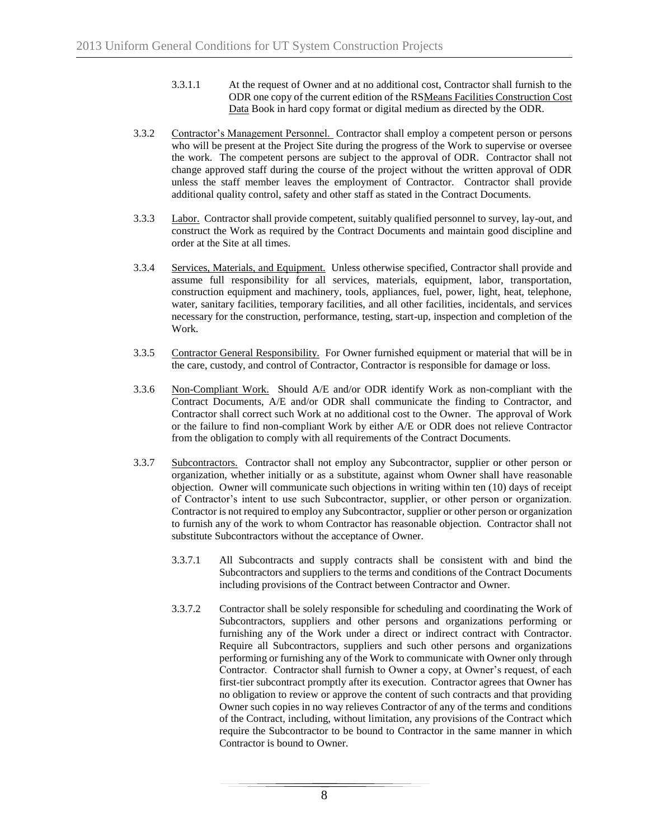- 3.3.1.1 At the request of Owner and at no additional cost, Contractor shall furnish to the ODR one copy of the current edition of the RSMeans Facilities Construction Cost Data Book in hard copy format or digital medium as directed by the ODR.
- 3.3.2 Contractor's Management Personnel. Contractor shall employ a competent person or persons who will be present at the Project Site during the progress of the Work to supervise or oversee the work. The competent persons are subject to the approval of ODR. Contractor shall not change approved staff during the course of the project without the written approval of ODR unless the staff member leaves the employment of Contractor. Contractor shall provide additional quality control, safety and other staff as stated in the Contract Documents.
- 3.3.3 Labor. Contractor shall provide competent, suitably qualified personnel to survey, lay-out, and construct the Work as required by the Contract Documents and maintain good discipline and order at the Site at all times.
- 3.3.4 Services, Materials, and Equipment. Unless otherwise specified, Contractor shall provide and assume full responsibility for all services, materials, equipment, labor, transportation, construction equipment and machinery, tools, appliances, fuel, power, light, heat, telephone, water, sanitary facilities, temporary facilities, and all other facilities, incidentals, and services necessary for the construction, performance, testing, start-up, inspection and completion of the Work.
- 3.3.5 Contractor General Responsibility. For Owner furnished equipment or material that will be in the care, custody, and control of Contractor, Contractor is responsible for damage or loss.
- 3.3.6 Non-Compliant Work. Should A/E and/or ODR identify Work as non-compliant with the Contract Documents, A/E and/or ODR shall communicate the finding to Contractor, and Contractor shall correct such Work at no additional cost to the Owner. The approval of Work or the failure to find non-compliant Work by either A/E or ODR does not relieve Contractor from the obligation to comply with all requirements of the Contract Documents.
- 3.3.7 Subcontractors. Contractor shall not employ any Subcontractor, supplier or other person or organization, whether initially or as a substitute, against whom Owner shall have reasonable objection. Owner will communicate such objections in writing within ten (10) days of receipt of Contractor's intent to use such Subcontractor, supplier, or other person or organization. Contractor is not required to employ any Subcontractor, supplier or other person or organization to furnish any of the work to whom Contractor has reasonable objection. Contractor shall not substitute Subcontractors without the acceptance of Owner.
	- 3.3.7.1 All Subcontracts and supply contracts shall be consistent with and bind the Subcontractors and suppliers to the terms and conditions of the Contract Documents including provisions of the Contract between Contractor and Owner.
	- 3.3.7.2 Contractor shall be solely responsible for scheduling and coordinating the Work of Subcontractors, suppliers and other persons and organizations performing or furnishing any of the Work under a direct or indirect contract with Contractor. Require all Subcontractors, suppliers and such other persons and organizations performing or furnishing any of the Work to communicate with Owner only through Contractor. Contractor shall furnish to Owner a copy, at Owner's request, of each first-tier subcontract promptly after its execution. Contractor agrees that Owner has no obligation to review or approve the content of such contracts and that providing Owner such copies in no way relieves Contractor of any of the terms and conditions of the Contract, including, without limitation, any provisions of the Contract which require the Subcontractor to be bound to Contractor in the same manner in which Contractor is bound to Owner.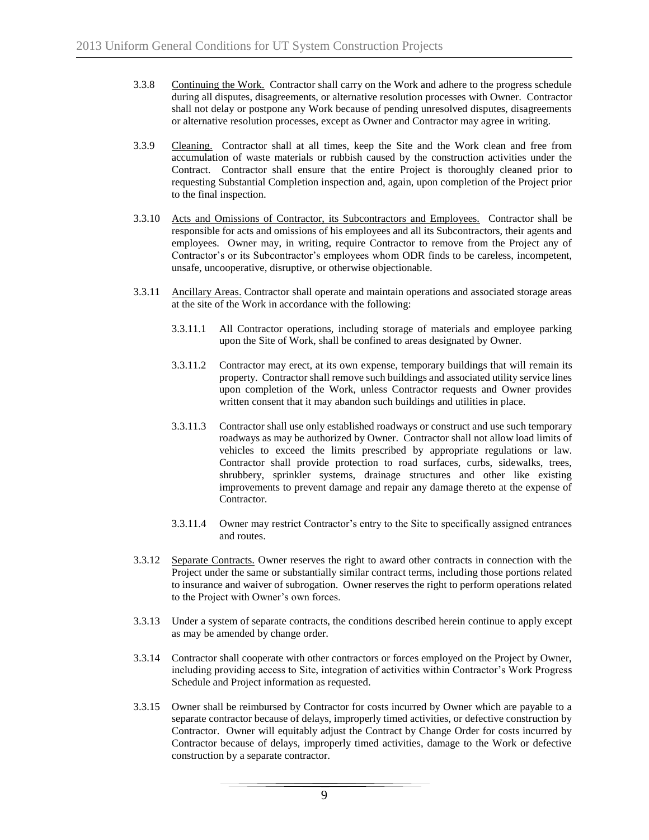- 3.3.8 Continuing the Work. Contractor shall carry on the Work and adhere to the progress schedule during all disputes, disagreements, or alternative resolution processes with Owner. Contractor shall not delay or postpone any Work because of pending unresolved disputes, disagreements or alternative resolution processes, except as Owner and Contractor may agree in writing.
- 3.3.9 Cleaning. Contractor shall at all times, keep the Site and the Work clean and free from accumulation of waste materials or rubbish caused by the construction activities under the Contract. Contractor shall ensure that the entire Project is thoroughly cleaned prior to requesting Substantial Completion inspection and, again, upon completion of the Project prior to the final inspection.
- 3.3.10 Acts and Omissions of Contractor, its Subcontractors and Employees. Contractor shall be responsible for acts and omissions of his employees and all its Subcontractors, their agents and employees. Owner may, in writing, require Contractor to remove from the Project any of Contractor's or its Subcontractor's employees whom ODR finds to be careless, incompetent, unsafe, uncooperative, disruptive, or otherwise objectionable.
- 3.3.11 Ancillary Areas. Contractor shall operate and maintain operations and associated storage areas at the site of the Work in accordance with the following:
	- 3.3.11.1 All Contractor operations, including storage of materials and employee parking upon the Site of Work, shall be confined to areas designated by Owner.
	- 3.3.11.2 Contractor may erect, at its own expense, temporary buildings that will remain its property. Contractor shall remove such buildings and associated utility service lines upon completion of the Work, unless Contractor requests and Owner provides written consent that it may abandon such buildings and utilities in place.
	- 3.3.11.3 Contractor shall use only established roadways or construct and use such temporary roadways as may be authorized by Owner. Contractor shall not allow load limits of vehicles to exceed the limits prescribed by appropriate regulations or law. Contractor shall provide protection to road surfaces, curbs, sidewalks, trees, shrubbery, sprinkler systems, drainage structures and other like existing improvements to prevent damage and repair any damage thereto at the expense of Contractor.
	- 3.3.11.4 Owner may restrict Contractor's entry to the Site to specifically assigned entrances and routes.
- 3.3.12 Separate Contracts. Owner reserves the right to award other contracts in connection with the Project under the same or substantially similar contract terms, including those portions related to insurance and waiver of subrogation. Owner reserves the right to perform operations related to the Project with Owner's own forces.
- 3.3.13 Under a system of separate contracts, the conditions described herein continue to apply except as may be amended by change order.
- 3.3.14 Contractor shall cooperate with other contractors or forces employed on the Project by Owner, including providing access to Site, integration of activities within Contractor's Work Progress Schedule and Project information as requested.
- 3.3.15 Owner shall be reimbursed by Contractor for costs incurred by Owner which are payable to a separate contractor because of delays, improperly timed activities, or defective construction by Contractor. Owner will equitably adjust the Contract by Change Order for costs incurred by Contractor because of delays, improperly timed activities, damage to the Work or defective construction by a separate contractor.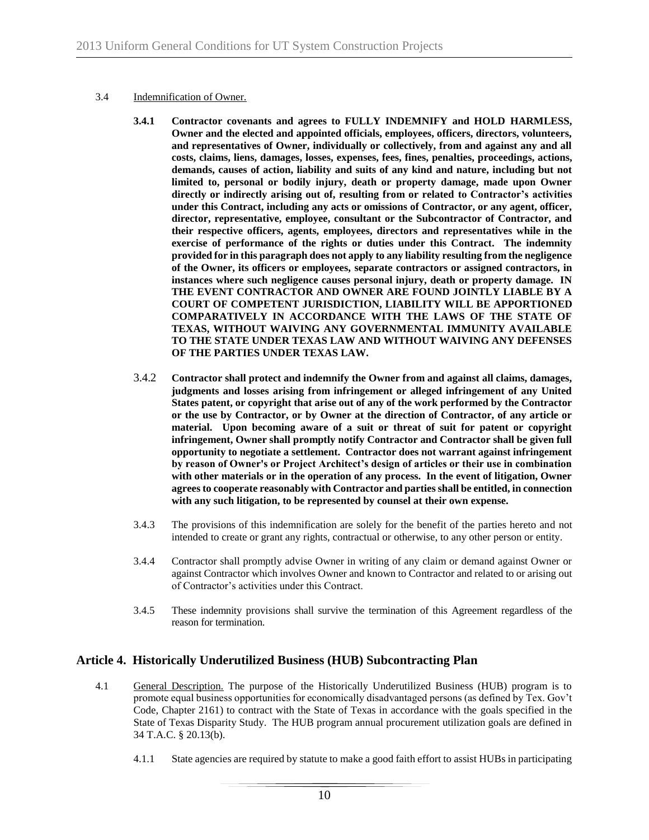#### 3.4 Indemnification of Owner.

- **3.4.1 Contractor covenants and agrees to FULLY INDEMNIFY and HOLD HARMLESS, Owner and the elected and appointed officials, employees, officers, directors, volunteers, and representatives of Owner, individually or collectively, from and against any and all costs, claims, liens, damages, losses, expenses, fees, fines, penalties, proceedings, actions, demands, causes of action, liability and suits of any kind and nature, including but not limited to, personal or bodily injury, death or property damage, made upon Owner directly or indirectly arising out of, resulting from or related to Contractor's activities under this Contract, including any acts or omissions of Contractor, or any agent, officer, director, representative, employee, consultant or the Subcontractor of Contractor, and their respective officers, agents, employees, directors and representatives while in the exercise of performance of the rights or duties under this Contract. The indemnity provided for in this paragraph does not apply to any liability resulting from the negligence of the Owner, its officers or employees, separate contractors or assigned contractors, in instances where such negligence causes personal injury, death or property damage. IN THE EVENT CONTRACTOR AND OWNER ARE FOUND JOINTLY LIABLE BY A COURT OF COMPETENT JURISDICTION, LIABILITY WILL BE APPORTIONED COMPARATIVELY IN ACCORDANCE WITH THE LAWS OF THE STATE OF TEXAS, WITHOUT WAIVING ANY GOVERNMENTAL IMMUNITY AVAILABLE TO THE STATE UNDER TEXAS LAW AND WITHOUT WAIVING ANY DEFENSES OF THE PARTIES UNDER TEXAS LAW.**
- 3.4.2 **Contractor shall protect and indemnify the Owner from and against all claims, damages, judgments and losses arising from infringement or alleged infringement of any United States patent, or copyright that arise out of any of the work performed by the Contractor or the use by Contractor, or by Owner at the direction of Contractor, of any article or material. Upon becoming aware of a suit or threat of suit for patent or copyright infringement, Owner shall promptly notify Contractor and Contractor shall be given full opportunity to negotiate a settlement. Contractor does not warrant against infringement by reason of Owner's or Project Architect's design of articles or their use in combination with other materials or in the operation of any process. In the event of litigation, Owner agrees to cooperate reasonably with Contractor and parties shall be entitled, in connection with any such litigation, to be represented by counsel at their own expense.**
- 3.4.3 The provisions of this indemnification are solely for the benefit of the parties hereto and not intended to create or grant any rights, contractual or otherwise, to any other person or entity.
- 3.4.4 Contractor shall promptly advise Owner in writing of any claim or demand against Owner or against Contractor which involves Owner and known to Contractor and related to or arising out of Contractor's activities under this Contract.
- 3.4.5 These indemnity provisions shall survive the termination of this Agreement regardless of the reason for termination.

# **Article 4. Historically Underutilized Business (HUB) Subcontracting Plan**

- 4.1 General Description. The purpose of the Historically Underutilized Business (HUB) program is to promote equal business opportunities for economically disadvantaged persons (as defined by Tex. Gov't Code, Chapter 2161) to contract with the State of Texas in accordance with the goals specified in the State of Texas Disparity Study. The HUB program annual procurement utilization goals are defined in 34 T.A.C. § 20.13(b).
	- 4.1.1 State agencies are required by statute to make a good faith effort to assist HUBs in participating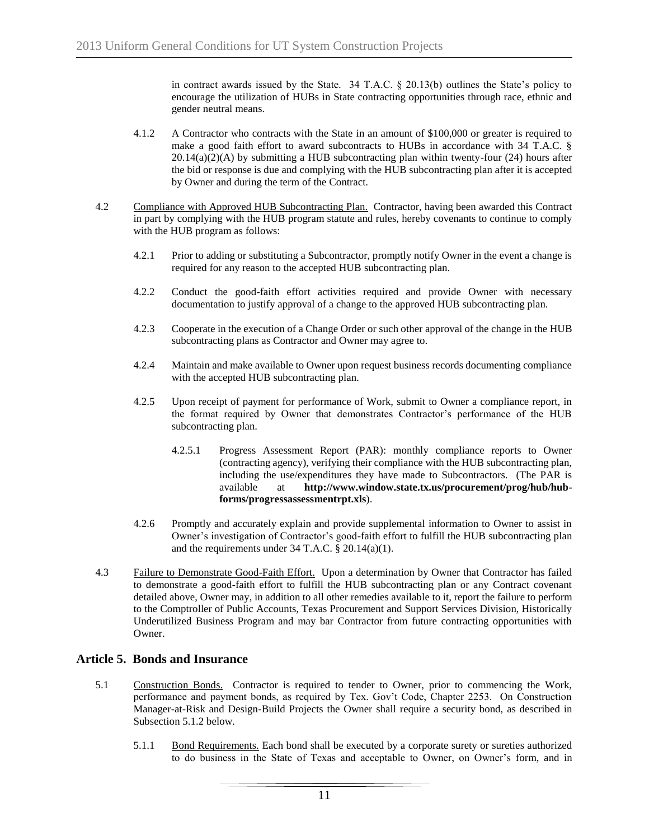in contract awards issued by the State. 34 T.A.C. § 20.13(b) outlines the State's policy to encourage the utilization of HUBs in State contracting opportunities through race, ethnic and gender neutral means.

- 4.1.2 A Contractor who contracts with the State in an amount of \$100,000 or greater is required to make a good faith effort to award subcontracts to HUBs in accordance with 34 T.A.C. §  $20.14(a)(2)(A)$  by submitting a HUB subcontracting plan within twenty-four (24) hours after the bid or response is due and complying with the HUB subcontracting plan after it is accepted by Owner and during the term of the Contract.
- 4.2 Compliance with Approved HUB Subcontracting Plan. Contractor, having been awarded this Contract in part by complying with the HUB program statute and rules, hereby covenants to continue to comply with the HUB program as follows:
	- 4.2.1 Prior to adding or substituting a Subcontractor, promptly notify Owner in the event a change is required for any reason to the accepted HUB subcontracting plan.
	- 4.2.2 Conduct the good-faith effort activities required and provide Owner with necessary documentation to justify approval of a change to the approved HUB subcontracting plan.
	- 4.2.3 Cooperate in the execution of a Change Order or such other approval of the change in the HUB subcontracting plans as Contractor and Owner may agree to.
	- 4.2.4 Maintain and make available to Owner upon request business records documenting compliance with the accepted HUB subcontracting plan.
	- 4.2.5 Upon receipt of payment for performance of Work, submit to Owner a compliance report, in the format required by Owner that demonstrates Contractor's performance of the HUB subcontracting plan.
		- 4.2.5.1 Progress Assessment Report (PAR): monthly compliance reports to Owner (contracting agency), verifying their compliance with the HUB subcontracting plan, including the use/expenditures they have made to Subcontractors. (The PAR is available at **http://www.window.state.tx.us/procurement/prog/hub/hubforms/progressassessmentrpt.xls**).
	- 4.2.6 Promptly and accurately explain and provide supplemental information to Owner to assist in Owner's investigation of Contractor's good-faith effort to fulfill the HUB subcontracting plan and the requirements under 34 T.A.C. § 20.14(a)(1).
- 4.3 Failure to Demonstrate Good-Faith Effort. Upon a determination by Owner that Contractor has failed to demonstrate a good-faith effort to fulfill the HUB subcontracting plan or any Contract covenant detailed above, Owner may, in addition to all other remedies available to it, report the failure to perform to the Comptroller of Public Accounts, Texas Procurement and Support Services Division, Historically Underutilized Business Program and may bar Contractor from future contracting opportunities with Owner.

# **Article 5. Bonds and Insurance**

- 5.1 Construction Bonds. Contractor is required to tender to Owner, prior to commencing the Work, performance and payment bonds, as required by Tex. Gov't Code, Chapter 2253. On Construction Manager-at-Risk and Design-Build Projects the Owner shall require a security bond, as described in Subsection 5.1.2 below.
	- 5.1.1 Bond Requirements. Each bond shall be executed by a corporate surety or sureties authorized to do business in the State of Texas and acceptable to Owner, on Owner's form, and in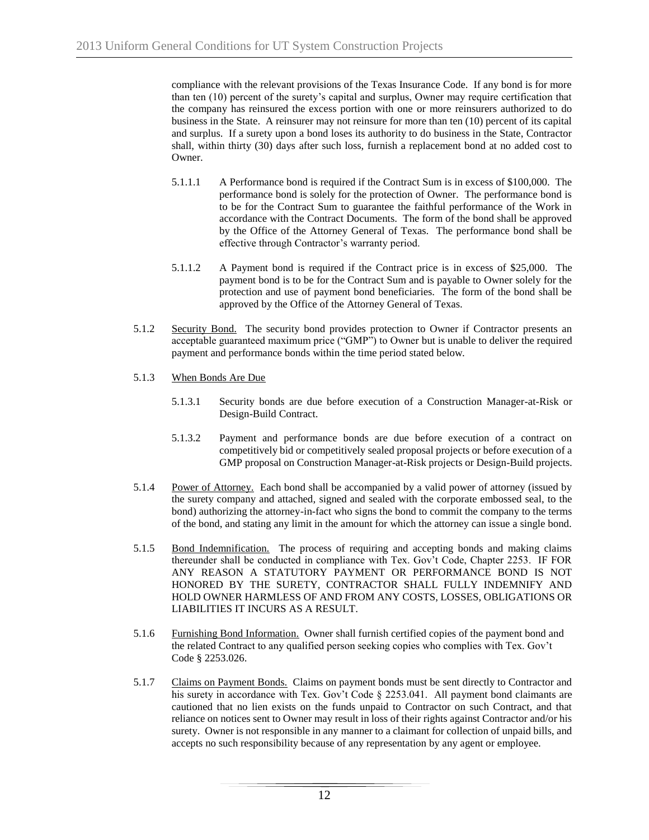compliance with the relevant provisions of the Texas Insurance Code. If any bond is for more than ten (10) percent of the surety's capital and surplus, Owner may require certification that the company has reinsured the excess portion with one or more reinsurers authorized to do business in the State. A reinsurer may not reinsure for more than ten (10) percent of its capital and surplus. If a surety upon a bond loses its authority to do business in the State, Contractor shall, within thirty (30) days after such loss, furnish a replacement bond at no added cost to Owner.

- 5.1.1.1 A Performance bond is required if the Contract Sum is in excess of \$100,000. The performance bond is solely for the protection of Owner. The performance bond is to be for the Contract Sum to guarantee the faithful performance of the Work in accordance with the Contract Documents. The form of the bond shall be approved by the Office of the Attorney General of Texas. The performance bond shall be effective through Contractor's warranty period.
- 5.1.1.2 A Payment bond is required if the Contract price is in excess of \$25,000. The payment bond is to be for the Contract Sum and is payable to Owner solely for the protection and use of payment bond beneficiaries. The form of the bond shall be approved by the Office of the Attorney General of Texas.
- 5.1.2 Security Bond. The security bond provides protection to Owner if Contractor presents an acceptable guaranteed maximum price ("GMP") to Owner but is unable to deliver the required payment and performance bonds within the time period stated below.
- 5.1.3 When Bonds Are Due
	- 5.1.3.1 Security bonds are due before execution of a Construction Manager-at-Risk or Design-Build Contract.
	- 5.1.3.2 Payment and performance bonds are due before execution of a contract on competitively bid or competitively sealed proposal projects or before execution of a GMP proposal on Construction Manager-at-Risk projects or Design-Build projects.
- 5.1.4 Power of Attorney. Each bond shall be accompanied by a valid power of attorney (issued by the surety company and attached, signed and sealed with the corporate embossed seal, to the bond) authorizing the attorney-in-fact who signs the bond to commit the company to the terms of the bond, and stating any limit in the amount for which the attorney can issue a single bond.
- 5.1.5 Bond Indemnification. The process of requiring and accepting bonds and making claims thereunder shall be conducted in compliance with Tex. Gov't Code, Chapter 2253. IF FOR ANY REASON A STATUTORY PAYMENT OR PERFORMANCE BOND IS NOT HONORED BY THE SURETY, CONTRACTOR SHALL FULLY INDEMNIFY AND HOLD OWNER HARMLESS OF AND FROM ANY COSTS, LOSSES, OBLIGATIONS OR LIABILITIES IT INCURS AS A RESULT.
- 5.1.6 Furnishing Bond Information. Owner shall furnish certified copies of the payment bond and the related Contract to any qualified person seeking copies who complies with Tex. Gov't Code § 2253.026.
- 5.1.7 Claims on Payment Bonds. Claims on payment bonds must be sent directly to Contractor and his surety in accordance with Tex. Gov't Code § 2253.041. All payment bond claimants are cautioned that no lien exists on the funds unpaid to Contractor on such Contract, and that reliance on notices sent to Owner may result in loss of their rights against Contractor and/or his surety. Owner is not responsible in any manner to a claimant for collection of unpaid bills, and accepts no such responsibility because of any representation by any agent or employee.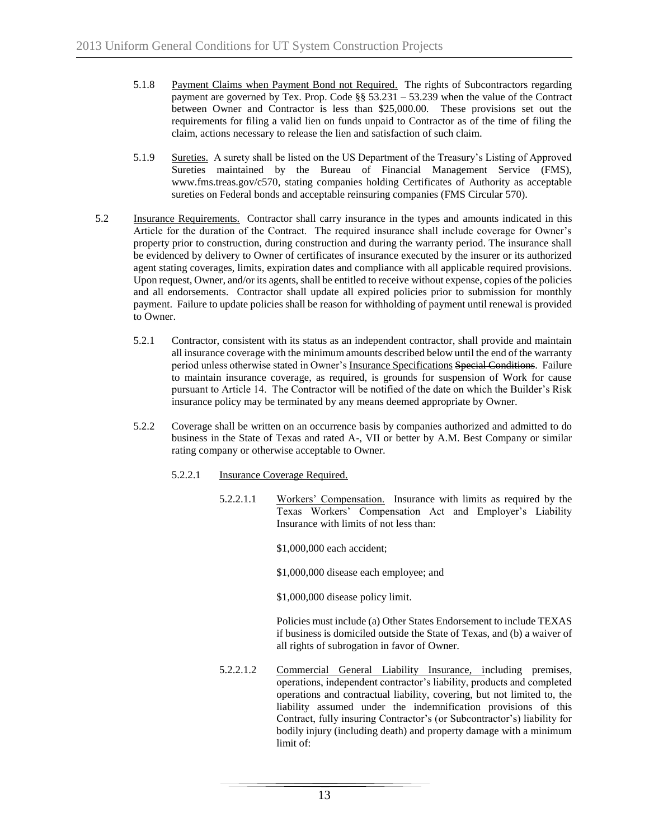- 5.1.8 Payment Claims when Payment Bond not Required. The rights of Subcontractors regarding payment are governed by Tex. Prop. Code §§ 53.231 – 53.239 when the value of the Contract between Owner and Contractor is less than \$25,000.00. These provisions set out the requirements for filing a valid lien on funds unpaid to Contractor as of the time of filing the claim, actions necessary to release the lien and satisfaction of such claim.
- 5.1.9 Sureties. A surety shall be listed on the US Department of the Treasury's Listing of Approved Sureties maintained by the Bureau of Financial Management Service (FMS), www.fms.treas.gov/c570, stating companies holding Certificates of Authority as acceptable sureties on Federal bonds and acceptable reinsuring companies (FMS Circular 570).
- 5.2 Insurance Requirements. Contractor shall carry insurance in the types and amounts indicated in this Article for the duration of the Contract. The required insurance shall include coverage for Owner's property prior to construction, during construction and during the warranty period. The insurance shall be evidenced by delivery to Owner of certificates of insurance executed by the insurer or its authorized agent stating coverages, limits, expiration dates and compliance with all applicable required provisions. Upon request, Owner, and/or its agents, shall be entitled to receive without expense, copies of the policies and all endorsements. Contractor shall update all expired policies prior to submission for monthly payment. Failure to update policies shall be reason for withholding of payment until renewal is provided to Owner.
	- 5.2.1 Contractor, consistent with its status as an independent contractor, shall provide and maintain all insurance coverage with the minimum amounts described below until the end of the warranty period unless otherwise stated in Owner's Insurance Specifications Special Conditions. Failure to maintain insurance coverage, as required, is grounds for suspension of Work for cause pursuant to Article 14. The Contractor will be notified of the date on which the Builder's Risk insurance policy may be terminated by any means deemed appropriate by Owner.
	- 5.2.2 Coverage shall be written on an occurrence basis by companies authorized and admitted to do business in the State of Texas and rated A-, VII or better by A.M. Best Company or similar rating company or otherwise acceptable to Owner.
		- 5.2.2.1 Insurance Coverage Required.
			- 5.2.2.1.1 Workers' Compensation. Insurance with limits as required by the Texas Workers' Compensation Act and Employer's Liability Insurance with limits of not less than:
				- \$1,000,000 each accident;
				- \$1,000,000 disease each employee; and
				- \$1,000,000 disease policy limit.

Policies must include (a) Other States Endorsement to include TEXAS if business is domiciled outside the State of Texas, and (b) a waiver of all rights of subrogation in favor of Owner.

5.2.2.1.2 Commercial General Liability Insurance, including premises, operations, independent contractor's liability, products and completed operations and contractual liability, covering, but not limited to, the liability assumed under the indemnification provisions of this Contract, fully insuring Contractor's (or Subcontractor's) liability for bodily injury (including death) and property damage with a minimum limit of: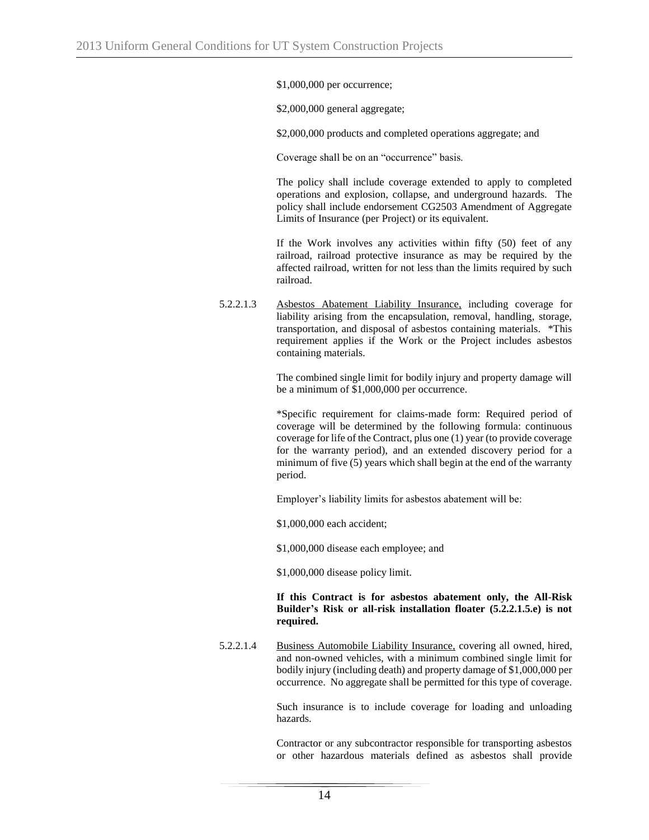\$1,000,000 per occurrence;

\$2,000,000 general aggregate;

\$2,000,000 products and completed operations aggregate; and

Coverage shall be on an "occurrence" basis.

The policy shall include coverage extended to apply to completed operations and explosion, collapse, and underground hazards. The policy shall include endorsement CG2503 Amendment of Aggregate Limits of Insurance (per Project) or its equivalent.

If the Work involves any activities within fifty (50) feet of any railroad, railroad protective insurance as may be required by the affected railroad, written for not less than the limits required by such railroad.

5.2.2.1.3 Asbestos Abatement Liability Insurance, including coverage for liability arising from the encapsulation, removal, handling, storage, transportation, and disposal of asbestos containing materials. \*This requirement applies if the Work or the Project includes asbestos containing materials.

> The combined single limit for bodily injury and property damage will be a minimum of \$1,000,000 per occurrence.

> \*Specific requirement for claims-made form: Required period of coverage will be determined by the following formula: continuous coverage for life of the Contract, plus one (1) year (to provide coverage for the warranty period), and an extended discovery period for a minimum of five (5) years which shall begin at the end of the warranty period.

Employer's liability limits for asbestos abatement will be:

\$1,000,000 each accident;

\$1,000,000 disease each employee; and

\$1,000,000 disease policy limit.

#### **If this Contract is for asbestos abatement only, the All-Risk Builder's Risk or all-risk installation floater (5.2.2.1.5.e) is not required.**

5.2.2.1.4 Business Automobile Liability Insurance, covering all owned, hired, and non-owned vehicles, with a minimum combined single limit for bodily injury (including death) and property damage of \$1,000,000 per occurrence. No aggregate shall be permitted for this type of coverage.

> Such insurance is to include coverage for loading and unloading hazards.

> Contractor or any subcontractor responsible for transporting asbestos or other hazardous materials defined as asbestos shall provide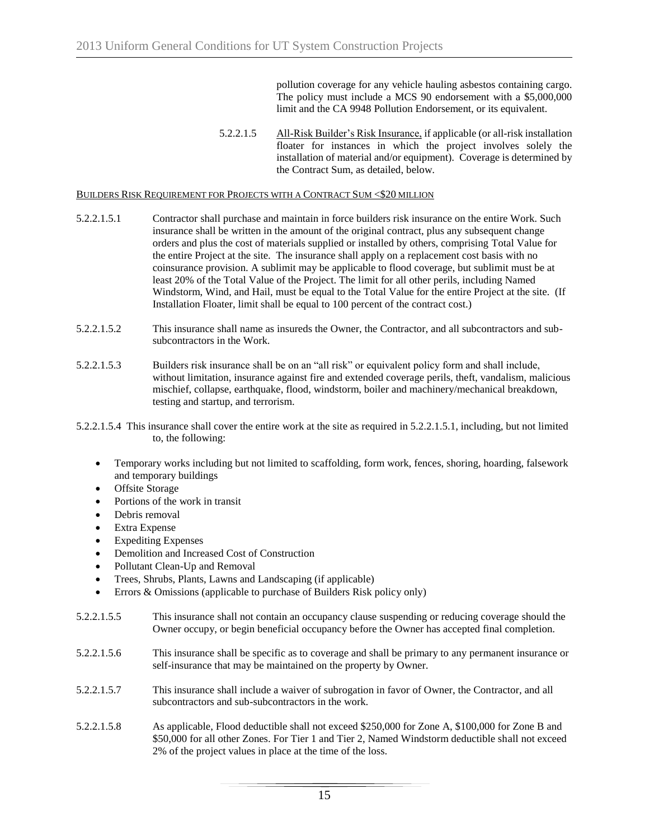pollution coverage for any vehicle hauling asbestos containing cargo. The policy must include a MCS 90 endorsement with a \$5,000,000 limit and the CA 9948 Pollution Endorsement, or its equivalent.

5.2.2.1.5 All-Risk Builder's Risk Insurance, if applicable (or all-risk installation floater for instances in which the project involves solely the installation of material and/or equipment). Coverage is determined by the Contract Sum, as detailed, below.

#### BUILDERS RISK REQUIREMENT FOR PROJECTS WITH A CONTRACT SUM <\$20 MILLION

- 5.2.2.1.5.1 Contractor shall purchase and maintain in force builders risk insurance on the entire Work. Such insurance shall be written in the amount of the original contract, plus any subsequent change orders and plus the cost of materials supplied or installed by others, comprising Total Value for the entire Project at the site. The insurance shall apply on a replacement cost basis with no coinsurance provision. A sublimit may be applicable to flood coverage, but sublimit must be at least 20% of the Total Value of the Project. The limit for all other perils, including Named Windstorm, Wind, and Hail, must be equal to the Total Value for the entire Project at the site. (If Installation Floater, limit shall be equal to 100 percent of the contract cost.)
- 5.2.2.1.5.2 This insurance shall name as insureds the Owner, the Contractor, and all subcontractors and subsubcontractors in the Work.
- 5.2.2.1.5.3 Builders risk insurance shall be on an "all risk" or equivalent policy form and shall include, without limitation, insurance against fire and extended coverage perils, theft, vandalism, malicious mischief, collapse, earthquake, flood, windstorm, boiler and machinery/mechanical breakdown, testing and startup, and terrorism.
- 5.2.2.1.5.4 This insurance shall cover the entire work at the site as required in 5.2.2.1.5.1, including, but not limited to, the following:
	- Temporary works including but not limited to scaffolding, form work, fences, shoring, hoarding, falsework and temporary buildings
	- Offsite Storage
	- Portions of the work in transit
	- Debris removal
	- Extra Expense
	- Expediting Expenses
	- Demolition and Increased Cost of Construction
	- Pollutant Clean-Up and Removal
	- Trees, Shrubs, Plants, Lawns and Landscaping (if applicable)
	- Errors & Omissions (applicable to purchase of Builders Risk policy only)
- 5.2.2.1.5.5 This insurance shall not contain an occupancy clause suspending or reducing coverage should the Owner occupy, or begin beneficial occupancy before the Owner has accepted final completion.
- 5.2.2.1.5.6 This insurance shall be specific as to coverage and shall be primary to any permanent insurance or self-insurance that may be maintained on the property by Owner.
- 5.2.2.1.5.7 This insurance shall include a waiver of subrogation in favor of Owner, the Contractor, and all subcontractors and sub-subcontractors in the work.
- 5.2.2.1.5.8 As applicable, Flood deductible shall not exceed \$250,000 for Zone A, \$100,000 for Zone B and \$50,000 for all other Zones. For Tier 1 and Tier 2, Named Windstorm deductible shall not exceed 2% of the project values in place at the time of the loss.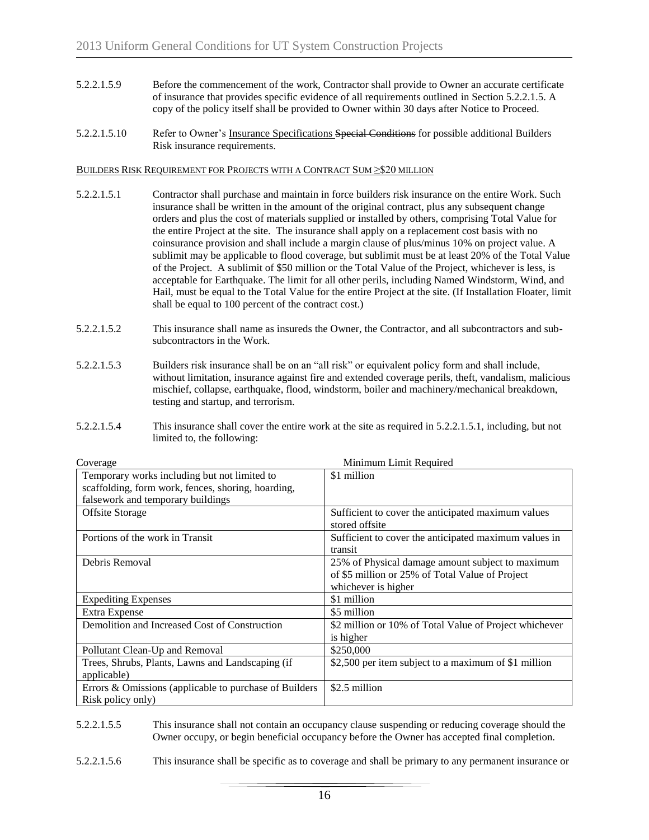- 5.2.2.1.5.9 Before the commencement of the work, Contractor shall provide to Owner an accurate certificate of insurance that provides specific evidence of all requirements outlined in Section 5.2.2.1.5. A copy of the policy itself shall be provided to Owner within 30 days after Notice to Proceed.
- 5.2.2.1.5.10 Refer to Owner's Insurance Specifications Special Conditions for possible additional Builders Risk insurance requirements.

#### BUILDERS RISK REQUIREMENT FOR PROJECTS WITH A CONTRACT SUM ≥\$20 MILLION

- 5.2.2.1.5.1 Contractor shall purchase and maintain in force builders risk insurance on the entire Work. Such insurance shall be written in the amount of the original contract, plus any subsequent change orders and plus the cost of materials supplied or installed by others, comprising Total Value for the entire Project at the site. The insurance shall apply on a replacement cost basis with no coinsurance provision and shall include a margin clause of plus/minus 10% on project value. A sublimit may be applicable to flood coverage, but sublimit must be at least 20% of the Total Value of the Project. A sublimit of \$50 million or the Total Value of the Project, whichever is less, is acceptable for Earthquake. The limit for all other perils, including Named Windstorm, Wind, and Hail, must be equal to the Total Value for the entire Project at the site. (If Installation Floater, limit shall be equal to 100 percent of the contract cost.)
- 5.2.2.1.5.2 This insurance shall name as insureds the Owner, the Contractor, and all subcontractors and subsubcontractors in the Work.
- 5.2.2.1.5.3 Builders risk insurance shall be on an "all risk" or equivalent policy form and shall include, without limitation, insurance against fire and extended coverage perils, theft, vandalism, malicious mischief, collapse, earthquake, flood, windstorm, boiler and machinery/mechanical breakdown, testing and startup, and terrorism.
- 5.2.2.1.5.4 This insurance shall cover the entire work at the site as required in 5.2.2.1.5.1, including, but not limited to, the following:

| Minimum Limit Required<br>Coverage                     |                                                        |  |
|--------------------------------------------------------|--------------------------------------------------------|--|
| Temporary works including but not limited to           | \$1 million                                            |  |
| scaffolding, form work, fences, shoring, hoarding,     |                                                        |  |
| falsework and temporary buildings                      |                                                        |  |
| Offsite Storage                                        | Sufficient to cover the anticipated maximum values     |  |
|                                                        | stored offsite                                         |  |
| Portions of the work in Transit                        | Sufficient to cover the anticipated maximum values in  |  |
|                                                        | transit                                                |  |
| Debris Removal                                         | 25% of Physical damage amount subject to maximum       |  |
|                                                        | of \$5 million or 25% of Total Value of Project        |  |
|                                                        | whichever is higher                                    |  |
| <b>Expediting Expenses</b>                             | \$1 million                                            |  |
| Extra Expense                                          | \$5 million                                            |  |
| Demolition and Increased Cost of Construction          | \$2 million or 10% of Total Value of Project whichever |  |
|                                                        | is higher                                              |  |
| Pollutant Clean-Up and Removal                         | \$250,000                                              |  |
| Trees, Shrubs, Plants, Lawns and Landscaping (if       | \$2,500 per item subject to a maximum of \$1 million   |  |
| applicable)                                            |                                                        |  |
| Errors & Omissions (applicable to purchase of Builders | \$2.5 million                                          |  |
| Risk policy only)                                      |                                                        |  |

#### 5.2.2.1.5.5 This insurance shall not contain an occupancy clause suspending or reducing coverage should the Owner occupy, or begin beneficial occupancy before the Owner has accepted final completion.

5.2.2.1.5.6 This insurance shall be specific as to coverage and shall be primary to any permanent insurance or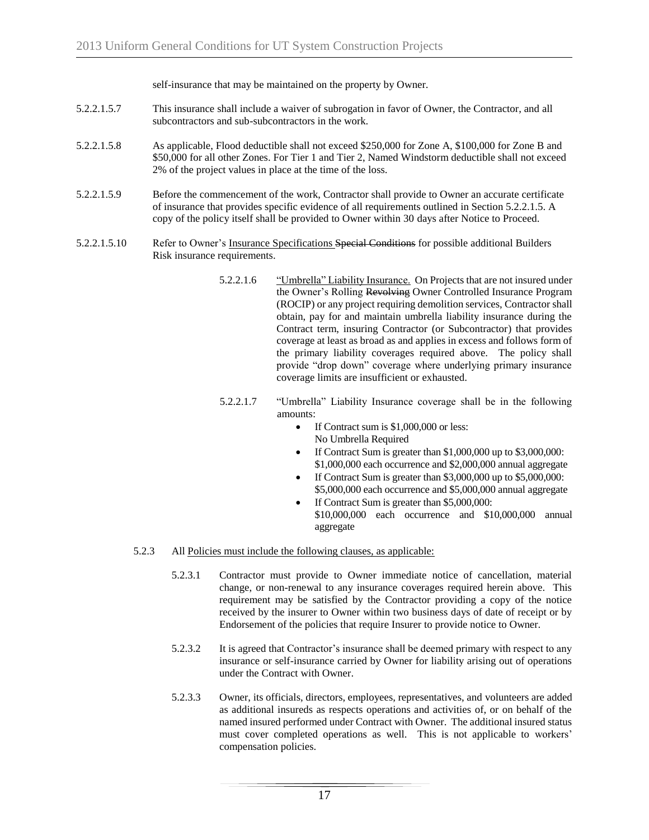self-insurance that may be maintained on the property by Owner.

- 5.2.2.1.5.7 This insurance shall include a waiver of subrogation in favor of Owner, the Contractor, and all subcontractors and sub-subcontractors in the work.
- 5.2.2.1.5.8 As applicable, Flood deductible shall not exceed \$250,000 for Zone A, \$100,000 for Zone B and \$50,000 for all other Zones. For Tier 1 and Tier 2, Named Windstorm deductible shall not exceed 2% of the project values in place at the time of the loss.
- 5.2.2.1.5.9 Before the commencement of the work, Contractor shall provide to Owner an accurate certificate of insurance that provides specific evidence of all requirements outlined in Section 5.2.2.1.5. A copy of the policy itself shall be provided to Owner within 30 days after Notice to Proceed.
- 5.2.2.1.5.10 Refer to Owner's Insurance Specifications Special Conditions for possible additional Builders Risk insurance requirements.
	- 5.2.2.1.6 "Umbrella" Liability Insurance. On Projects that are not insured under the Owner's Rolling Revolving Owner Controlled Insurance Program (ROCIP) or any project requiring demolition services, Contractor shall obtain, pay for and maintain umbrella liability insurance during the Contract term, insuring Contractor (or Subcontractor) that provides coverage at least as broad as and applies in excess and follows form of the primary liability coverages required above. The policy shall provide "drop down" coverage where underlying primary insurance coverage limits are insufficient or exhausted.
	- 5.2.2.1.7 "Umbrella" Liability Insurance coverage shall be in the following amounts:
		- If Contract sum is \$1,000,000 or less: No Umbrella Required
		- If Contract Sum is greater than \$1,000,000 up to \$3,000,000: \$1,000,000 each occurrence and \$2,000,000 annual aggregate
		- If Contract Sum is greater than \$3,000,000 up to \$5,000,000: \$5,000,000 each occurrence and \$5,000,000 annual aggregate
		- If Contract Sum is greater than \$5,000,000: \$10,000,000 each occurrence and \$10,000,000 annual aggregate

#### 5.2.3 All Policies must include the following clauses, as applicable:

- 5.2.3.1 Contractor must provide to Owner immediate notice of cancellation, material change, or non-renewal to any insurance coverages required herein above. This requirement may be satisfied by the Contractor providing a copy of the notice received by the insurer to Owner within two business days of date of receipt or by Endorsement of the policies that require Insurer to provide notice to Owner.
- 5.2.3.2 It is agreed that Contractor's insurance shall be deemed primary with respect to any insurance or self-insurance carried by Owner for liability arising out of operations under the Contract with Owner.
- 5.2.3.3 Owner, its officials, directors, employees, representatives, and volunteers are added as additional insureds as respects operations and activities of, or on behalf of the named insured performed under Contract with Owner. The additional insured status must cover completed operations as well. This is not applicable to workers' compensation policies.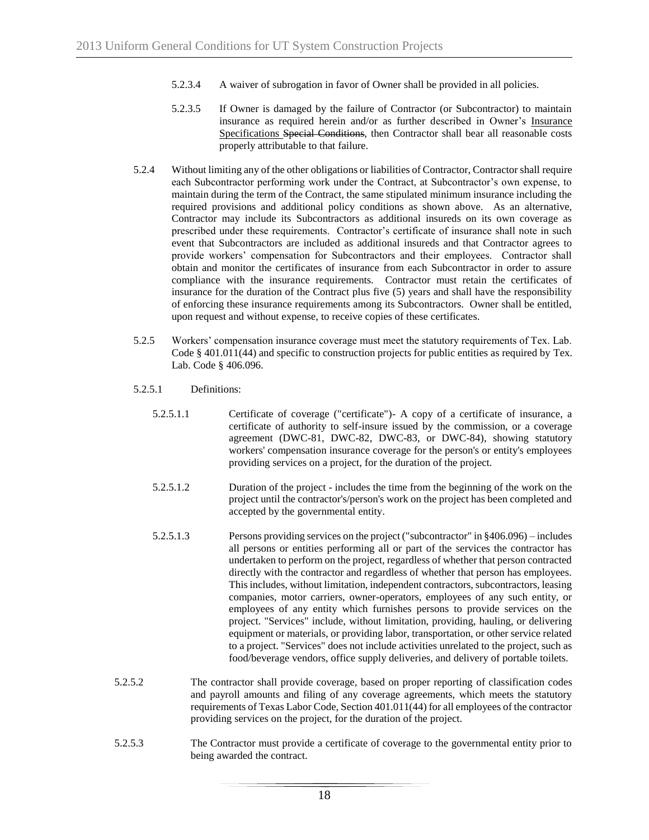- 5.2.3.4 A waiver of subrogation in favor of Owner shall be provided in all policies.
- 5.2.3.5 If Owner is damaged by the failure of Contractor (or Subcontractor) to maintain insurance as required herein and/or as further described in Owner's Insurance Specifications Special Conditions, then Contractor shall bear all reasonable costs properly attributable to that failure.
- 5.2.4 Without limiting any of the other obligations or liabilities of Contractor, Contractor shall require each Subcontractor performing work under the Contract, at Subcontractor's own expense, to maintain during the term of the Contract, the same stipulated minimum insurance including the required provisions and additional policy conditions as shown above. As an alternative, Contractor may include its Subcontractors as additional insureds on its own coverage as prescribed under these requirements. Contractor's certificate of insurance shall note in such event that Subcontractors are included as additional insureds and that Contractor agrees to provide workers' compensation for Subcontractors and their employees. Contractor shall obtain and monitor the certificates of insurance from each Subcontractor in order to assure compliance with the insurance requirements. Contractor must retain the certificates of insurance for the duration of the Contract plus five (5) years and shall have the responsibility of enforcing these insurance requirements among its Subcontractors. Owner shall be entitled, upon request and without expense, to receive copies of these certificates.
- 5.2.5 Workers' compensation insurance coverage must meet the statutory requirements of Tex. Lab. Code § 401.011(44) and specific to construction projects for public entities as required by Tex. Lab. Code § 406.096.
- 5.2.5.1 Definitions:
	- 5.2.5.1.1 Certificate of coverage ("certificate")- A copy of a certificate of insurance, a certificate of authority to self-insure issued by the commission, or a coverage agreement (DWC-81, DWC-82, DWC-83, or DWC-84), showing statutory workers' compensation insurance coverage for the person's or entity's employees providing services on a project, for the duration of the project.
	- 5.2.5.1.2 Duration of the project includes the time from the beginning of the work on the project until the contractor's/person's work on the project has been completed and accepted by the governmental entity.
	- 5.2.5.1.3 Persons providing services on the project ("subcontractor" in §406.096) includes all persons or entities performing all or part of the services the contractor has undertaken to perform on the project, regardless of whether that person contracted directly with the contractor and regardless of whether that person has employees. This includes, without limitation, independent contractors, subcontractors, leasing companies, motor carriers, owner-operators, employees of any such entity, or employees of any entity which furnishes persons to provide services on the project. "Services" include, without limitation, providing, hauling, or delivering equipment or materials, or providing labor, transportation, or other service related to a project. "Services" does not include activities unrelated to the project, such as food/beverage vendors, office supply deliveries, and delivery of portable toilets.
- 5.2.5.2 The contractor shall provide coverage, based on proper reporting of classification codes and payroll amounts and filing of any coverage agreements, which meets the statutory requirements of Texas Labor Code, Section 401.011(44) for all employees of the contractor providing services on the project, for the duration of the project.
- 5.2.5.3 The Contractor must provide a certificate of coverage to the governmental entity prior to being awarded the contract.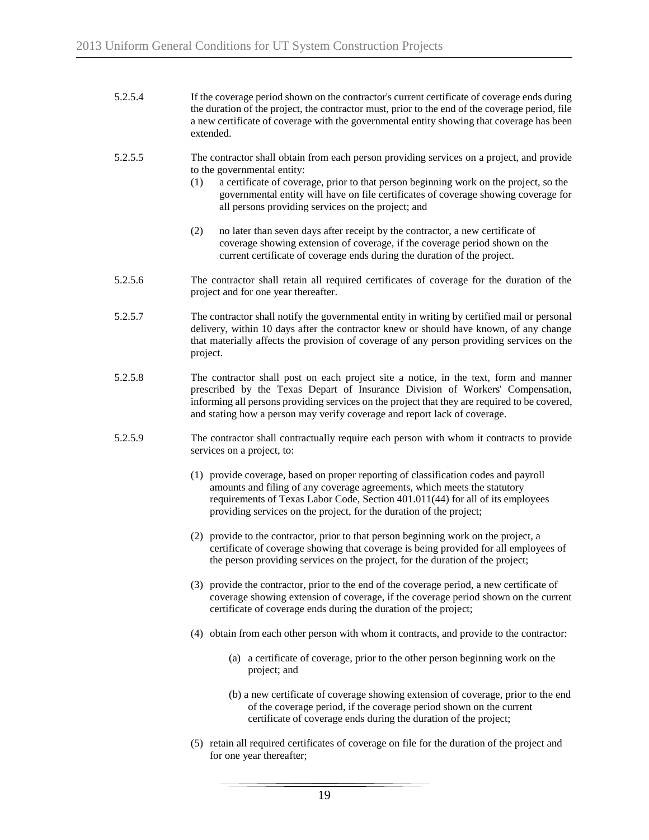| 5.2.5.4 | If the coverage period shown on the contractor's current certificate of coverage ends during    |  |  |
|---------|-------------------------------------------------------------------------------------------------|--|--|
|         | the duration of the project, the contractor must, prior to the end of the coverage period, file |  |  |
|         | a new certificate of coverage with the governmental entity showing that coverage has been       |  |  |
|         | extended.                                                                                       |  |  |

- 5.2.5.5 The contractor shall obtain from each person providing services on a project, and provide to the governmental entity:
	- (1) a certificate of coverage, prior to that person beginning work on the project, so the governmental entity will have on file certificates of coverage showing coverage for all persons providing services on the project; and
	- (2) no later than seven days after receipt by the contractor, a new certificate of coverage showing extension of coverage, if the coverage period shown on the current certificate of coverage ends during the duration of the project.
- 5.2.5.6 The contractor shall retain all required certificates of coverage for the duration of the project and for one year thereafter.
- 5.2.5.7 The contractor shall notify the governmental entity in writing by certified mail or personal delivery, within 10 days after the contractor knew or should have known, of any change that materially affects the provision of coverage of any person providing services on the project.
- 5.2.5.8 The contractor shall post on each project site a notice, in the text, form and manner prescribed by the Texas Depart of Insurance Division of Workers' Compensation, informing all persons providing services on the project that they are required to be covered, and stating how a person may verify coverage and report lack of coverage.
- 5.2.5.9 The contractor shall contractually require each person with whom it contracts to provide services on a project, to:
	- (1) provide coverage, based on proper reporting of classification codes and payroll amounts and filing of any coverage agreements, which meets the statutory requirements of Texas Labor Code, Section 401.011(44) for all of its employees providing services on the project, for the duration of the project;
	- (2) provide to the contractor, prior to that person beginning work on the project, a certificate of coverage showing that coverage is being provided for all employees of the person providing services on the project, for the duration of the project;
	- (3) provide the contractor, prior to the end of the coverage period, a new certificate of coverage showing extension of coverage, if the coverage period shown on the current certificate of coverage ends during the duration of the project;
	- (4) obtain from each other person with whom it contracts, and provide to the contractor:
		- (a) a certificate of coverage, prior to the other person beginning work on the project; and
		- (b) a new certificate of coverage showing extension of coverage, prior to the end of the coverage period, if the coverage period shown on the current certificate of coverage ends during the duration of the project;
	- (5) retain all required certificates of coverage on file for the duration of the project and for one year thereafter;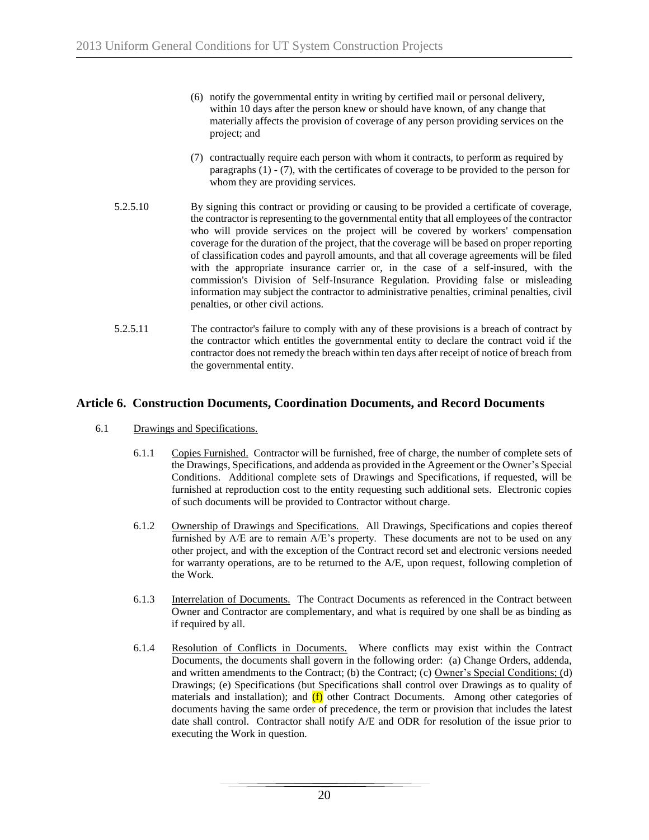- (6) notify the governmental entity in writing by certified mail or personal delivery, within 10 days after the person knew or should have known, of any change that materially affects the provision of coverage of any person providing services on the project; and
- (7) contractually require each person with whom it contracts, to perform as required by paragraphs (1) - (7), with the certificates of coverage to be provided to the person for whom they are providing services.
- 5.2.5.10 By signing this contract or providing or causing to be provided a certificate of coverage, the contractor is representing to the governmental entity that all employees of the contractor who will provide services on the project will be covered by workers' compensation coverage for the duration of the project, that the coverage will be based on proper reporting of classification codes and payroll amounts, and that all coverage agreements will be filed with the appropriate insurance carrier or, in the case of a self-insured, with the commission's Division of Self-Insurance Regulation. Providing false or misleading information may subject the contractor to administrative penalties, criminal penalties, civil penalties, or other civil actions.
- 5.2.5.11 The contractor's failure to comply with any of these provisions is a breach of contract by the contractor which entitles the governmental entity to declare the contract void if the contractor does not remedy the breach within ten days after receipt of notice of breach from the governmental entity.

# **Article 6. Construction Documents, Coordination Documents, and Record Documents**

- 6.1 Drawings and Specifications.
	- 6.1.1 Copies Furnished. Contractor will be furnished, free of charge, the number of complete sets of the Drawings, Specifications, and addenda as provided in the Agreement or the Owner's Special Conditions. Additional complete sets of Drawings and Specifications, if requested, will be furnished at reproduction cost to the entity requesting such additional sets. Electronic copies of such documents will be provided to Contractor without charge.
	- 6.1.2 Ownership of Drawings and Specifications. All Drawings, Specifications and copies thereof furnished by A/E are to remain A/E's property. These documents are not to be used on any other project, and with the exception of the Contract record set and electronic versions needed for warranty operations, are to be returned to the A/E, upon request, following completion of the Work.
	- 6.1.3 Interrelation of Documents. The Contract Documents as referenced in the Contract between Owner and Contractor are complementary, and what is required by one shall be as binding as if required by all.
	- 6.1.4 Resolution of Conflicts in Documents. Where conflicts may exist within the Contract Documents, the documents shall govern in the following order: (a) Change Orders, addenda, and written amendments to the Contract; (b) the Contract; (c) Owner's Special Conditions; (d) Drawings; (e) Specifications (but Specifications shall control over Drawings as to quality of materials and installation); and  $(f)$  other Contract Documents. Among other categories of documents having the same order of precedence, the term or provision that includes the latest date shall control. Contractor shall notify A/E and ODR for resolution of the issue prior to executing the Work in question.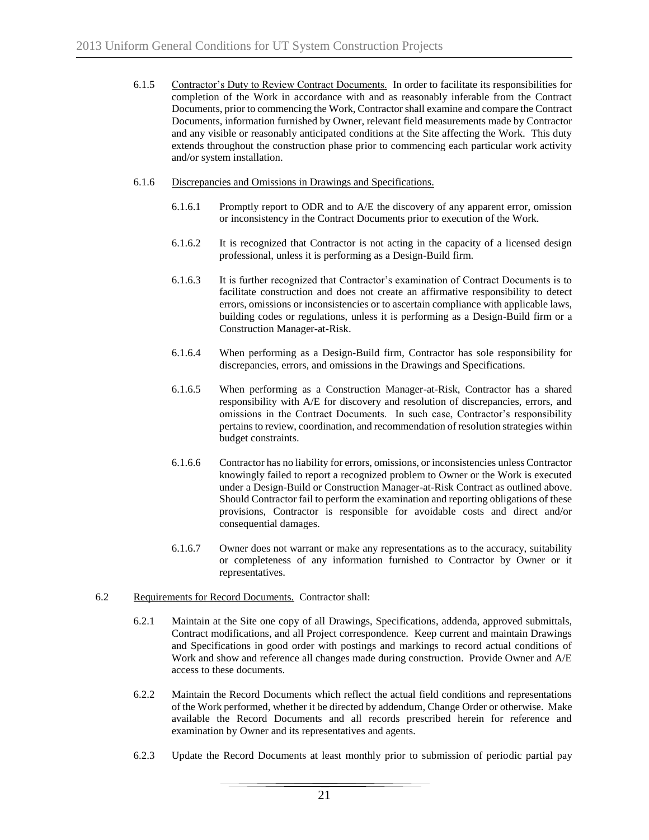- 6.1.5 Contractor's Duty to Review Contract Documents. In order to facilitate its responsibilities for completion of the Work in accordance with and as reasonably inferable from the Contract Documents, prior to commencing the Work, Contractor shall examine and compare the Contract Documents, information furnished by Owner, relevant field measurements made by Contractor and any visible or reasonably anticipated conditions at the Site affecting the Work. This duty extends throughout the construction phase prior to commencing each particular work activity and/or system installation.
- 6.1.6 Discrepancies and Omissions in Drawings and Specifications.
	- 6.1.6.1 Promptly report to ODR and to A/E the discovery of any apparent error, omission or inconsistency in the Contract Documents prior to execution of the Work.
	- 6.1.6.2 It is recognized that Contractor is not acting in the capacity of a licensed design professional, unless it is performing as a Design-Build firm.
	- 6.1.6.3 It is further recognized that Contractor's examination of Contract Documents is to facilitate construction and does not create an affirmative responsibility to detect errors, omissions or inconsistencies or to ascertain compliance with applicable laws, building codes or regulations, unless it is performing as a Design-Build firm or a Construction Manager-at-Risk.
	- 6.1.6.4 When performing as a Design-Build firm, Contractor has sole responsibility for discrepancies, errors, and omissions in the Drawings and Specifications.
	- 6.1.6.5 When performing as a Construction Manager-at-Risk, Contractor has a shared responsibility with A/E for discovery and resolution of discrepancies, errors, and omissions in the Contract Documents. In such case, Contractor's responsibility pertains to review, coordination, and recommendation of resolution strategies within budget constraints.
	- 6.1.6.6 Contractor has no liability for errors, omissions, or inconsistencies unless Contractor knowingly failed to report a recognized problem to Owner or the Work is executed under a Design-Build or Construction Manager-at-Risk Contract as outlined above. Should Contractor fail to perform the examination and reporting obligations of these provisions, Contractor is responsible for avoidable costs and direct and/or consequential damages.
	- 6.1.6.7 Owner does not warrant or make any representations as to the accuracy, suitability or completeness of any information furnished to Contractor by Owner or it representatives.
- 6.2 Requirements for Record Documents. Contractor shall:
	- 6.2.1 Maintain at the Site one copy of all Drawings, Specifications, addenda, approved submittals, Contract modifications, and all Project correspondence. Keep current and maintain Drawings and Specifications in good order with postings and markings to record actual conditions of Work and show and reference all changes made during construction. Provide Owner and A/E access to these documents.
	- 6.2.2 Maintain the Record Documents which reflect the actual field conditions and representations of the Work performed, whether it be directed by addendum, Change Order or otherwise. Make available the Record Documents and all records prescribed herein for reference and examination by Owner and its representatives and agents.
	- 6.2.3 Update the Record Documents at least monthly prior to submission of periodic partial pay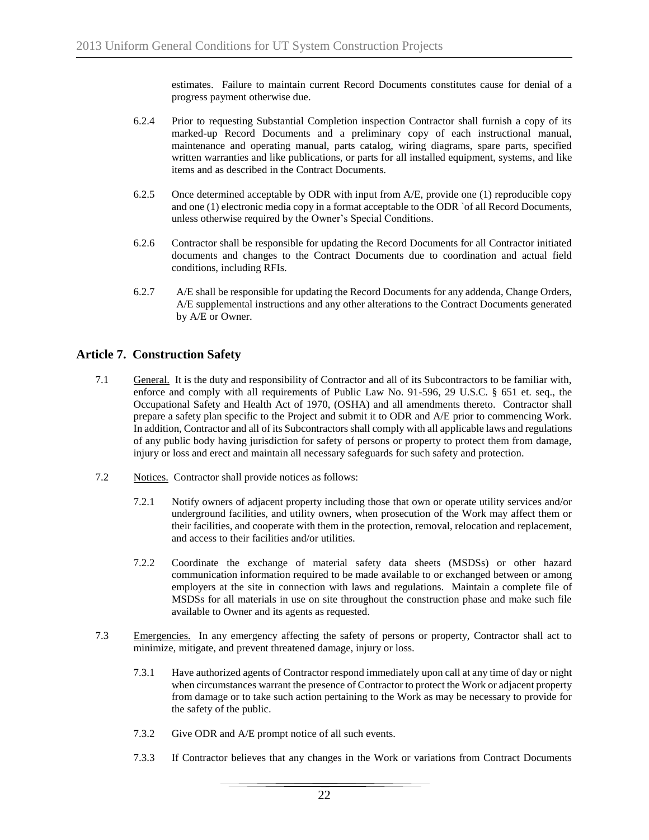estimates. Failure to maintain current Record Documents constitutes cause for denial of a progress payment otherwise due.

- 6.2.4 Prior to requesting Substantial Completion inspection Contractor shall furnish a copy of its marked-up Record Documents and a preliminary copy of each instructional manual, maintenance and operating manual, parts catalog, wiring diagrams, spare parts, specified written warranties and like publications, or parts for all installed equipment, systems, and like items and as described in the Contract Documents.
- 6.2.5 Once determined acceptable by ODR with input from  $A/E$ , provide one (1) reproducible copy and one (1) electronic media copy in a format acceptable to the ODR `of all Record Documents, unless otherwise required by the Owner's Special Conditions.
- 6.2.6 Contractor shall be responsible for updating the Record Documents for all Contractor initiated documents and changes to the Contract Documents due to coordination and actual field conditions, including RFIs.
- 6.2.7 A/E shall be responsible for updating the Record Documents for any addenda, Change Orders, A/E supplemental instructions and any other alterations to the Contract Documents generated by A/E or Owner.

# **Article 7. Construction Safety**

- 7.1 General. It is the duty and responsibility of Contractor and all of its Subcontractors to be familiar with, enforce and comply with all requirements of Public Law No. 91-596, 29 U.S.C. § 651 et. seq., the Occupational Safety and Health Act of 1970, (OSHA) and all amendments thereto. Contractor shall prepare a safety plan specific to the Project and submit it to ODR and A/E prior to commencing Work. In addition, Contractor and all of its Subcontractors shall comply with all applicable laws and regulations of any public body having jurisdiction for safety of persons or property to protect them from damage, injury or loss and erect and maintain all necessary safeguards for such safety and protection.
- 7.2 Notices. Contractor shall provide notices as follows:
	- 7.2.1 Notify owners of adjacent property including those that own or operate utility services and/or underground facilities, and utility owners, when prosecution of the Work may affect them or their facilities, and cooperate with them in the protection, removal, relocation and replacement, and access to their facilities and/or utilities.
	- 7.2.2 Coordinate the exchange of material safety data sheets (MSDSs) or other hazard communication information required to be made available to or exchanged between or among employers at the site in connection with laws and regulations. Maintain a complete file of MSDSs for all materials in use on site throughout the construction phase and make such file available to Owner and its agents as requested.
- 7.3 Emergencies. In any emergency affecting the safety of persons or property, Contractor shall act to minimize, mitigate, and prevent threatened damage, injury or loss.
	- 7.3.1 Have authorized agents of Contractor respond immediately upon call at any time of day or night when circumstances warrant the presence of Contractor to protect the Work or adjacent property from damage or to take such action pertaining to the Work as may be necessary to provide for the safety of the public.
	- 7.3.2 Give ODR and A/E prompt notice of all such events.
	- 7.3.3 If Contractor believes that any changes in the Work or variations from Contract Documents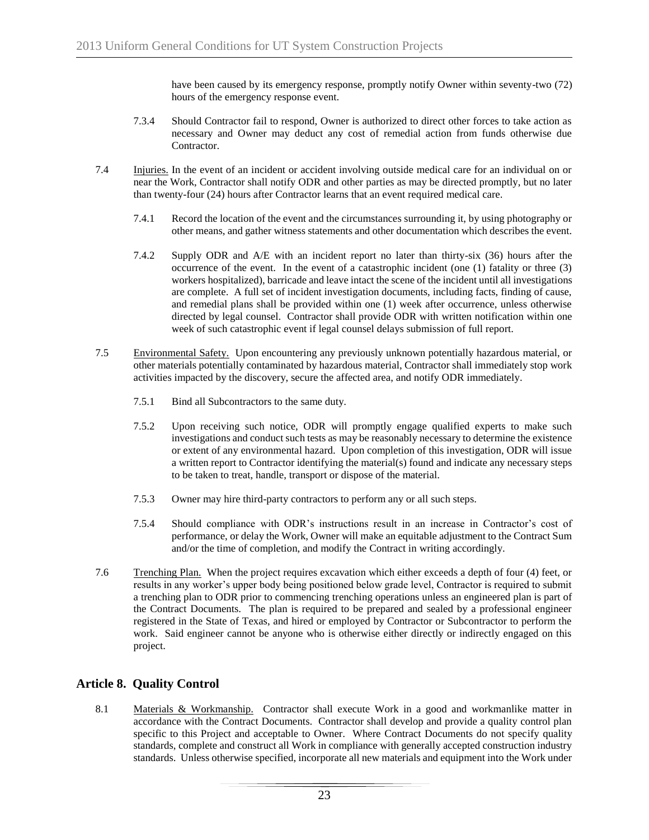have been caused by its emergency response, promptly notify Owner within seventy-two (72) hours of the emergency response event.

- 7.3.4 Should Contractor fail to respond, Owner is authorized to direct other forces to take action as necessary and Owner may deduct any cost of remedial action from funds otherwise due Contractor.
- 7.4 Injuries. In the event of an incident or accident involving outside medical care for an individual on or near the Work, Contractor shall notify ODR and other parties as may be directed promptly, but no later than twenty-four (24) hours after Contractor learns that an event required medical care.
	- 7.4.1 Record the location of the event and the circumstances surrounding it, by using photography or other means, and gather witness statements and other documentation which describes the event.
	- 7.4.2 Supply ODR and A/E with an incident report no later than thirty-six (36) hours after the occurrence of the event. In the event of a catastrophic incident (one (1) fatality or three (3) workers hospitalized), barricade and leave intact the scene of the incident until all investigations are complete. A full set of incident investigation documents, including facts, finding of cause, and remedial plans shall be provided within one (1) week after occurrence, unless otherwise directed by legal counsel. Contractor shall provide ODR with written notification within one week of such catastrophic event if legal counsel delays submission of full report.
- 7.5 Environmental Safety. Upon encountering any previously unknown potentially hazardous material, or other materials potentially contaminated by hazardous material, Contractor shall immediately stop work activities impacted by the discovery, secure the affected area, and notify ODR immediately.
	- 7.5.1 Bind all Subcontractors to the same duty.
	- 7.5.2 Upon receiving such notice, ODR will promptly engage qualified experts to make such investigations and conduct such tests as may be reasonably necessary to determine the existence or extent of any environmental hazard. Upon completion of this investigation, ODR will issue a written report to Contractor identifying the material(s) found and indicate any necessary steps to be taken to treat, handle, transport or dispose of the material.
	- 7.5.3 Owner may hire third-party contractors to perform any or all such steps.
	- 7.5.4 Should compliance with ODR's instructions result in an increase in Contractor's cost of performance, or delay the Work, Owner will make an equitable adjustment to the Contract Sum and/or the time of completion, and modify the Contract in writing accordingly.
- 7.6 Trenching Plan. When the project requires excavation which either exceeds a depth of four (4) feet, or results in any worker's upper body being positioned below grade level, Contractor is required to submit a trenching plan to ODR prior to commencing trenching operations unless an engineered plan is part of the Contract Documents. The plan is required to be prepared and sealed by a professional engineer registered in the State of Texas, and hired or employed by Contractor or Subcontractor to perform the work. Said engineer cannot be anyone who is otherwise either directly or indirectly engaged on this project.

# **Article 8. Quality Control**

8.1 Materials & Workmanship. Contractor shall execute Work in a good and workmanlike matter in accordance with the Contract Documents. Contractor shall develop and provide a quality control plan specific to this Project and acceptable to Owner. Where Contract Documents do not specify quality standards, complete and construct all Work in compliance with generally accepted construction industry standards. Unless otherwise specified, incorporate all new materials and equipment into the Work under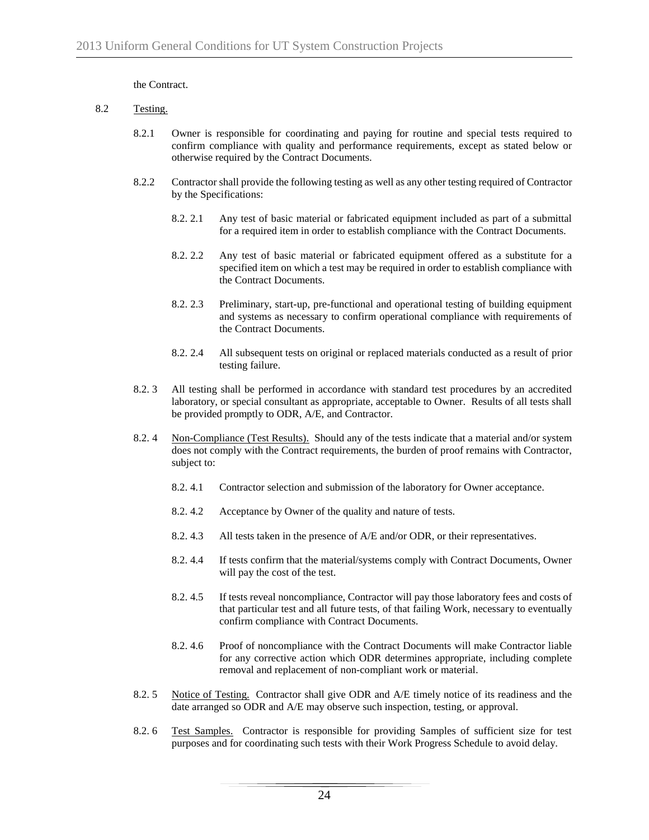the Contract.

- 8.2 Testing.
	- 8.2.1 Owner is responsible for coordinating and paying for routine and special tests required to confirm compliance with quality and performance requirements, except as stated below or otherwise required by the Contract Documents.
	- 8.2.2 Contractor shall provide the following testing as well as any other testing required of Contractor by the Specifications:
		- 8.2. 2.1 Any test of basic material or fabricated equipment included as part of a submittal for a required item in order to establish compliance with the Contract Documents.
		- 8.2. 2.2 Any test of basic material or fabricated equipment offered as a substitute for a specified item on which a test may be required in order to establish compliance with the Contract Documents.
		- 8.2. 2.3 Preliminary, start-up, pre-functional and operational testing of building equipment and systems as necessary to confirm operational compliance with requirements of the Contract Documents.
		- 8.2. 2.4 All subsequent tests on original or replaced materials conducted as a result of prior testing failure.
	- 8.2. 3 All testing shall be performed in accordance with standard test procedures by an accredited laboratory, or special consultant as appropriate, acceptable to Owner. Results of all tests shall be provided promptly to ODR, A/E, and Contractor.
	- 8.2. 4 Non-Compliance (Test Results). Should any of the tests indicate that a material and/or system does not comply with the Contract requirements, the burden of proof remains with Contractor, subject to:
		- 8.2. 4.1 Contractor selection and submission of the laboratory for Owner acceptance.
		- 8.2. 4.2 Acceptance by Owner of the quality and nature of tests.
		- 8.2. 4.3 All tests taken in the presence of A/E and/or ODR, or their representatives.
		- 8.2. 4.4 If tests confirm that the material/systems comply with Contract Documents, Owner will pay the cost of the test.
		- 8.2. 4.5 If tests reveal noncompliance, Contractor will pay those laboratory fees and costs of that particular test and all future tests, of that failing Work, necessary to eventually confirm compliance with Contract Documents.
		- 8.2. 4.6 Proof of noncompliance with the Contract Documents will make Contractor liable for any corrective action which ODR determines appropriate, including complete removal and replacement of non-compliant work or material.
	- 8.2. 5 Notice of Testing. Contractor shall give ODR and A/E timely notice of its readiness and the date arranged so ODR and A/E may observe such inspection, testing, or approval.
	- 8.2. 6 Test Samples. Contractor is responsible for providing Samples of sufficient size for test purposes and for coordinating such tests with their Work Progress Schedule to avoid delay.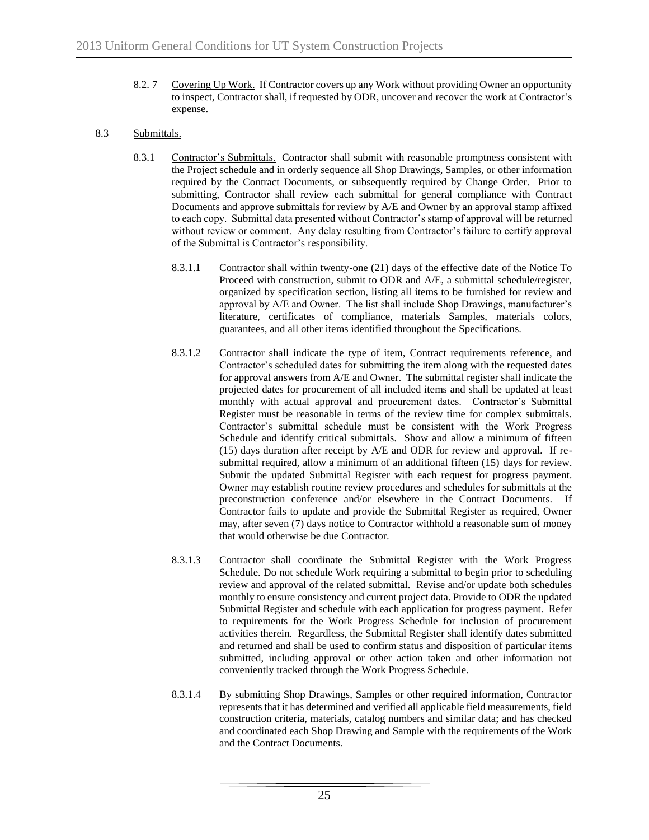- 8.2. 7 Covering Up Work. If Contractor covers up any Work without providing Owner an opportunity to inspect, Contractor shall, if requested by ODR, uncover and recover the work at Contractor's expense.
- 8.3 Submittals.
	- 8.3.1 Contractor's Submittals. Contractor shall submit with reasonable promptness consistent with the Project schedule and in orderly sequence all Shop Drawings, Samples, or other information required by the Contract Documents, or subsequently required by Change Order. Prior to submitting, Contractor shall review each submittal for general compliance with Contract Documents and approve submittals for review by A/E and Owner by an approval stamp affixed to each copy. Submittal data presented without Contractor's stamp of approval will be returned without review or comment. Any delay resulting from Contractor's failure to certify approval of the Submittal is Contractor's responsibility.
		- 8.3.1.1 Contractor shall within twenty-one (21) days of the effective date of the Notice To Proceed with construction, submit to ODR and A/E, a submittal schedule/register, organized by specification section, listing all items to be furnished for review and approval by A/E and Owner. The list shall include Shop Drawings, manufacturer's literature, certificates of compliance, materials Samples, materials colors, guarantees, and all other items identified throughout the Specifications.
		- 8.3.1.2 Contractor shall indicate the type of item, Contract requirements reference, and Contractor's scheduled dates for submitting the item along with the requested dates for approval answers from A/E and Owner. The submittal register shall indicate the projected dates for procurement of all included items and shall be updated at least monthly with actual approval and procurement dates. Contractor's Submittal Register must be reasonable in terms of the review time for complex submittals. Contractor's submittal schedule must be consistent with the Work Progress Schedule and identify critical submittals. Show and allow a minimum of fifteen (15) days duration after receipt by A/E and ODR for review and approval. If resubmittal required, allow a minimum of an additional fifteen (15) days for review. Submit the updated Submittal Register with each request for progress payment. Owner may establish routine review procedures and schedules for submittals at the preconstruction conference and/or elsewhere in the Contract Documents. If Contractor fails to update and provide the Submittal Register as required, Owner may, after seven (7) days notice to Contractor withhold a reasonable sum of money that would otherwise be due Contractor.
		- 8.3.1.3 Contractor shall coordinate the Submittal Register with the Work Progress Schedule. Do not schedule Work requiring a submittal to begin prior to scheduling review and approval of the related submittal. Revise and/or update both schedules monthly to ensure consistency and current project data. Provide to ODR the updated Submittal Register and schedule with each application for progress payment. Refer to requirements for the Work Progress Schedule for inclusion of procurement activities therein. Regardless, the Submittal Register shall identify dates submitted and returned and shall be used to confirm status and disposition of particular items submitted, including approval or other action taken and other information not conveniently tracked through the Work Progress Schedule.
		- 8.3.1.4 By submitting Shop Drawings, Samples or other required information, Contractor represents that it has determined and verified all applicable field measurements, field construction criteria, materials, catalog numbers and similar data; and has checked and coordinated each Shop Drawing and Sample with the requirements of the Work and the Contract Documents.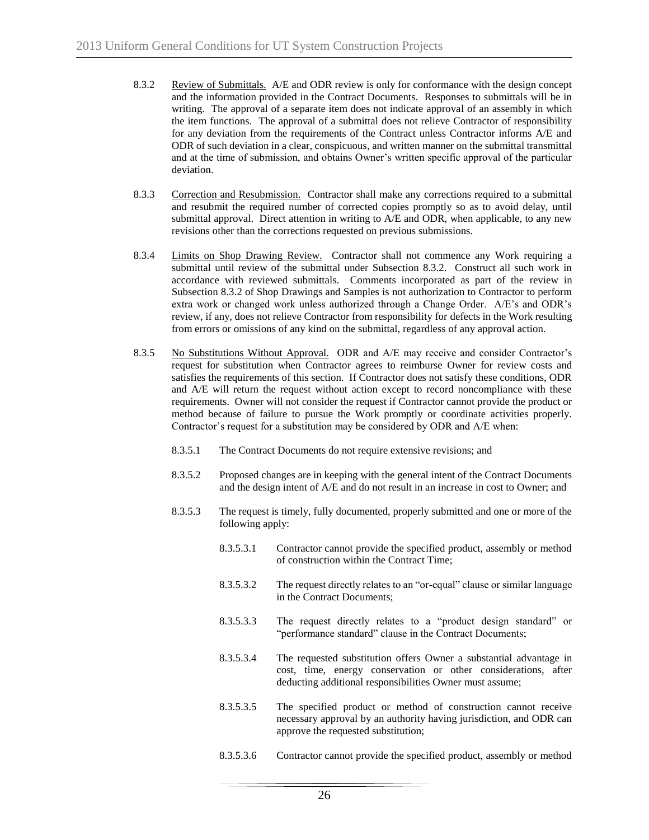- 8.3.2 Review of Submittals. A/E and ODR review is only for conformance with the design concept and the information provided in the Contract Documents. Responses to submittals will be in writing. The approval of a separate item does not indicate approval of an assembly in which the item functions. The approval of a submittal does not relieve Contractor of responsibility for any deviation from the requirements of the Contract unless Contractor informs A/E and ODR of such deviation in a clear, conspicuous, and written manner on the submittal transmittal and at the time of submission, and obtains Owner's written specific approval of the particular deviation.
- 8.3.3 Correction and Resubmission. Contractor shall make any corrections required to a submittal and resubmit the required number of corrected copies promptly so as to avoid delay, until submittal approval. Direct attention in writing to A/E and ODR, when applicable, to any new revisions other than the corrections requested on previous submissions.
- 8.3.4 Limits on Shop Drawing Review. Contractor shall not commence any Work requiring a submittal until review of the submittal under Subsection 8.3.2. Construct all such work in accordance with reviewed submittals. Comments incorporated as part of the review in Subsection 8.3.2 of Shop Drawings and Samples is not authorization to Contractor to perform extra work or changed work unless authorized through a Change Order. A/E's and ODR's review, if any, does not relieve Contractor from responsibility for defects in the Work resulting from errors or omissions of any kind on the submittal, regardless of any approval action.
- 8.3.5 No Substitutions Without Approval. ODR and A/E may receive and consider Contractor's request for substitution when Contractor agrees to reimburse Owner for review costs and satisfies the requirements of this section. If Contractor does not satisfy these conditions, ODR and A/E will return the request without action except to record noncompliance with these requirements. Owner will not consider the request if Contractor cannot provide the product or method because of failure to pursue the Work promptly or coordinate activities properly. Contractor's request for a substitution may be considered by ODR and A/E when:
	- 8.3.5.1 The Contract Documents do not require extensive revisions; and
	- 8.3.5.2 Proposed changes are in keeping with the general intent of the Contract Documents and the design intent of A/E and do not result in an increase in cost to Owner; and
	- 8.3.5.3 The request is timely, fully documented, properly submitted and one or more of the following apply:
		- 8.3.5.3.1 Contractor cannot provide the specified product, assembly or method of construction within the Contract Time;
		- 8.3.5.3.2 The request directly relates to an "or-equal" clause or similar language in the Contract Documents;
		- 8.3.5.3.3 The request directly relates to a "product design standard" or "performance standard" clause in the Contract Documents;
		- 8.3.5.3.4 The requested substitution offers Owner a substantial advantage in cost, time, energy conservation or other considerations, after deducting additional responsibilities Owner must assume;
		- 8.3.5.3.5 The specified product or method of construction cannot receive necessary approval by an authority having jurisdiction, and ODR can approve the requested substitution;
		- 8.3.5.3.6 Contractor cannot provide the specified product, assembly or method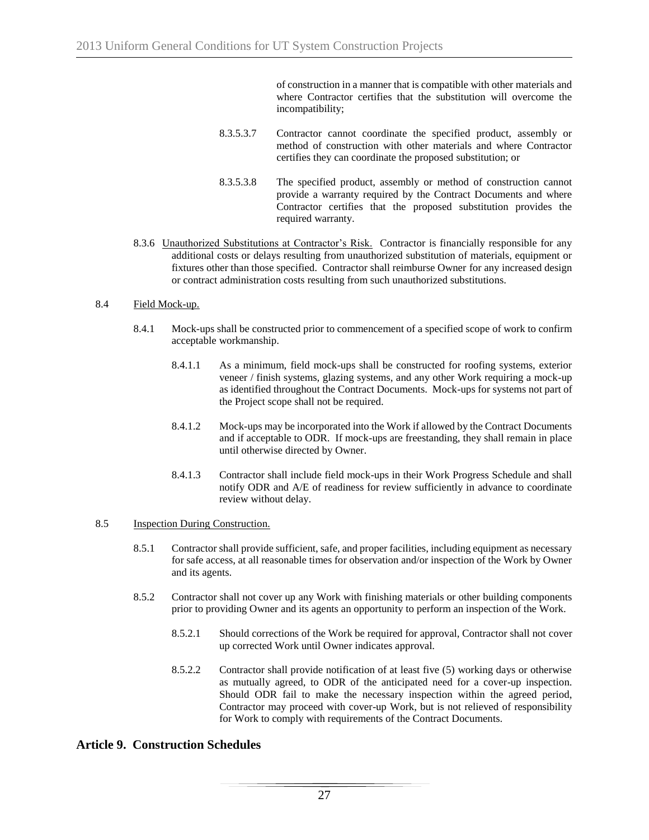of construction in a manner that is compatible with other materials and where Contractor certifies that the substitution will overcome the incompatibility;

- 8.3.5.3.7 Contractor cannot coordinate the specified product, assembly or method of construction with other materials and where Contractor certifies they can coordinate the proposed substitution; or
- 8.3.5.3.8 The specified product, assembly or method of construction cannot provide a warranty required by the Contract Documents and where Contractor certifies that the proposed substitution provides the required warranty.
- 8.3.6 Unauthorized Substitutions at Contractor's Risk. Contractor is financially responsible for any additional costs or delays resulting from unauthorized substitution of materials, equipment or fixtures other than those specified. Contractor shall reimburse Owner for any increased design or contract administration costs resulting from such unauthorized substitutions.

#### 8.4 Field Mock-up.

- 8.4.1 Mock-ups shall be constructed prior to commencement of a specified scope of work to confirm acceptable workmanship.
	- 8.4.1.1 As a minimum, field mock-ups shall be constructed for roofing systems, exterior veneer / finish systems, glazing systems, and any other Work requiring a mock-up as identified throughout the Contract Documents. Mock-ups for systems not part of the Project scope shall not be required.
	- 8.4.1.2 Mock-ups may be incorporated into the Work if allowed by the Contract Documents and if acceptable to ODR. If mock-ups are freestanding, they shall remain in place until otherwise directed by Owner.
	- 8.4.1.3 Contractor shall include field mock-ups in their Work Progress Schedule and shall notify ODR and A/E of readiness for review sufficiently in advance to coordinate review without delay.

#### 8.5 Inspection During Construction.

- 8.5.1 Contractor shall provide sufficient, safe, and proper facilities, including equipment as necessary for safe access, at all reasonable times for observation and/or inspection of the Work by Owner and its agents.
- 8.5.2 Contractor shall not cover up any Work with finishing materials or other building components prior to providing Owner and its agents an opportunity to perform an inspection of the Work.
	- 8.5.2.1 Should corrections of the Work be required for approval, Contractor shall not cover up corrected Work until Owner indicates approval.
	- 8.5.2.2 Contractor shall provide notification of at least five (5) working days or otherwise as mutually agreed, to ODR of the anticipated need for a cover-up inspection. Should ODR fail to make the necessary inspection within the agreed period, Contractor may proceed with cover-up Work, but is not relieved of responsibility for Work to comply with requirements of the Contract Documents.

# **Article 9. Construction Schedules**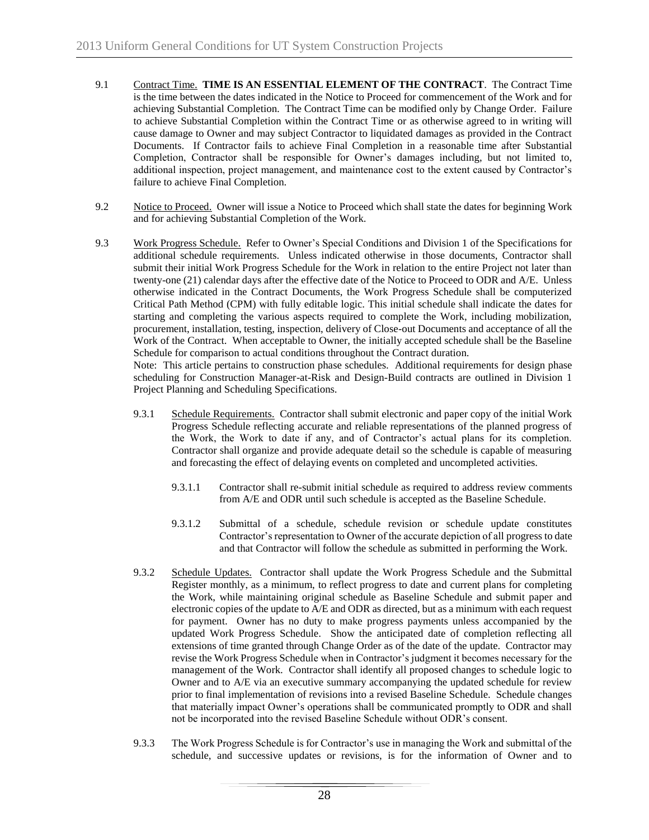- 9.1 Contract Time. **TIME IS AN ESSENTIAL ELEMENT OF THE CONTRACT**. The Contract Time is the time between the dates indicated in the Notice to Proceed for commencement of the Work and for achieving Substantial Completion. The Contract Time can be modified only by Change Order. Failure to achieve Substantial Completion within the Contract Time or as otherwise agreed to in writing will cause damage to Owner and may subject Contractor to liquidated damages as provided in the Contract Documents. If Contractor fails to achieve Final Completion in a reasonable time after Substantial Completion, Contractor shall be responsible for Owner's damages including, but not limited to, additional inspection, project management, and maintenance cost to the extent caused by Contractor's failure to achieve Final Completion.
- 9.2 Notice to Proceed. Owner will issue a Notice to Proceed which shall state the dates for beginning Work and for achieving Substantial Completion of the Work.
- 9.3 Work Progress Schedule. Refer to Owner's Special Conditions and Division 1 of the Specifications for additional schedule requirements. Unless indicated otherwise in those documents, Contractor shall submit their initial Work Progress Schedule for the Work in relation to the entire Project not later than twenty-one (21) calendar days after the effective date of the Notice to Proceed to ODR and A/E. Unless otherwise indicated in the Contract Documents, the Work Progress Schedule shall be computerized Critical Path Method (CPM) with fully editable logic. This initial schedule shall indicate the dates for starting and completing the various aspects required to complete the Work, including mobilization, procurement, installation, testing, inspection, delivery of Close-out Documents and acceptance of all the Work of the Contract. When acceptable to Owner, the initially accepted schedule shall be the Baseline Schedule for comparison to actual conditions throughout the Contract duration.

Note: This article pertains to construction phase schedules. Additional requirements for design phase scheduling for Construction Manager-at-Risk and Design-Build contracts are outlined in Division 1 Project Planning and Scheduling Specifications.

- 9.3.1 Schedule Requirements. Contractor shall submit electronic and paper copy of the initial Work Progress Schedule reflecting accurate and reliable representations of the planned progress of the Work, the Work to date if any, and of Contractor's actual plans for its completion. Contractor shall organize and provide adequate detail so the schedule is capable of measuring and forecasting the effect of delaying events on completed and uncompleted activities.
	- 9.3.1.1 Contractor shall re-submit initial schedule as required to address review comments from A/E and ODR until such schedule is accepted as the Baseline Schedule.
	- 9.3.1.2 Submittal of a schedule, schedule revision or schedule update constitutes Contractor's representation to Owner of the accurate depiction of all progress to date and that Contractor will follow the schedule as submitted in performing the Work.
- 9.3.2 Schedule Updates. Contractor shall update the Work Progress Schedule and the Submittal Register monthly, as a minimum, to reflect progress to date and current plans for completing the Work, while maintaining original schedule as Baseline Schedule and submit paper and electronic copies of the update to A/E and ODR as directed, but as a minimum with each request for payment. Owner has no duty to make progress payments unless accompanied by the updated Work Progress Schedule. Show the anticipated date of completion reflecting all extensions of time granted through Change Order as of the date of the update. Contractor may revise the Work Progress Schedule when in Contractor's judgment it becomes necessary for the management of the Work. Contractor shall identify all proposed changes to schedule logic to Owner and to A/E via an executive summary accompanying the updated schedule for review prior to final implementation of revisions into a revised Baseline Schedule. Schedule changes that materially impact Owner's operations shall be communicated promptly to ODR and shall not be incorporated into the revised Baseline Schedule without ODR's consent.
- 9.3.3 The Work Progress Schedule is for Contractor's use in managing the Work and submittal of the schedule, and successive updates or revisions, is for the information of Owner and to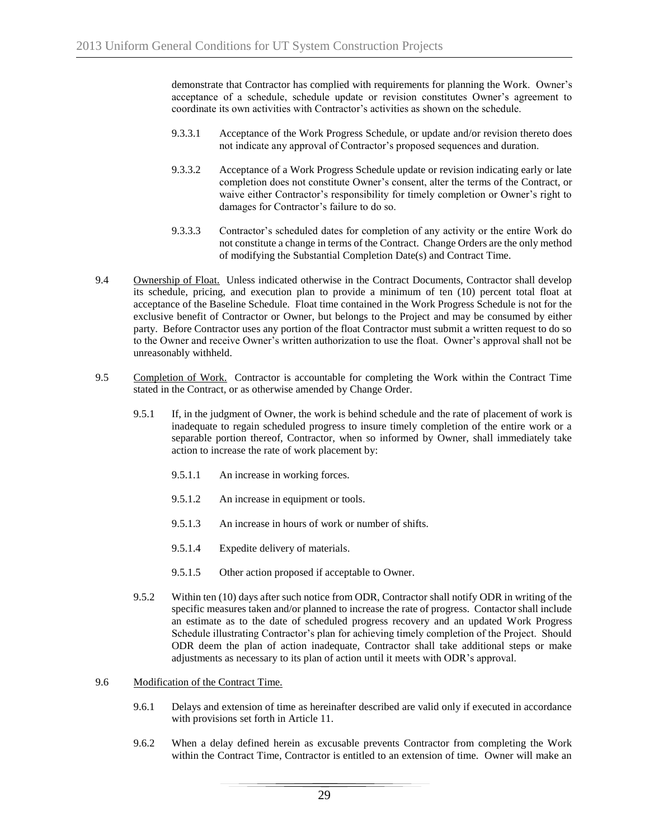demonstrate that Contractor has complied with requirements for planning the Work. Owner's acceptance of a schedule, schedule update or revision constitutes Owner's agreement to coordinate its own activities with Contractor's activities as shown on the schedule.

- 9.3.3.1 Acceptance of the Work Progress Schedule, or update and/or revision thereto does not indicate any approval of Contractor's proposed sequences and duration.
- 9.3.3.2 Acceptance of a Work Progress Schedule update or revision indicating early or late completion does not constitute Owner's consent, alter the terms of the Contract, or waive either Contractor's responsibility for timely completion or Owner's right to damages for Contractor's failure to do so.
- 9.3.3.3 Contractor's scheduled dates for completion of any activity or the entire Work do not constitute a change in terms of the Contract. Change Orders are the only method of modifying the Substantial Completion Date(s) and Contract Time.
- 9.4 Ownership of Float. Unless indicated otherwise in the Contract Documents, Contractor shall develop its schedule, pricing, and execution plan to provide a minimum of ten (10) percent total float at acceptance of the Baseline Schedule. Float time contained in the Work Progress Schedule is not for the exclusive benefit of Contractor or Owner, but belongs to the Project and may be consumed by either party. Before Contractor uses any portion of the float Contractor must submit a written request to do so to the Owner and receive Owner's written authorization to use the float. Owner's approval shall not be unreasonably withheld.
- 9.5 Completion of Work. Contractor is accountable for completing the Work within the Contract Time stated in the Contract, or as otherwise amended by Change Order.
	- 9.5.1 If, in the judgment of Owner, the work is behind schedule and the rate of placement of work is inadequate to regain scheduled progress to insure timely completion of the entire work or a separable portion thereof, Contractor, when so informed by Owner, shall immediately take action to increase the rate of work placement by:
		- 9.5.1.1 An increase in working forces.
		- 9.5.1.2 An increase in equipment or tools.
		- 9.5.1.3 An increase in hours of work or number of shifts.
		- 9.5.1.4 Expedite delivery of materials.
		- 9.5.1.5 Other action proposed if acceptable to Owner.
	- 9.5.2 Within ten (10) days after such notice from ODR, Contractor shall notify ODR in writing of the specific measures taken and/or planned to increase the rate of progress. Contactor shall include an estimate as to the date of scheduled progress recovery and an updated Work Progress Schedule illustrating Contractor's plan for achieving timely completion of the Project. Should ODR deem the plan of action inadequate, Contractor shall take additional steps or make adjustments as necessary to its plan of action until it meets with ODR's approval.

#### 9.6 Modification of the Contract Time.

- 9.6.1 Delays and extension of time as hereinafter described are valid only if executed in accordance with provisions set forth in Article 11.
- 9.6.2 When a delay defined herein as excusable prevents Contractor from completing the Work within the Contract Time, Contractor is entitled to an extension of time. Owner will make an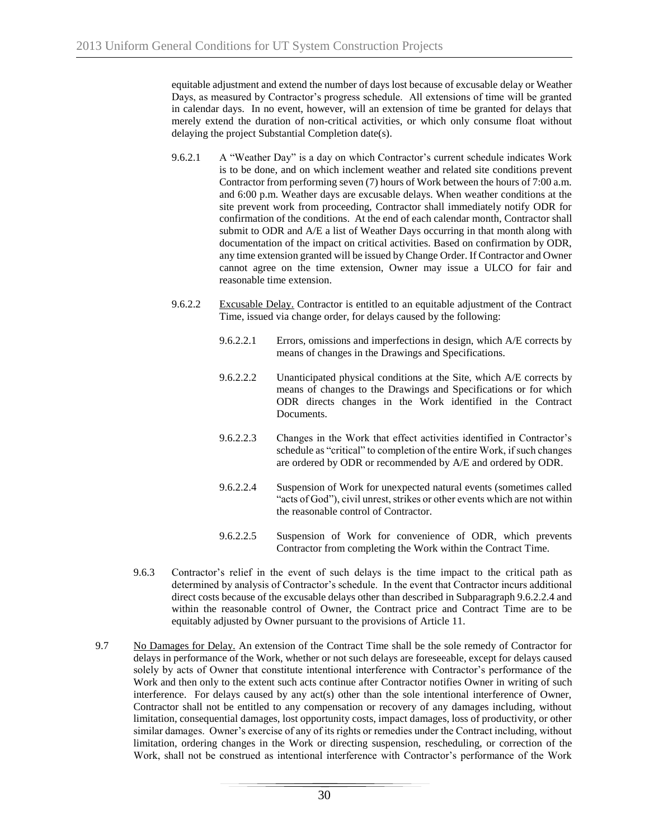equitable adjustment and extend the number of days lost because of excusable delay or Weather Days, as measured by Contractor's progress schedule. All extensions of time will be granted in calendar days. In no event, however, will an extension of time be granted for delays that merely extend the duration of non-critical activities, or which only consume float without delaying the project Substantial Completion date(s).

- 9.6.2.1 A "Weather Day" is a day on which Contractor's current schedule indicates Work is to be done, and on which inclement weather and related site conditions prevent Contractor from performing seven (7) hours of Work between the hours of 7:00 a.m. and 6:00 p.m. Weather days are excusable delays. When weather conditions at the site prevent work from proceeding, Contractor shall immediately notify ODR for confirmation of the conditions. At the end of each calendar month, Contractor shall submit to ODR and A/E a list of Weather Days occurring in that month along with documentation of the impact on critical activities. Based on confirmation by ODR, any time extension granted will be issued by Change Order. If Contractor and Owner cannot agree on the time extension, Owner may issue a ULCO for fair and reasonable time extension.
- 9.6.2.2 Excusable Delay. Contractor is entitled to an equitable adjustment of the Contract Time, issued via change order, for delays caused by the following:
	- 9.6.2.2.1 Errors, omissions and imperfections in design, which A/E corrects by means of changes in the Drawings and Specifications.
	- 9.6.2.2.2 Unanticipated physical conditions at the Site, which A/E corrects by means of changes to the Drawings and Specifications or for which ODR directs changes in the Work identified in the Contract Documents.
	- 9.6.2.2.3 Changes in the Work that effect activities identified in Contractor's schedule as "critical" to completion of the entire Work, if such changes are ordered by ODR or recommended by A/E and ordered by ODR.
	- 9.6.2.2.4 Suspension of Work for unexpected natural events (sometimes called "acts of God"), civil unrest, strikes or other events which are not within the reasonable control of Contractor.
	- 9.6.2.2.5 Suspension of Work for convenience of ODR, which prevents Contractor from completing the Work within the Contract Time.
- 9.6.3 Contractor's relief in the event of such delays is the time impact to the critical path as determined by analysis of Contractor's schedule. In the event that Contractor incurs additional direct costs because of the excusable delays other than described in Subparagraph 9.6.2.2.4 and within the reasonable control of Owner, the Contract price and Contract Time are to be equitably adjusted by Owner pursuant to the provisions of Article 11.
- 9.7 No Damages for Delay. An extension of the Contract Time shall be the sole remedy of Contractor for delays in performance of the Work, whether or not such delays are foreseeable, except for delays caused solely by acts of Owner that constitute intentional interference with Contractor's performance of the Work and then only to the extent such acts continue after Contractor notifies Owner in writing of such interference. For delays caused by any act(s) other than the sole intentional interference of Owner, Contractor shall not be entitled to any compensation or recovery of any damages including, without limitation, consequential damages, lost opportunity costs, impact damages, loss of productivity, or other similar damages. Owner's exercise of any of its rights or remedies under the Contract including, without limitation, ordering changes in the Work or directing suspension, rescheduling, or correction of the Work, shall not be construed as intentional interference with Contractor's performance of the Work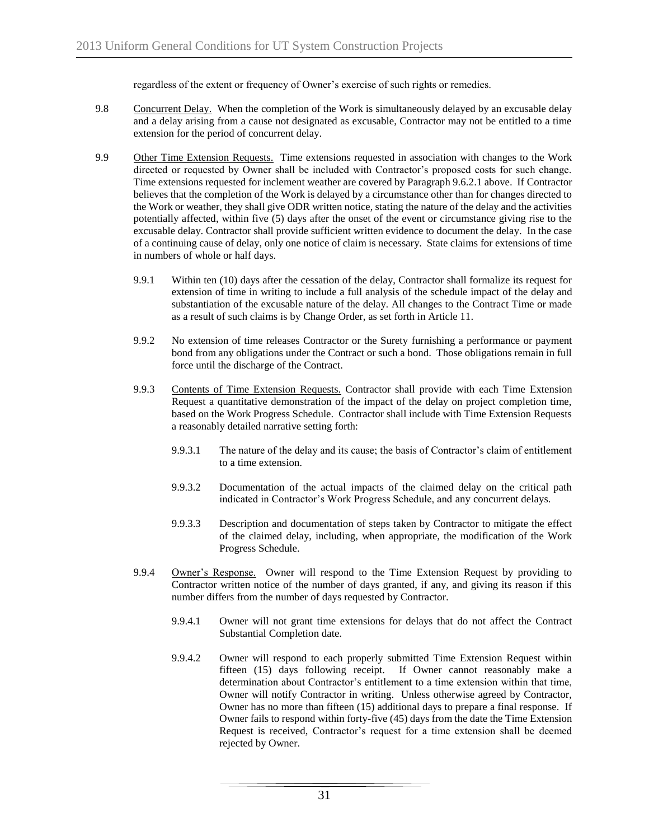regardless of the extent or frequency of Owner's exercise of such rights or remedies.

- 9.8 Concurrent Delay. When the completion of the Work is simultaneously delayed by an excusable delay and a delay arising from a cause not designated as excusable, Contractor may not be entitled to a time extension for the period of concurrent delay.
- 9.9 Other Time Extension Requests. Time extensions requested in association with changes to the Work directed or requested by Owner shall be included with Contractor's proposed costs for such change. Time extensions requested for inclement weather are covered by Paragraph 9.6.2.1 above. If Contractor believes that the completion of the Work is delayed by a circumstance other than for changes directed to the Work or weather, they shall give ODR written notice, stating the nature of the delay and the activities potentially affected, within five (5) days after the onset of the event or circumstance giving rise to the excusable delay. Contractor shall provide sufficient written evidence to document the delay. In the case of a continuing cause of delay, only one notice of claim is necessary. State claims for extensions of time in numbers of whole or half days.
	- 9.9.1 Within ten (10) days after the cessation of the delay, Contractor shall formalize its request for extension of time in writing to include a full analysis of the schedule impact of the delay and substantiation of the excusable nature of the delay. All changes to the Contract Time or made as a result of such claims is by Change Order, as set forth in Article 11.
	- 9.9.2 No extension of time releases Contractor or the Surety furnishing a performance or payment bond from any obligations under the Contract or such a bond. Those obligations remain in full force until the discharge of the Contract.
	- 9.9.3 Contents of Time Extension Requests. Contractor shall provide with each Time Extension Request a quantitative demonstration of the impact of the delay on project completion time, based on the Work Progress Schedule. Contractor shall include with Time Extension Requests a reasonably detailed narrative setting forth:
		- 9.9.3.1 The nature of the delay and its cause; the basis of Contractor's claim of entitlement to a time extension.
		- 9.9.3.2 Documentation of the actual impacts of the claimed delay on the critical path indicated in Contractor's Work Progress Schedule, and any concurrent delays.
		- 9.9.3.3 Description and documentation of steps taken by Contractor to mitigate the effect of the claimed delay, including, when appropriate, the modification of the Work Progress Schedule.
	- 9.9.4 Owner's Response. Owner will respond to the Time Extension Request by providing to Contractor written notice of the number of days granted, if any, and giving its reason if this number differs from the number of days requested by Contractor.
		- 9.9.4.1 Owner will not grant time extensions for delays that do not affect the Contract Substantial Completion date.
		- 9.9.4.2 Owner will respond to each properly submitted Time Extension Request within fifteen (15) days following receipt. If Owner cannot reasonably make a determination about Contractor's entitlement to a time extension within that time, Owner will notify Contractor in writing. Unless otherwise agreed by Contractor, Owner has no more than fifteen (15) additional days to prepare a final response. If Owner fails to respond within forty-five (45) days from the date the Time Extension Request is received, Contractor's request for a time extension shall be deemed rejected by Owner.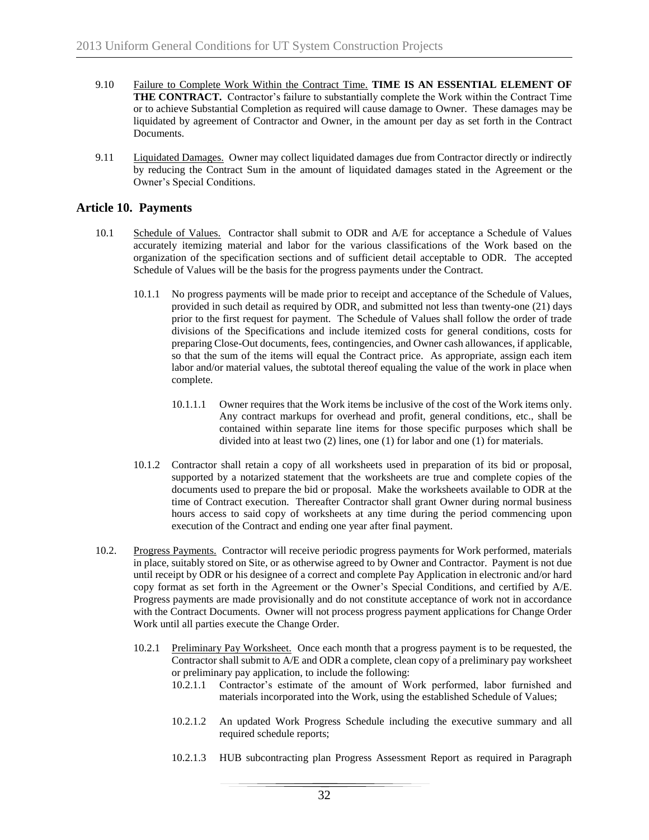- 9.10 Failure to Complete Work Within the Contract Time. **TIME IS AN ESSENTIAL ELEMENT OF THE CONTRACT.** Contractor's failure to substantially complete the Work within the Contract Time or to achieve Substantial Completion as required will cause damage to Owner. These damages may be liquidated by agreement of Contractor and Owner, in the amount per day as set forth in the Contract Documents.
- 9.11 Liquidated Damages. Owner may collect liquidated damages due from Contractor directly or indirectly by reducing the Contract Sum in the amount of liquidated damages stated in the Agreement or the Owner's Special Conditions.

## **Article 10. Payments**

- 10.1 Schedule of Values. Contractor shall submit to ODR and A/E for acceptance a Schedule of Values accurately itemizing material and labor for the various classifications of the Work based on the organization of the specification sections and of sufficient detail acceptable to ODR. The accepted Schedule of Values will be the basis for the progress payments under the Contract.
	- 10.1.1 No progress payments will be made prior to receipt and acceptance of the Schedule of Values, provided in such detail as required by ODR, and submitted not less than twenty-one (21) days prior to the first request for payment. The Schedule of Values shall follow the order of trade divisions of the Specifications and include itemized costs for general conditions, costs for preparing Close-Out documents, fees, contingencies, and Owner cash allowances, if applicable, so that the sum of the items will equal the Contract price. As appropriate, assign each item labor and/or material values, the subtotal thereof equaling the value of the work in place when complete.
		- 10.1.1.1 Owner requires that the Work items be inclusive of the cost of the Work items only. Any contract markups for overhead and profit, general conditions, etc., shall be contained within separate line items for those specific purposes which shall be divided into at least two (2) lines, one (1) for labor and one (1) for materials.
	- 10.1.2 Contractor shall retain a copy of all worksheets used in preparation of its bid or proposal, supported by a notarized statement that the worksheets are true and complete copies of the documents used to prepare the bid or proposal. Make the worksheets available to ODR at the time of Contract execution. Thereafter Contractor shall grant Owner during normal business hours access to said copy of worksheets at any time during the period commencing upon execution of the Contract and ending one year after final payment.
- 10.2. Progress Payments. Contractor will receive periodic progress payments for Work performed, materials in place, suitably stored on Site, or as otherwise agreed to by Owner and Contractor. Payment is not due until receipt by ODR or his designee of a correct and complete Pay Application in electronic and/or hard copy format as set forth in the Agreement or the Owner's Special Conditions, and certified by A/E. Progress payments are made provisionally and do not constitute acceptance of work not in accordance with the Contract Documents. Owner will not process progress payment applications for Change Order Work until all parties execute the Change Order.
	- 10.2.1 Preliminary Pay Worksheet. Once each month that a progress payment is to be requested, the Contractor shall submit to A/E and ODR a complete, clean copy of a preliminary pay worksheet or preliminary pay application, to include the following:
		- 10.2.1.1 Contractor's estimate of the amount of Work performed, labor furnished and materials incorporated into the Work, using the established Schedule of Values;
		- 10.2.1.2 An updated Work Progress Schedule including the executive summary and all required schedule reports;
		- 10.2.1.3 HUB subcontracting plan Progress Assessment Report as required in Paragraph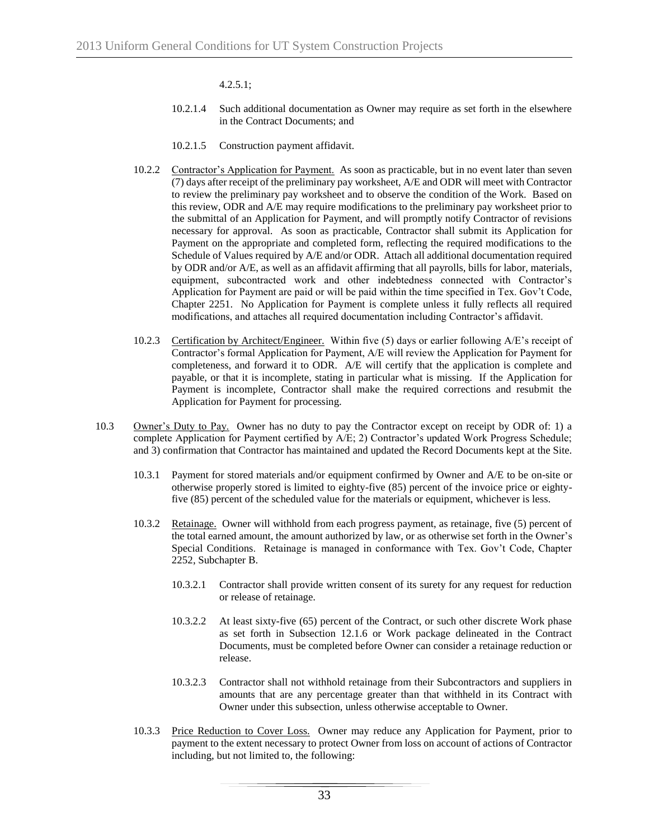4.2.5.1;

- 10.2.1.4 Such additional documentation as Owner may require as set forth in the elsewhere in the Contract Documents; and
- 10.2.1.5 Construction payment affidavit.
- 10.2.2 Contractor's Application for Payment. As soon as practicable, but in no event later than seven (7) days after receipt of the preliminary pay worksheet, A/E and ODR will meet with Contractor to review the preliminary pay worksheet and to observe the condition of the Work. Based on this review, ODR and A/E may require modifications to the preliminary pay worksheet prior to the submittal of an Application for Payment, and will promptly notify Contractor of revisions necessary for approval. As soon as practicable, Contractor shall submit its Application for Payment on the appropriate and completed form, reflecting the required modifications to the Schedule of Values required by A/E and/or ODR. Attach all additional documentation required by ODR and/or A/E, as well as an affidavit affirming that all payrolls, bills for labor, materials, equipment, subcontracted work and other indebtedness connected with Contractor's Application for Payment are paid or will be paid within the time specified in Tex. Gov't Code, Chapter 2251. No Application for Payment is complete unless it fully reflects all required modifications, and attaches all required documentation including Contractor's affidavit.
- 10.2.3 Certification by Architect/Engineer. Within five (5) days or earlier following A/E's receipt of Contractor's formal Application for Payment, A/E will review the Application for Payment for completeness, and forward it to ODR. A/E will certify that the application is complete and payable, or that it is incomplete, stating in particular what is missing. If the Application for Payment is incomplete, Contractor shall make the required corrections and resubmit the Application for Payment for processing.
- 10.3 Owner's Duty to Pay. Owner has no duty to pay the Contractor except on receipt by ODR of: 1) a complete Application for Payment certified by A/E; 2) Contractor's updated Work Progress Schedule; and 3) confirmation that Contractor has maintained and updated the Record Documents kept at the Site.
	- 10.3.1 Payment for stored materials and/or equipment confirmed by Owner and A/E to be on-site or otherwise properly stored is limited to eighty-five (85) percent of the invoice price or eightyfive (85) percent of the scheduled value for the materials or equipment, whichever is less.
	- 10.3.2 Retainage. Owner will withhold from each progress payment, as retainage, five (5) percent of the total earned amount, the amount authorized by law, or as otherwise set forth in the Owner's Special Conditions. Retainage is managed in conformance with Tex. Gov't Code, Chapter 2252, Subchapter B.
		- 10.3.2.1 Contractor shall provide written consent of its surety for any request for reduction or release of retainage.
		- 10.3.2.2 At least sixty-five (65) percent of the Contract, or such other discrete Work phase as set forth in Subsection 12.1.6 or Work package delineated in the Contract Documents, must be completed before Owner can consider a retainage reduction or release.
		- 10.3.2.3 Contractor shall not withhold retainage from their Subcontractors and suppliers in amounts that are any percentage greater than that withheld in its Contract with Owner under this subsection, unless otherwise acceptable to Owner.
	- 10.3.3 Price Reduction to Cover Loss. Owner may reduce any Application for Payment, prior to payment to the extent necessary to protect Owner from loss on account of actions of Contractor including, but not limited to, the following: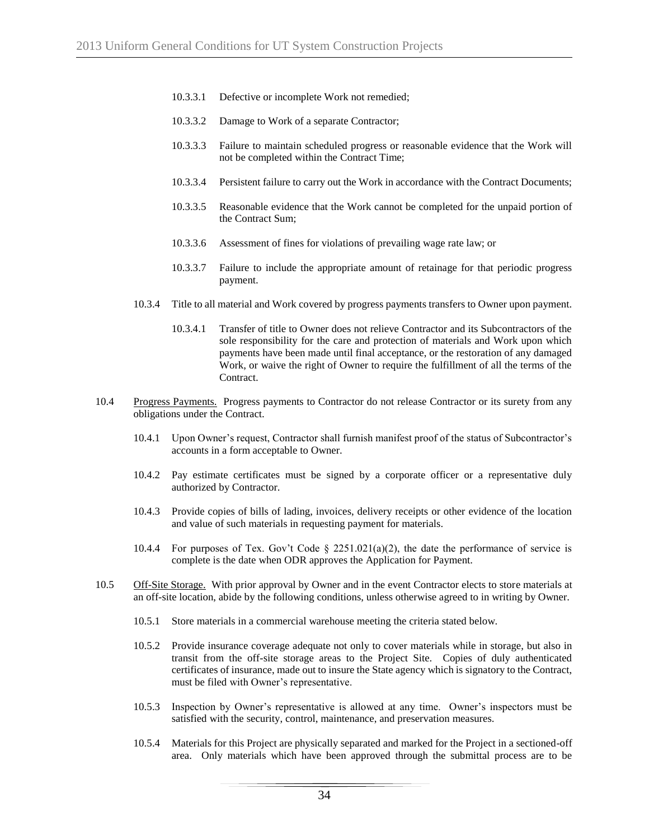- 10.3.3.1 Defective or incomplete Work not remedied;
- 10.3.3.2 Damage to Work of a separate Contractor;
- 10.3.3.3 Failure to maintain scheduled progress or reasonable evidence that the Work will not be completed within the Contract Time;
- 10.3.3.4 Persistent failure to carry out the Work in accordance with the Contract Documents;
- 10.3.3.5 Reasonable evidence that the Work cannot be completed for the unpaid portion of the Contract Sum;
- 10.3.3.6 Assessment of fines for violations of prevailing wage rate law; or
- 10.3.3.7 Failure to include the appropriate amount of retainage for that periodic progress payment.
- 10.3.4 Title to all material and Work covered by progress payments transfers to Owner upon payment.
	- 10.3.4.1 Transfer of title to Owner does not relieve Contractor and its Subcontractors of the sole responsibility for the care and protection of materials and Work upon which payments have been made until final acceptance, or the restoration of any damaged Work, or waive the right of Owner to require the fulfillment of all the terms of the Contract.
- 10.4 Progress Payments. Progress payments to Contractor do not release Contractor or its surety from any obligations under the Contract.
	- 10.4.1 Upon Owner's request, Contractor shall furnish manifest proof of the status of Subcontractor's accounts in a form acceptable to Owner.
	- 10.4.2 Pay estimate certificates must be signed by a corporate officer or a representative duly authorized by Contractor.
	- 10.4.3 Provide copies of bills of lading, invoices, delivery receipts or other evidence of the location and value of such materials in requesting payment for materials.
	- 10.4.4 For purposes of Tex. Gov't Code  $\S$  2251.021(a)(2), the date the performance of service is complete is the date when ODR approves the Application for Payment.
- 10.5 Off-Site Storage. With prior approval by Owner and in the event Contractor elects to store materials at an off-site location, abide by the following conditions, unless otherwise agreed to in writing by Owner.
	- 10.5.1 Store materials in a commercial warehouse meeting the criteria stated below.
	- 10.5.2 Provide insurance coverage adequate not only to cover materials while in storage, but also in transit from the off-site storage areas to the Project Site. Copies of duly authenticated certificates of insurance, made out to insure the State agency which is signatory to the Contract, must be filed with Owner's representative.
	- 10.5.3 Inspection by Owner's representative is allowed at any time. Owner's inspectors must be satisfied with the security, control, maintenance, and preservation measures.
	- 10.5.4 Materials for this Project are physically separated and marked for the Project in a sectioned-off area. Only materials which have been approved through the submittal process are to be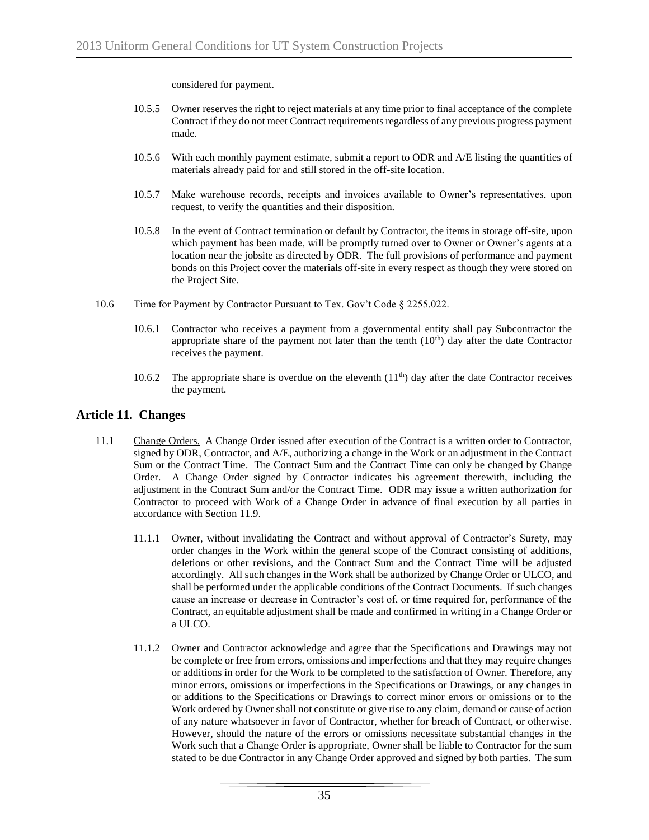considered for payment.

- 10.5.5 Owner reserves the right to reject materials at any time prior to final acceptance of the complete Contract if they do not meet Contract requirements regardless of any previous progress payment made.
- 10.5.6 With each monthly payment estimate, submit a report to ODR and A/E listing the quantities of materials already paid for and still stored in the off-site location.
- 10.5.7 Make warehouse records, receipts and invoices available to Owner's representatives, upon request, to verify the quantities and their disposition.
- 10.5.8 In the event of Contract termination or default by Contractor, the items in storage off-site, upon which payment has been made, will be promptly turned over to Owner or Owner's agents at a location near the jobsite as directed by ODR. The full provisions of performance and payment bonds on this Project cover the materials off-site in every respect as though they were stored on the Project Site.
- 10.6 Time for Payment by Contractor Pursuant to Tex. Gov't Code § 2255.022.
	- 10.6.1 Contractor who receives a payment from a governmental entity shall pay Subcontractor the appropriate share of the payment not later than the tenth  $(10<sup>th</sup>)$  day after the date Contractor receives the payment.
	- 10.6.2 The appropriate share is overdue on the eleventh  $(11<sup>th</sup>)$  day after the date Contractor receives the payment.

## **Article 11. Changes**

- 11.1 Change Orders. A Change Order issued after execution of the Contract is a written order to Contractor, signed by ODR, Contractor, and A/E, authorizing a change in the Work or an adjustment in the Contract Sum or the Contract Time. The Contract Sum and the Contract Time can only be changed by Change Order. A Change Order signed by Contractor indicates his agreement therewith, including the adjustment in the Contract Sum and/or the Contract Time. ODR may issue a written authorization for Contractor to proceed with Work of a Change Order in advance of final execution by all parties in accordance with Section 11.9.
	- 11.1.1 Owner, without invalidating the Contract and without approval of Contractor's Surety, may order changes in the Work within the general scope of the Contract consisting of additions, deletions or other revisions, and the Contract Sum and the Contract Time will be adjusted accordingly. All such changes in the Work shall be authorized by Change Order or ULCO, and shall be performed under the applicable conditions of the Contract Documents. If such changes cause an increase or decrease in Contractor's cost of, or time required for, performance of the Contract, an equitable adjustment shall be made and confirmed in writing in a Change Order or a ULCO.
	- 11.1.2 Owner and Contractor acknowledge and agree that the Specifications and Drawings may not be complete or free from errors, omissions and imperfections and that they may require changes or additions in order for the Work to be completed to the satisfaction of Owner. Therefore, any minor errors, omissions or imperfections in the Specifications or Drawings, or any changes in or additions to the Specifications or Drawings to correct minor errors or omissions or to the Work ordered by Owner shall not constitute or give rise to any claim, demand or cause of action of any nature whatsoever in favor of Contractor, whether for breach of Contract, or otherwise. However, should the nature of the errors or omissions necessitate substantial changes in the Work such that a Change Order is appropriate, Owner shall be liable to Contractor for the sum stated to be due Contractor in any Change Order approved and signed by both parties. The sum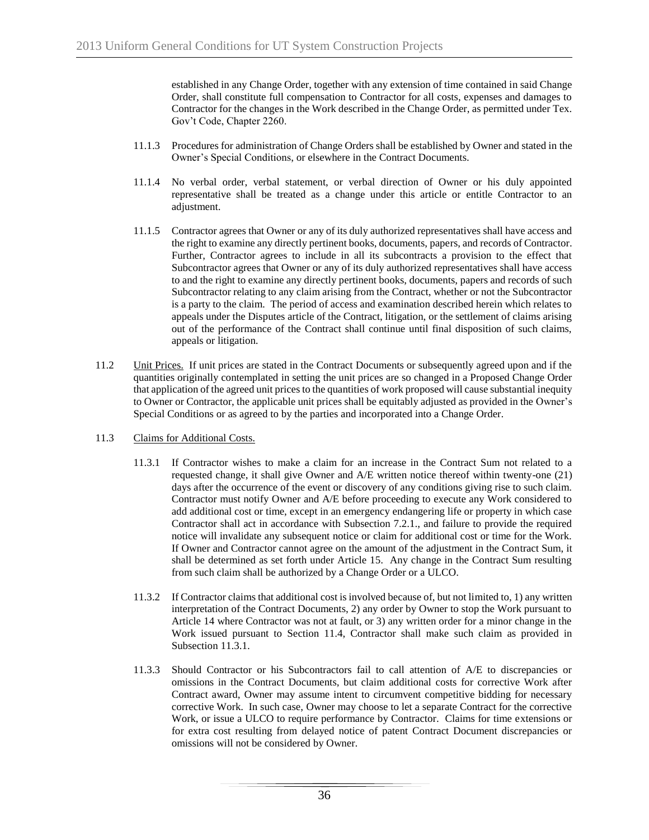established in any Change Order, together with any extension of time contained in said Change Order, shall constitute full compensation to Contractor for all costs, expenses and damages to Contractor for the changes in the Work described in the Change Order, as permitted under Tex. Gov't Code, Chapter 2260.

- 11.1.3 Procedures for administration of Change Orders shall be established by Owner and stated in the Owner's Special Conditions, or elsewhere in the Contract Documents.
- 11.1.4 No verbal order, verbal statement, or verbal direction of Owner or his duly appointed representative shall be treated as a change under this article or entitle Contractor to an adjustment.
- 11.1.5 Contractor agrees that Owner or any of its duly authorized representatives shall have access and the right to examine any directly pertinent books, documents, papers, and records of Contractor. Further, Contractor agrees to include in all its subcontracts a provision to the effect that Subcontractor agrees that Owner or any of its duly authorized representatives shall have access to and the right to examine any directly pertinent books, documents, papers and records of such Subcontractor relating to any claim arising from the Contract, whether or not the Subcontractor is a party to the claim. The period of access and examination described herein which relates to appeals under the Disputes article of the Contract, litigation, or the settlement of claims arising out of the performance of the Contract shall continue until final disposition of such claims, appeals or litigation.
- 11.2 Unit Prices. If unit prices are stated in the Contract Documents or subsequently agreed upon and if the quantities originally contemplated in setting the unit prices are so changed in a Proposed Change Order that application of the agreed unit prices to the quantities of work proposed will cause substantial inequity to Owner or Contractor, the applicable unit prices shall be equitably adjusted as provided in the Owner's Special Conditions or as agreed to by the parties and incorporated into a Change Order.
- 11.3 Claims for Additional Costs.
	- 11.3.1 If Contractor wishes to make a claim for an increase in the Contract Sum not related to a requested change, it shall give Owner and A/E written notice thereof within twenty-one (21) days after the occurrence of the event or discovery of any conditions giving rise to such claim. Contractor must notify Owner and A/E before proceeding to execute any Work considered to add additional cost or time, except in an emergency endangering life or property in which case Contractor shall act in accordance with Subsection 7.2.1., and failure to provide the required notice will invalidate any subsequent notice or claim for additional cost or time for the Work. If Owner and Contractor cannot agree on the amount of the adjustment in the Contract Sum, it shall be determined as set forth under Article 15. Any change in the Contract Sum resulting from such claim shall be authorized by a Change Order or a ULCO.
	- 11.3.2 If Contractor claims that additional cost is involved because of, but not limited to, 1) any written interpretation of the Contract Documents, 2) any order by Owner to stop the Work pursuant to Article 14 where Contractor was not at fault, or 3) any written order for a minor change in the Work issued pursuant to Section 11.4, Contractor shall make such claim as provided in Subsection 11.3.1.
	- 11.3.3 Should Contractor or his Subcontractors fail to call attention of A/E to discrepancies or omissions in the Contract Documents, but claim additional costs for corrective Work after Contract award, Owner may assume intent to circumvent competitive bidding for necessary corrective Work. In such case, Owner may choose to let a separate Contract for the corrective Work, or issue a ULCO to require performance by Contractor. Claims for time extensions or for extra cost resulting from delayed notice of patent Contract Document discrepancies or omissions will not be considered by Owner.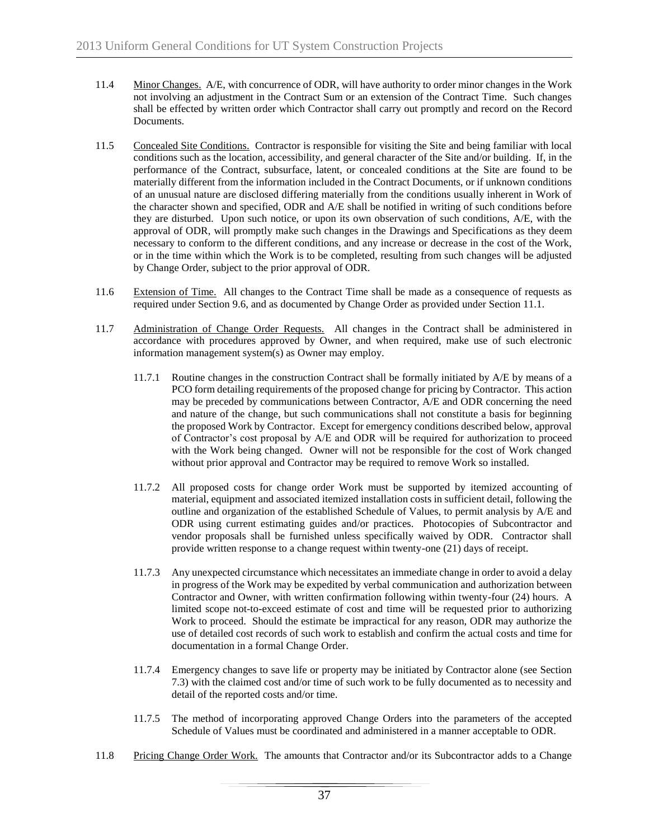- 11.4 Minor Changes. A/E, with concurrence of ODR, will have authority to order minor changes in the Work not involving an adjustment in the Contract Sum or an extension of the Contract Time. Such changes shall be effected by written order which Contractor shall carry out promptly and record on the Record Documents.
- 11.5 Concealed Site Conditions. Contractor is responsible for visiting the Site and being familiar with local conditions such as the location, accessibility, and general character of the Site and/or building. If, in the performance of the Contract, subsurface, latent, or concealed conditions at the Site are found to be materially different from the information included in the Contract Documents, or if unknown conditions of an unusual nature are disclosed differing materially from the conditions usually inherent in Work of the character shown and specified, ODR and A/E shall be notified in writing of such conditions before they are disturbed. Upon such notice, or upon its own observation of such conditions, A/E, with the approval of ODR, will promptly make such changes in the Drawings and Specifications as they deem necessary to conform to the different conditions, and any increase or decrease in the cost of the Work, or in the time within which the Work is to be completed, resulting from such changes will be adjusted by Change Order, subject to the prior approval of ODR.
- 11.6 Extension of Time. All changes to the Contract Time shall be made as a consequence of requests as required under Section 9.6, and as documented by Change Order as provided under Section 11.1.
- 11.7 Administration of Change Order Requests. All changes in the Contract shall be administered in accordance with procedures approved by Owner, and when required, make use of such electronic information management system(s) as Owner may employ.
	- 11.7.1 Routine changes in the construction Contract shall be formally initiated by A/E by means of a PCO form detailing requirements of the proposed change for pricing by Contractor. This action may be preceded by communications between Contractor, A/E and ODR concerning the need and nature of the change, but such communications shall not constitute a basis for beginning the proposed Work by Contractor. Except for emergency conditions described below, approval of Contractor's cost proposal by A/E and ODR will be required for authorization to proceed with the Work being changed. Owner will not be responsible for the cost of Work changed without prior approval and Contractor may be required to remove Work so installed.
	- 11.7.2 All proposed costs for change order Work must be supported by itemized accounting of material, equipment and associated itemized installation costs in sufficient detail, following the outline and organization of the established Schedule of Values, to permit analysis by A/E and ODR using current estimating guides and/or practices. Photocopies of Subcontractor and vendor proposals shall be furnished unless specifically waived by ODR. Contractor shall provide written response to a change request within twenty-one (21) days of receipt.
	- 11.7.3 Any unexpected circumstance which necessitates an immediate change in order to avoid a delay in progress of the Work may be expedited by verbal communication and authorization between Contractor and Owner, with written confirmation following within twenty-four (24) hours. A limited scope not-to-exceed estimate of cost and time will be requested prior to authorizing Work to proceed. Should the estimate be impractical for any reason, ODR may authorize the use of detailed cost records of such work to establish and confirm the actual costs and time for documentation in a formal Change Order.
	- 11.7.4 Emergency changes to save life or property may be initiated by Contractor alone (see Section 7.3) with the claimed cost and/or time of such work to be fully documented as to necessity and detail of the reported costs and/or time.
	- 11.7.5 The method of incorporating approved Change Orders into the parameters of the accepted Schedule of Values must be coordinated and administered in a manner acceptable to ODR.
- 11.8 Pricing Change Order Work. The amounts that Contractor and/or its Subcontractor adds to a Change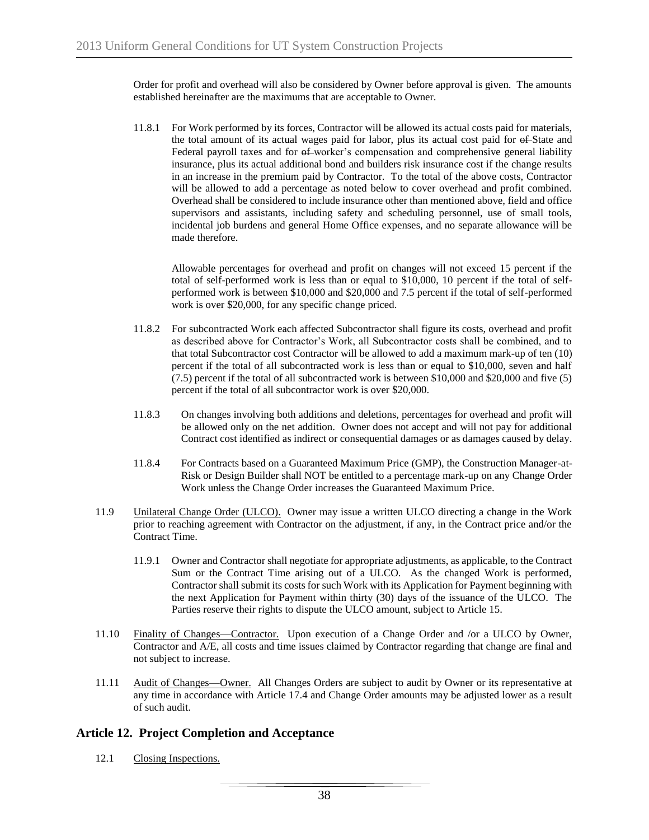Order for profit and overhead will also be considered by Owner before approval is given. The amounts established hereinafter are the maximums that are acceptable to Owner.

11.8.1 For Work performed by its forces, Contractor will be allowed its actual costs paid for materials, the total amount of its actual wages paid for labor, plus its actual cost paid for of State and Federal payroll taxes and for  $6$ -worker's compensation and comprehensive general liability insurance, plus its actual additional bond and builders risk insurance cost if the change results in an increase in the premium paid by Contractor. To the total of the above costs, Contractor will be allowed to add a percentage as noted below to cover overhead and profit combined. Overhead shall be considered to include insurance other than mentioned above, field and office supervisors and assistants, including safety and scheduling personnel, use of small tools, incidental job burdens and general Home Office expenses, and no separate allowance will be made therefore.

Allowable percentages for overhead and profit on changes will not exceed 15 percent if the total of self-performed work is less than or equal to \$10,000, 10 percent if the total of selfperformed work is between \$10,000 and \$20,000 and 7.5 percent if the total of self-performed work is over \$20,000, for any specific change priced.

- 11.8.2 For subcontracted Work each affected Subcontractor shall figure its costs, overhead and profit as described above for Contractor's Work, all Subcontractor costs shall be combined, and to that total Subcontractor cost Contractor will be allowed to add a maximum mark-up of ten (10) percent if the total of all subcontracted work is less than or equal to \$10,000, seven and half (7.5) percent if the total of all subcontracted work is between \$10,000 and \$20,000 and five (5) percent if the total of all subcontractor work is over \$20,000.
- 11.8.3 On changes involving both additions and deletions, percentages for overhead and profit will be allowed only on the net addition. Owner does not accept and will not pay for additional Contract cost identified as indirect or consequential damages or as damages caused by delay.
- 11.8.4 For Contracts based on a Guaranteed Maximum Price (GMP), the Construction Manager-at-Risk or Design Builder shall NOT be entitled to a percentage mark-up on any Change Order Work unless the Change Order increases the Guaranteed Maximum Price.
- 11.9 Unilateral Change Order (ULCO). Owner may issue a written ULCO directing a change in the Work prior to reaching agreement with Contractor on the adjustment, if any, in the Contract price and/or the Contract Time.
	- 11.9.1 Owner and Contractor shall negotiate for appropriate adjustments, as applicable, to the Contract Sum or the Contract Time arising out of a ULCO. As the changed Work is performed, Contractor shall submit its costs for such Work with its Application for Payment beginning with the next Application for Payment within thirty (30) days of the issuance of the ULCO. The Parties reserve their rights to dispute the ULCO amount, subject to Article 15.
- 11.10 Finality of Changes—Contractor. Upon execution of a Change Order and /or a ULCO by Owner, Contractor and A/E, all costs and time issues claimed by Contractor regarding that change are final and not subject to increase.
- 11.11 Audit of Changes—Owner. All Changes Orders are subject to audit by Owner or its representative at any time in accordance with Article 17.4 and Change Order amounts may be adjusted lower as a result of such audit.

# **Article 12. Project Completion and Acceptance**

12.1 Closing Inspections.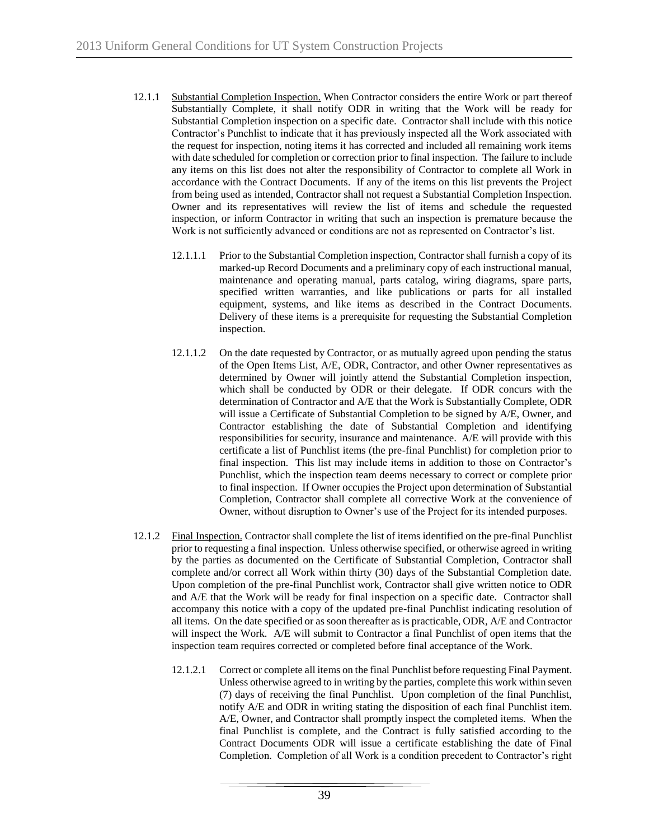- 12.1.1 Substantial Completion Inspection. When Contractor considers the entire Work or part thereof Substantially Complete, it shall notify ODR in writing that the Work will be ready for Substantial Completion inspection on a specific date. Contractor shall include with this notice Contractor's Punchlist to indicate that it has previously inspected all the Work associated with the request for inspection, noting items it has corrected and included all remaining work items with date scheduled for completion or correction prior to final inspection. The failure to include any items on this list does not alter the responsibility of Contractor to complete all Work in accordance with the Contract Documents. If any of the items on this list prevents the Project from being used as intended, Contractor shall not request a Substantial Completion Inspection. Owner and its representatives will review the list of items and schedule the requested inspection, or inform Contractor in writing that such an inspection is premature because the Work is not sufficiently advanced or conditions are not as represented on Contractor's list.
	- 12.1.1.1 Prior to the Substantial Completion inspection, Contractor shall furnish a copy of its marked-up Record Documents and a preliminary copy of each instructional manual, maintenance and operating manual, parts catalog, wiring diagrams, spare parts, specified written warranties, and like publications or parts for all installed equipment, systems, and like items as described in the Contract Documents. Delivery of these items is a prerequisite for requesting the Substantial Completion inspection.
	- 12.1.1.2 On the date requested by Contractor, or as mutually agreed upon pending the status of the Open Items List, A/E, ODR, Contractor, and other Owner representatives as determined by Owner will jointly attend the Substantial Completion inspection, which shall be conducted by ODR or their delegate. If ODR concurs with the determination of Contractor and A/E that the Work is Substantially Complete, ODR will issue a Certificate of Substantial Completion to be signed by A/E, Owner, and Contractor establishing the date of Substantial Completion and identifying responsibilities for security, insurance and maintenance. A/E will provide with this certificate a list of Punchlist items (the pre-final Punchlist) for completion prior to final inspection. This list may include items in addition to those on Contractor's Punchlist, which the inspection team deems necessary to correct or complete prior to final inspection. If Owner occupies the Project upon determination of Substantial Completion, Contractor shall complete all corrective Work at the convenience of Owner, without disruption to Owner's use of the Project for its intended purposes.
- 12.1.2 Final Inspection. Contractor shall complete the list of items identified on the pre-final Punchlist prior to requesting a final inspection. Unless otherwise specified, or otherwise agreed in writing by the parties as documented on the Certificate of Substantial Completion, Contractor shall complete and/or correct all Work within thirty (30) days of the Substantial Completion date. Upon completion of the pre-final Punchlist work, Contractor shall give written notice to ODR and A/E that the Work will be ready for final inspection on a specific date. Contractor shall accompany this notice with a copy of the updated pre-final Punchlist indicating resolution of all items. On the date specified or as soon thereafter as is practicable, ODR, A/E and Contractor will inspect the Work. A/E will submit to Contractor a final Punchlist of open items that the inspection team requires corrected or completed before final acceptance of the Work.
	- 12.1.2.1 Correct or complete all items on the final Punchlist before requesting Final Payment. Unless otherwise agreed to in writing by the parties, complete this work within seven (7) days of receiving the final Punchlist. Upon completion of the final Punchlist, notify A/E and ODR in writing stating the disposition of each final Punchlist item. A/E, Owner, and Contractor shall promptly inspect the completed items. When the final Punchlist is complete, and the Contract is fully satisfied according to the Contract Documents ODR will issue a certificate establishing the date of Final Completion. Completion of all Work is a condition precedent to Contractor's right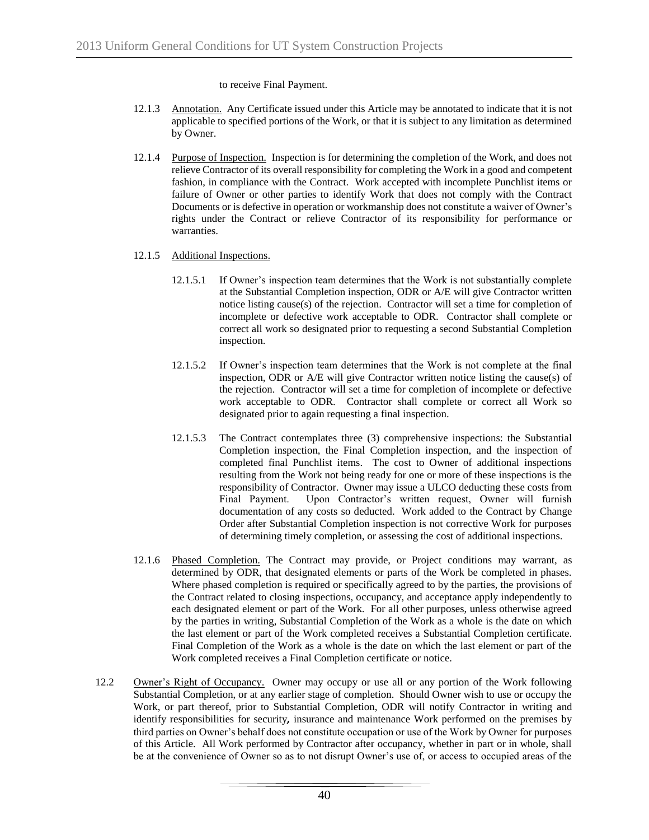to receive Final Payment.

- 12.1.3 Annotation. Any Certificate issued under this Article may be annotated to indicate that it is not applicable to specified portions of the Work, or that it is subject to any limitation as determined by Owner.
- 12.1.4 Purpose of Inspection. Inspection is for determining the completion of the Work, and does not relieve Contractor of its overall responsibility for completing the Work in a good and competent fashion, in compliance with the Contract. Work accepted with incomplete Punchlist items or failure of Owner or other parties to identify Work that does not comply with the Contract Documents or is defective in operation or workmanship does not constitute a waiver of Owner's rights under the Contract or relieve Contractor of its responsibility for performance or warranties.
- 12.1.5 Additional Inspections.
	- 12.1.5.1 If Owner's inspection team determines that the Work is not substantially complete at the Substantial Completion inspection, ODR or A/E will give Contractor written notice listing cause(s) of the rejection. Contractor will set a time for completion of incomplete or defective work acceptable to ODR. Contractor shall complete or correct all work so designated prior to requesting a second Substantial Completion inspection.
	- 12.1.5.2 If Owner's inspection team determines that the Work is not complete at the final inspection, ODR or A/E will give Contractor written notice listing the cause(s) of the rejection. Contractor will set a time for completion of incomplete or defective work acceptable to ODR. Contractor shall complete or correct all Work so designated prior to again requesting a final inspection.
	- 12.1.5.3 The Contract contemplates three (3) comprehensive inspections: the Substantial Completion inspection, the Final Completion inspection, and the inspection of completed final Punchlist items. The cost to Owner of additional inspections resulting from the Work not being ready for one or more of these inspections is the responsibility of Contractor. Owner may issue a ULCO deducting these costs from Final Payment. Upon Contractor's written request, Owner will furnish documentation of any costs so deducted. Work added to the Contract by Change Order after Substantial Completion inspection is not corrective Work for purposes of determining timely completion, or assessing the cost of additional inspections.
- 12.1.6 Phased Completion. The Contract may provide, or Project conditions may warrant, as determined by ODR, that designated elements or parts of the Work be completed in phases. Where phased completion is required or specifically agreed to by the parties, the provisions of the Contract related to closing inspections, occupancy, and acceptance apply independently to each designated element or part of the Work. For all other purposes, unless otherwise agreed by the parties in writing, Substantial Completion of the Work as a whole is the date on which the last element or part of the Work completed receives a Substantial Completion certificate. Final Completion of the Work as a whole is the date on which the last element or part of the Work completed receives a Final Completion certificate or notice.
- 12.2 Owner's Right of Occupancy. Owner may occupy or use all or any portion of the Work following Substantial Completion, or at any earlier stage of completion. Should Owner wish to use or occupy the Work, or part thereof, prior to Substantial Completion, ODR will notify Contractor in writing and identify responsibilities for security*,* insurance and maintenance Work performed on the premises by third parties on Owner's behalf does not constitute occupation or use of the Work by Owner for purposes of this Article. All Work performed by Contractor after occupancy, whether in part or in whole, shall be at the convenience of Owner so as to not disrupt Owner's use of, or access to occupied areas of the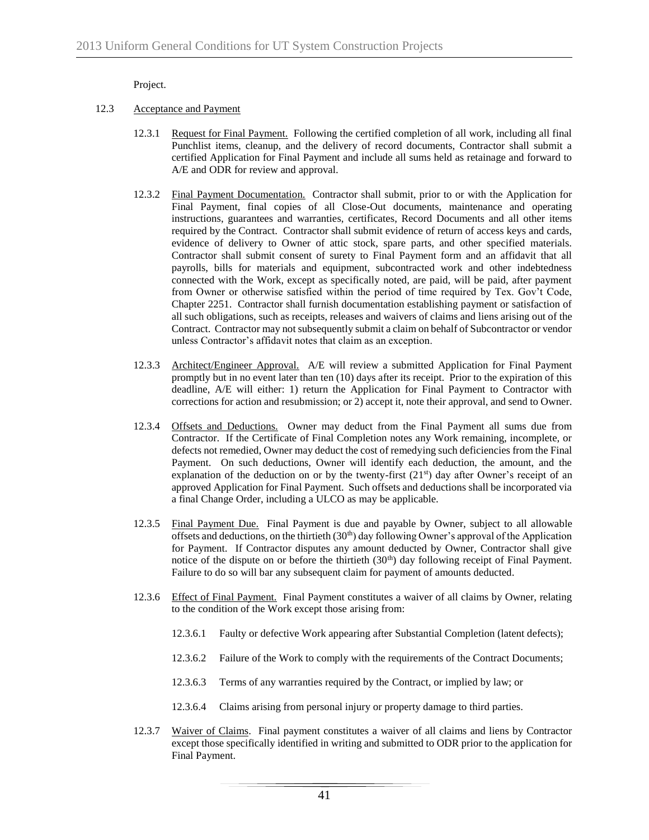Project.

- 12.3 Acceptance and Payment
	- 12.3.1 Request for Final Payment. Following the certified completion of all work, including all final Punchlist items, cleanup, and the delivery of record documents, Contractor shall submit a certified Application for Final Payment and include all sums held as retainage and forward to A/E and ODR for review and approval.
	- 12.3.2 Final Payment Documentation. Contractor shall submit, prior to or with the Application for Final Payment, final copies of all Close-Out documents, maintenance and operating instructions, guarantees and warranties, certificates, Record Documents and all other items required by the Contract. Contractor shall submit evidence of return of access keys and cards, evidence of delivery to Owner of attic stock, spare parts, and other specified materials. Contractor shall submit consent of surety to Final Payment form and an affidavit that all payrolls, bills for materials and equipment, subcontracted work and other indebtedness connected with the Work, except as specifically noted, are paid, will be paid, after payment from Owner or otherwise satisfied within the period of time required by Tex. Gov't Code, Chapter 2251. Contractor shall furnish documentation establishing payment or satisfaction of all such obligations, such as receipts, releases and waivers of claims and liens arising out of the Contract. Contractor may not subsequently submit a claim on behalf of Subcontractor or vendor unless Contractor's affidavit notes that claim as an exception.
	- 12.3.3 Architect/Engineer Approval. A/E will review a submitted Application for Final Payment promptly but in no event later than ten (10) days after its receipt. Prior to the expiration of this deadline, A/E will either: 1) return the Application for Final Payment to Contractor with corrections for action and resubmission; or 2) accept it, note their approval, and send to Owner.
	- 12.3.4 Offsets and Deductions. Owner may deduct from the Final Payment all sums due from Contractor. If the Certificate of Final Completion notes any Work remaining, incomplete, or defects not remedied, Owner may deduct the cost of remedying such deficiencies from the Final Payment. On such deductions, Owner will identify each deduction, the amount, and the explanation of the deduction on or by the twenty-first  $(21<sup>st</sup>)$  day after Owner's receipt of an approved Application for Final Payment. Such offsets and deductions shall be incorporated via a final Change Order, including a ULCO as may be applicable.
	- 12.3.5 Final Payment Due. Final Payment is due and payable by Owner, subject to all allowable offsets and deductions, on the thirtieth (30<sup>th</sup>) day following Owner's approval of the Application for Payment. If Contractor disputes any amount deducted by Owner, Contractor shall give notice of the dispute on or before the thirtieth (30<sup>th</sup>) day following receipt of Final Payment. Failure to do so will bar any subsequent claim for payment of amounts deducted.
	- 12.3.6 Effect of Final Payment. Final Payment constitutes a waiver of all claims by Owner, relating to the condition of the Work except those arising from:
		- 12.3.6.1 Faulty or defective Work appearing after Substantial Completion (latent defects);
		- 12.3.6.2 Failure of the Work to comply with the requirements of the Contract Documents;
		- 12.3.6.3 Terms of any warranties required by the Contract, or implied by law; or
		- 12.3.6.4 Claims arising from personal injury or property damage to third parties.
	- 12.3.7 Waiver of Claims. Final payment constitutes a waiver of all claims and liens by Contractor except those specifically identified in writing and submitted to ODR prior to the application for Final Payment.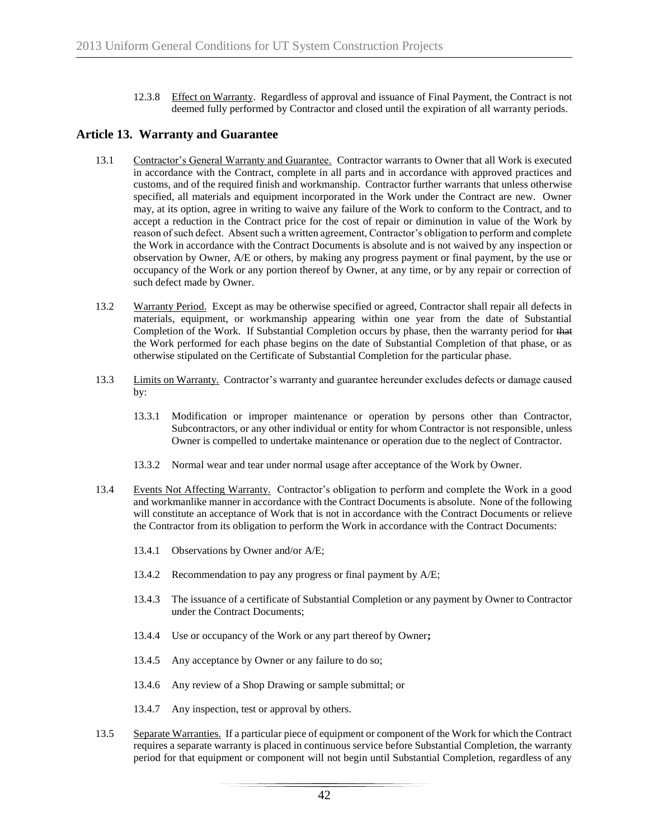12.3.8 Effect on Warranty. Regardless of approval and issuance of Final Payment, the Contract is not deemed fully performed by Contractor and closed until the expiration of all warranty periods.

# **Article 13. Warranty and Guarantee**

- 13.1 Contractor's General Warranty and Guarantee. Contractor warrants to Owner that all Work is executed in accordance with the Contract, complete in all parts and in accordance with approved practices and customs, and of the required finish and workmanship. Contractor further warrants that unless otherwise specified, all materials and equipment incorporated in the Work under the Contract are new. Owner may, at its option, agree in writing to waive any failure of the Work to conform to the Contract, and to accept a reduction in the Contract price for the cost of repair or diminution in value of the Work by reason of such defect. Absent such a written agreement, Contractor's obligation to perform and complete the Work in accordance with the Contract Documents is absolute and is not waived by any inspection or observation by Owner, A/E or others, by making any progress payment or final payment, by the use or occupancy of the Work or any portion thereof by Owner, at any time, or by any repair or correction of such defect made by Owner.
- 13.2 Warranty Period. Except as may be otherwise specified or agreed, Contractor shall repair all defects in materials, equipment, or workmanship appearing within one year from the date of Substantial Completion of the Work. If Substantial Completion occurs by phase, then the warranty period for that the Work performed for each phase begins on the date of Substantial Completion of that phase, or as otherwise stipulated on the Certificate of Substantial Completion for the particular phase.
- 13.3 Limits on Warranty. Contractor's warranty and guarantee hereunder excludes defects or damage caused by:
	- 13.3.1 Modification or improper maintenance or operation by persons other than Contractor, Subcontractors, or any other individual or entity for whom Contractor is not responsible, unless Owner is compelled to undertake maintenance or operation due to the neglect of Contractor.
	- 13.3.2 Normal wear and tear under normal usage after acceptance of the Work by Owner.
- 13.4 Events Not Affecting Warranty. Contractor's obligation to perform and complete the Work in a good and workmanlike manner in accordance with the Contract Documents is absolute. None of the following will constitute an acceptance of Work that is not in accordance with the Contract Documents or relieve the Contractor from its obligation to perform the Work in accordance with the Contract Documents:
	- 13.4.1 Observations by Owner and/or A/E;
	- 13.4.2 Recommendation to pay any progress or final payment by A/E;
	- 13.4.3 The issuance of a certificate of Substantial Completion or any payment by Owner to Contractor under the Contract Documents;
	- 13.4.4 Use or occupancy of the Work or any part thereof by Owner**;**
	- 13.4.5 Any acceptance by Owner or any failure to do so;
	- 13.4.6 Any review of a Shop Drawing or sample submittal; or
	- 13.4.7 Any inspection, test or approval by others.
- 13.5 Separate Warranties. If a particular piece of equipment or component of the Work for which the Contract requires a separate warranty is placed in continuous service before Substantial Completion, the warranty period for that equipment or component will not begin until Substantial Completion, regardless of any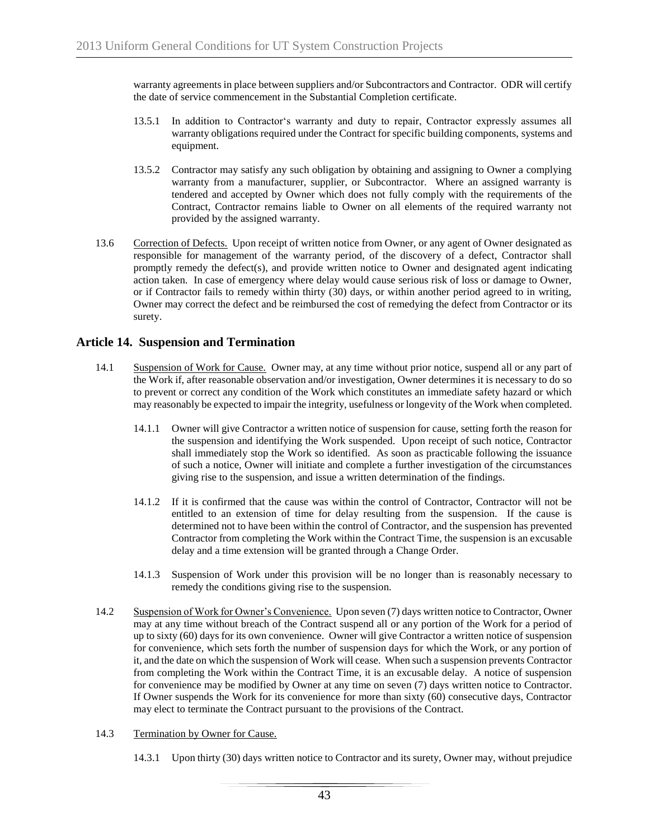warranty agreements in place between suppliers and/or Subcontractors and Contractor. ODR will certify the date of service commencement in the Substantial Completion certificate.

- 13.5.1 In addition to Contractor's warranty and duty to repair, Contractor expressly assumes all warranty obligations required under the Contract for specific building components, systems and equipment.
- 13.5.2 Contractor may satisfy any such obligation by obtaining and assigning to Owner a complying warranty from a manufacturer, supplier, or Subcontractor. Where an assigned warranty is tendered and accepted by Owner which does not fully comply with the requirements of the Contract, Contractor remains liable to Owner on all elements of the required warranty not provided by the assigned warranty.
- 13.6 Correction of Defects. Upon receipt of written notice from Owner, or any agent of Owner designated as responsible for management of the warranty period, of the discovery of a defect, Contractor shall promptly remedy the defect(s), and provide written notice to Owner and designated agent indicating action taken. In case of emergency where delay would cause serious risk of loss or damage to Owner, or if Contractor fails to remedy within thirty (30) days, or within another period agreed to in writing, Owner may correct the defect and be reimbursed the cost of remedying the defect from Contractor or its surety.

# **Article 14. Suspension and Termination**

- 14.1 Suspension of Work for Cause. Owner may, at any time without prior notice, suspend all or any part of the Work if, after reasonable observation and/or investigation, Owner determines it is necessary to do so to prevent or correct any condition of the Work which constitutes an immediate safety hazard or which may reasonably be expected to impair the integrity, usefulness or longevity of the Work when completed.
	- 14.1.1 Owner will give Contractor a written notice of suspension for cause, setting forth the reason for the suspension and identifying the Work suspended. Upon receipt of such notice, Contractor shall immediately stop the Work so identified. As soon as practicable following the issuance of such a notice, Owner will initiate and complete a further investigation of the circumstances giving rise to the suspension, and issue a written determination of the findings.
	- 14.1.2 If it is confirmed that the cause was within the control of Contractor, Contractor will not be entitled to an extension of time for delay resulting from the suspension. If the cause is determined not to have been within the control of Contractor, and the suspension has prevented Contractor from completing the Work within the Contract Time, the suspension is an excusable delay and a time extension will be granted through a Change Order.
	- 14.1.3 Suspension of Work under this provision will be no longer than is reasonably necessary to remedy the conditions giving rise to the suspension.
- 14.2 Suspension of Work for Owner's Convenience. Upon seven (7) days written notice to Contractor, Owner may at any time without breach of the Contract suspend all or any portion of the Work for a period of up to sixty (60) days for its own convenience. Owner will give Contractor a written notice of suspension for convenience, which sets forth the number of suspension days for which the Work, or any portion of it, and the date on which the suspension of Work will cease. When such a suspension prevents Contractor from completing the Work within the Contract Time, it is an excusable delay. A notice of suspension for convenience may be modified by Owner at any time on seven (7) days written notice to Contractor. If Owner suspends the Work for its convenience for more than sixty (60) consecutive days, Contractor may elect to terminate the Contract pursuant to the provisions of the Contract.
- 14.3 Termination by Owner for Cause.

14.3.1 Upon thirty (30) days written notice to Contractor and its surety, Owner may, without prejudice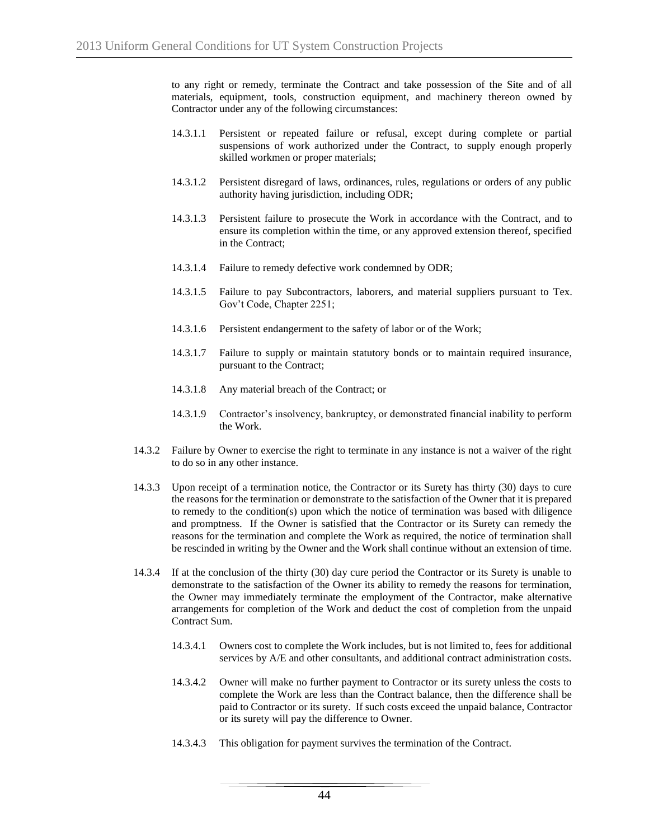to any right or remedy, terminate the Contract and take possession of the Site and of all materials, equipment, tools, construction equipment, and machinery thereon owned by Contractor under any of the following circumstances:

- 14.3.1.1 Persistent or repeated failure or refusal, except during complete or partial suspensions of work authorized under the Contract, to supply enough properly skilled workmen or proper materials;
- 14.3.1.2 Persistent disregard of laws, ordinances, rules, regulations or orders of any public authority having jurisdiction, including ODR;
- 14.3.1.3 Persistent failure to prosecute the Work in accordance with the Contract, and to ensure its completion within the time, or any approved extension thereof, specified in the Contract;
- 14.3.1.4 Failure to remedy defective work condemned by ODR;
- 14.3.1.5 Failure to pay Subcontractors, laborers, and material suppliers pursuant to Tex. Gov't Code, Chapter 2251;
- 14.3.1.6 Persistent endangerment to the safety of labor or of the Work;
- 14.3.1.7 Failure to supply or maintain statutory bonds or to maintain required insurance, pursuant to the Contract;
- 14.3.1.8 Any material breach of the Contract; or
- 14.3.1.9 Contractor's insolvency, bankruptcy, or demonstrated financial inability to perform the Work.
- 14.3.2 Failure by Owner to exercise the right to terminate in any instance is not a waiver of the right to do so in any other instance.
- 14.3.3 Upon receipt of a termination notice, the Contractor or its Surety has thirty (30) days to cure the reasons for the termination or demonstrate to the satisfaction of the Owner that it is prepared to remedy to the condition(s) upon which the notice of termination was based with diligence and promptness. If the Owner is satisfied that the Contractor or its Surety can remedy the reasons for the termination and complete the Work as required, the notice of termination shall be rescinded in writing by the Owner and the Work shall continue without an extension of time.
- 14.3.4 If at the conclusion of the thirty (30) day cure period the Contractor or its Surety is unable to demonstrate to the satisfaction of the Owner its ability to remedy the reasons for termination, the Owner may immediately terminate the employment of the Contractor, make alternative arrangements for completion of the Work and deduct the cost of completion from the unpaid Contract Sum.
	- 14.3.4.1 Owners cost to complete the Work includes, but is not limited to, fees for additional services by A/E and other consultants, and additional contract administration costs.
	- 14.3.4.2 Owner will make no further payment to Contractor or its surety unless the costs to complete the Work are less than the Contract balance, then the difference shall be paid to Contractor or its surety. If such costs exceed the unpaid balance, Contractor or its surety will pay the difference to Owner.
	- 14.3.4.3 This obligation for payment survives the termination of the Contract.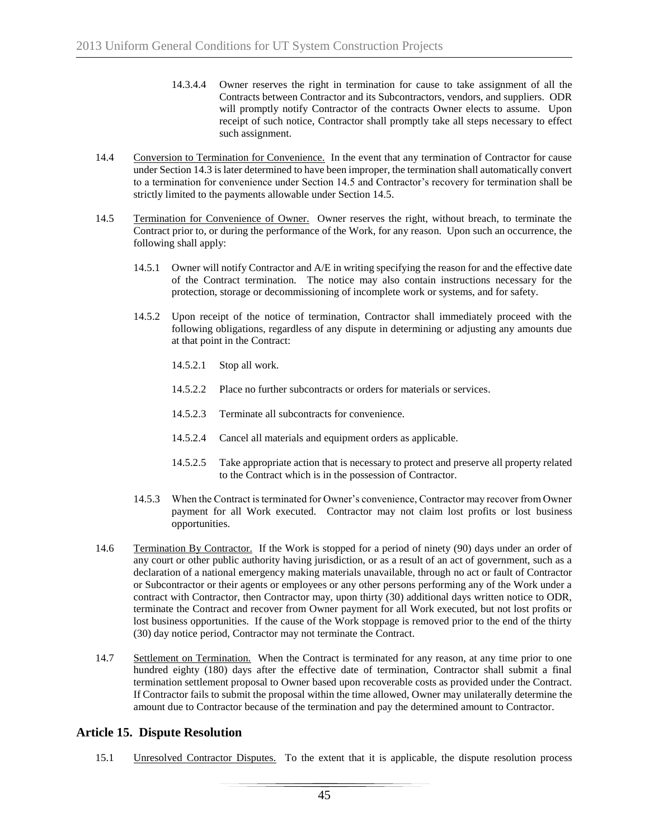- 14.3.4.4 Owner reserves the right in termination for cause to take assignment of all the Contracts between Contractor and its Subcontractors, vendors, and suppliers. ODR will promptly notify Contractor of the contracts Owner elects to assume. Upon receipt of such notice, Contractor shall promptly take all steps necessary to effect such assignment.
- 14.4 Conversion to Termination for Convenience. In the event that any termination of Contractor for cause under Section 14.3 is later determined to have been improper, the termination shall automatically convert to a termination for convenience under Section 14.5 and Contractor's recovery for termination shall be strictly limited to the payments allowable under Section 14.5.
- 14.5 Termination for Convenience of Owner. Owner reserves the right, without breach, to terminate the Contract prior to, or during the performance of the Work, for any reason. Upon such an occurrence, the following shall apply:
	- 14.5.1 Owner will notify Contractor and A/E in writing specifying the reason for and the effective date of the Contract termination. The notice may also contain instructions necessary for the protection, storage or decommissioning of incomplete work or systems, and for safety.
	- 14.5.2 Upon receipt of the notice of termination, Contractor shall immediately proceed with the following obligations, regardless of any dispute in determining or adjusting any amounts due at that point in the Contract:
		- 14.5.2.1 Stop all work.
		- 14.5.2.2 Place no further subcontracts or orders for materials or services.
		- 14.5.2.3 Terminate all subcontracts for convenience.
		- 14.5.2.4 Cancel all materials and equipment orders as applicable.
		- 14.5.2.5 Take appropriate action that is necessary to protect and preserve all property related to the Contract which is in the possession of Contractor.
	- 14.5.3 When the Contract is terminated for Owner's convenience, Contractor may recover from Owner payment for all Work executed. Contractor may not claim lost profits or lost business opportunities.
- 14.6 Termination By Contractor. If the Work is stopped for a period of ninety (90) days under an order of any court or other public authority having jurisdiction, or as a result of an act of government, such as a declaration of a national emergency making materials unavailable, through no act or fault of Contractor or Subcontractor or their agents or employees or any other persons performing any of the Work under a contract with Contractor, then Contractor may, upon thirty (30) additional days written notice to ODR, terminate the Contract and recover from Owner payment for all Work executed, but not lost profits or lost business opportunities. If the cause of the Work stoppage is removed prior to the end of the thirty (30) day notice period, Contractor may not terminate the Contract.
- 14.7 Settlement on Termination. When the Contract is terminated for any reason, at any time prior to one hundred eighty (180) days after the effective date of termination, Contractor shall submit a final termination settlement proposal to Owner based upon recoverable costs as provided under the Contract. If Contractor fails to submit the proposal within the time allowed, Owner may unilaterally determine the amount due to Contractor because of the termination and pay the determined amount to Contractor.

# **Article 15. Dispute Resolution**

15.1 Unresolved Contractor Disputes. To the extent that it is applicable, the dispute resolution process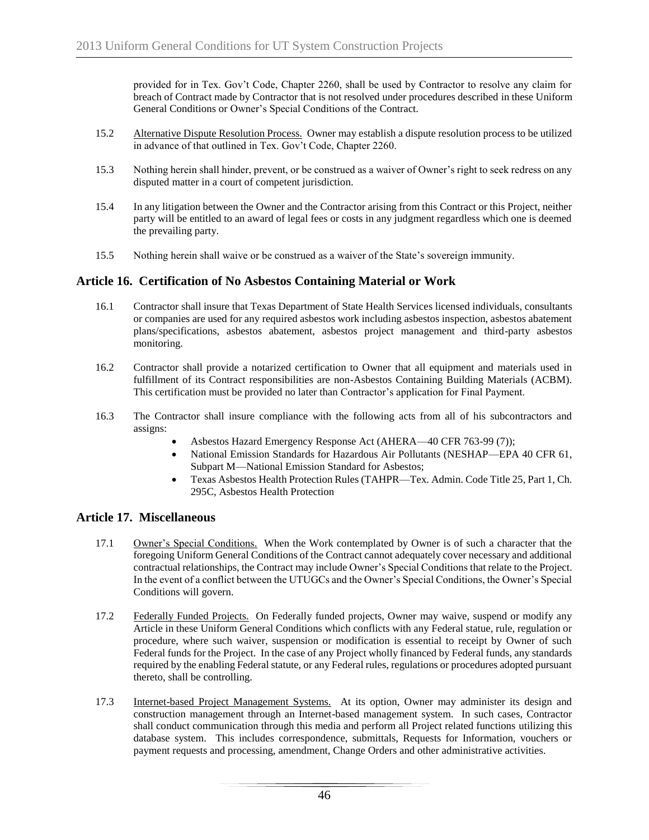provided for in Tex. Gov't Code, Chapter 2260, shall be used by Contractor to resolve any claim for breach of Contract made by Contractor that is not resolved under procedures described in these Uniform General Conditions or Owner's Special Conditions of the Contract.

- 15.2 Alternative Dispute Resolution Process. Owner may establish a dispute resolution process to be utilized in advance of that outlined in Tex. Gov't Code, Chapter 2260.
- 15.3 Nothing herein shall hinder, prevent, or be construed as a waiver of Owner's right to seek redress on any disputed matter in a court of competent jurisdiction.
- 15.4 In any litigation between the Owner and the Contractor arising from this Contract or this Project, neither party will be entitled to an award of legal fees or costs in any judgment regardless which one is deemed the prevailing party.
- 15.5 Nothing herein shall waive or be construed as a waiver of the State's sovereign immunity.

# **Article 16. Certification of No Asbestos Containing Material or Work**

- 16.1 Contractor shall insure that Texas Department of State Health Services licensed individuals, consultants or companies are used for any required asbestos work including asbestos inspection, asbestos abatement plans/specifications, asbestos abatement, asbestos project management and third-party asbestos monitoring.
- 16.2 Contractor shall provide a notarized certification to Owner that all equipment and materials used in fulfillment of its Contract responsibilities are non-Asbestos Containing Building Materials (ACBM). This certification must be provided no later than Contractor's application for Final Payment.
- 16.3 The Contractor shall insure compliance with the following acts from all of his subcontractors and assigns:
	- Asbestos Hazard Emergency Response Act (AHERA—40 CFR 763-99 (7));
	- National Emission Standards for Hazardous Air Pollutants (NESHAP—EPA 40 CFR 61, Subpart M—National Emission Standard for Asbestos;
	- Texas Asbestos Health Protection Rules (TAHPR—Tex. Admin. Code Title 25, Part 1, Ch. 295C, Asbestos Health Protection

# **Article 17. Miscellaneous**

- 17.1 Owner's Special Conditions. When the Work contemplated by Owner is of such a character that the foregoing Uniform General Conditions of the Contract cannot adequately cover necessary and additional contractual relationships, the Contract may include Owner's Special Conditions that relate to the Project. In the event of a conflict between the UTUGCs and the Owner's Special Conditions, the Owner's Special Conditions will govern.
- 17.2 Federally Funded Projects. On Federally funded projects, Owner may waive, suspend or modify any Article in these Uniform General Conditions which conflicts with any Federal statue, rule, regulation or procedure, where such waiver, suspension or modification is essential to receipt by Owner of such Federal funds for the Project. In the case of any Project wholly financed by Federal funds, any standards required by the enabling Federal statute, or any Federal rules, regulations or procedures adopted pursuant thereto, shall be controlling.
- 17.3 Internet-based Project Management Systems. At its option, Owner may administer its design and construction management through an Internet-based management system. In such cases, Contractor shall conduct communication through this media and perform all Project related functions utilizing this database system. This includes correspondence, submittals, Requests for Information, vouchers or payment requests and processing, amendment, Change Orders and other administrative activities.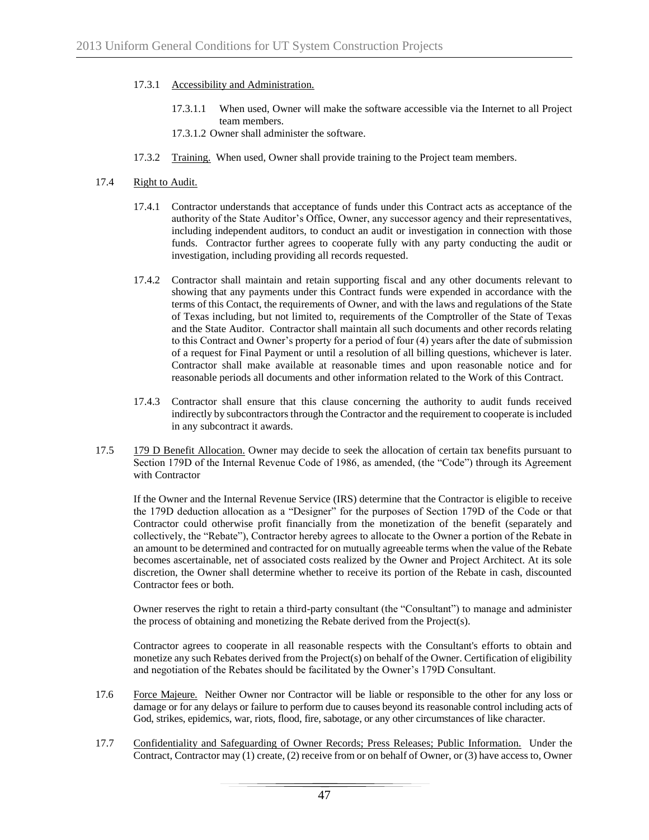- 17.3.1 Accessibility and Administration.
	- 17.3.1.1 When used, Owner will make the software accessible via the Internet to all Project team members.
	- 17.3.1.2 Owner shall administer the software.
- 17.3.2 Training. When used, Owner shall provide training to the Project team members.

#### 17.4 Right to Audit.

- 17.4.1 Contractor understands that acceptance of funds under this Contract acts as acceptance of the authority of the State Auditor's Office, Owner, any successor agency and their representatives, including independent auditors, to conduct an audit or investigation in connection with those funds. Contractor further agrees to cooperate fully with any party conducting the audit or investigation, including providing all records requested.
- 17.4.2 Contractor shall maintain and retain supporting fiscal and any other documents relevant to showing that any payments under this Contract funds were expended in accordance with the terms of this Contact, the requirements of Owner, and with the laws and regulations of the State of Texas including, but not limited to, requirements of the Comptroller of the State of Texas and the State Auditor. Contractor shall maintain all such documents and other records relating to this Contract and Owner's property for a period of four (4) years after the date of submission of a request for Final Payment or until a resolution of all billing questions, whichever is later. Contractor shall make available at reasonable times and upon reasonable notice and for reasonable periods all documents and other information related to the Work of this Contract.
- 17.4.3 Contractor shall ensure that this clause concerning the authority to audit funds received indirectly by subcontractors through the Contractor and the requirement to cooperate is included in any subcontract it awards.
- 17.5 179 D Benefit Allocation. Owner may decide to seek the allocation of certain tax benefits pursuant to Section 179D of the Internal Revenue Code of 1986, as amended, (the "Code") through its Agreement with Contractor

If the Owner and the Internal Revenue Service (IRS) determine that the Contractor is eligible to receive the 179D deduction allocation as a "Designer" for the purposes of Section 179D of the Code or that Contractor could otherwise profit financially from the monetization of the benefit (separately and collectively, the "Rebate"), Contractor hereby agrees to allocate to the Owner a portion of the Rebate in an amount to be determined and contracted for on mutually agreeable terms when the value of the Rebate becomes ascertainable, net of associated costs realized by the Owner and Project Architect. At its sole discretion, the Owner shall determine whether to receive its portion of the Rebate in cash, discounted Contractor fees or both.

Owner reserves the right to retain a third-party consultant (the "Consultant") to manage and administer the process of obtaining and monetizing the Rebate derived from the Project(s).

Contractor agrees to cooperate in all reasonable respects with the Consultant's efforts to obtain and monetize any such Rebates derived from the Project(s) on behalf of the Owner. Certification of eligibility and negotiation of the Rebates should be facilitated by the Owner's 179D Consultant.

- 17.6 Force Majeure. Neither Owner nor Contractor will be liable or responsible to the other for any loss or damage or for any delays or failure to perform due to causes beyond its reasonable control including acts of God, strikes, epidemics, war, riots, flood, fire, sabotage, or any other circumstances of like character.
- 17.7 Confidentiality and Safeguarding of Owner Records; Press Releases; Public Information. Under the Contract, Contractor may (1) create, (2) receive from or on behalf of Owner, or (3) have access to, Owner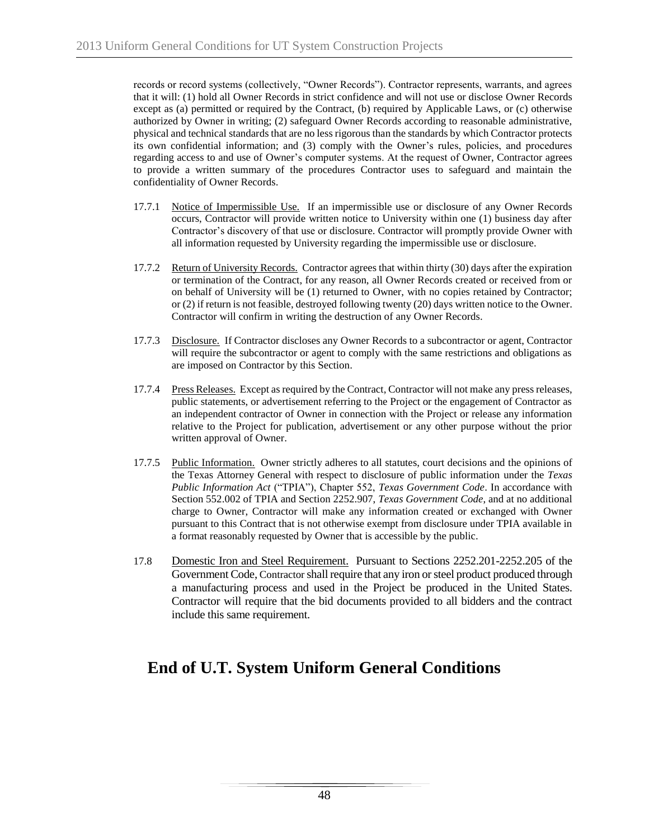records or record systems (collectively, "Owner Records"). Contractor represents, warrants, and agrees that it will: (1) hold all Owner Records in strict confidence and will not use or disclose Owner Records except as (a) permitted or required by the Contract, (b) required by Applicable Laws, or (c) otherwise authorized by Owner in writing; (2) safeguard Owner Records according to reasonable administrative, physical and technical standards that are no less rigorous than the standards by which Contractor protects its own confidential information; and (3) comply with the Owner's rules, policies, and procedures regarding access to and use of Owner's computer systems. At the request of Owner, Contractor agrees to provide a written summary of the procedures Contractor uses to safeguard and maintain the confidentiality of Owner Records.

- 17.7.1 Notice of Impermissible Use. If an impermissible use or disclosure of any Owner Records occurs, Contractor will provide written notice to University within one (1) business day after Contractor's discovery of that use or disclosure. Contractor will promptly provide Owner with all information requested by University regarding the impermissible use or disclosure.
- 17.7.2 Return of University Records. Contractor agrees that within thirty (30) days after the expiration or termination of the Contract, for any reason, all Owner Records created or received from or on behalf of University will be (1) returned to Owner, with no copies retained by Contractor; or (2) if return is not feasible, destroyed following twenty (20) days written notice to the Owner. Contractor will confirm in writing the destruction of any Owner Records.
- 17.7.3 Disclosure. If Contractor discloses any Owner Records to a subcontractor or agent, Contractor will require the subcontractor or agent to comply with the same restrictions and obligations as are imposed on Contractor by this Section.
- 17.7.4 Press Releases. Except as required by the Contract, Contractor will not make any press releases, public statements, or advertisement referring to the Project or the engagement of Contractor as an independent contractor of Owner in connection with the Project or release any information relative to the Project for publication, advertisement or any other purpose without the prior written approval of Owner.
- 17.7.5 Public Information. Owner strictly adheres to all statutes, court decisions and the opinions of the Texas Attorney General with respect to disclosure of public information under the *Texas Public Information Act* ("TPIA"), Chapter 552, *Texas Government Code*. In accordance with Section 552.002 of TPIA and Section 2252.907, *Texas Government Code*, and at no additional charge to Owner, Contractor will make any information created or exchanged with Owner pursuant to this Contract that is not otherwise exempt from disclosure under TPIA available in a format reasonably requested by Owner that is accessible by the public.
- 17.8 Domestic Iron and Steel Requirement. Pursuant to Sections 2252.201-2252.205 of the Government Code, Contractor shall require that any iron or steel product produced through a manufacturing process and used in the Project be produced in the United States. Contractor will require that the bid documents provided to all bidders and the contract include this same requirement.

# **End of U.T. System Uniform General Conditions**